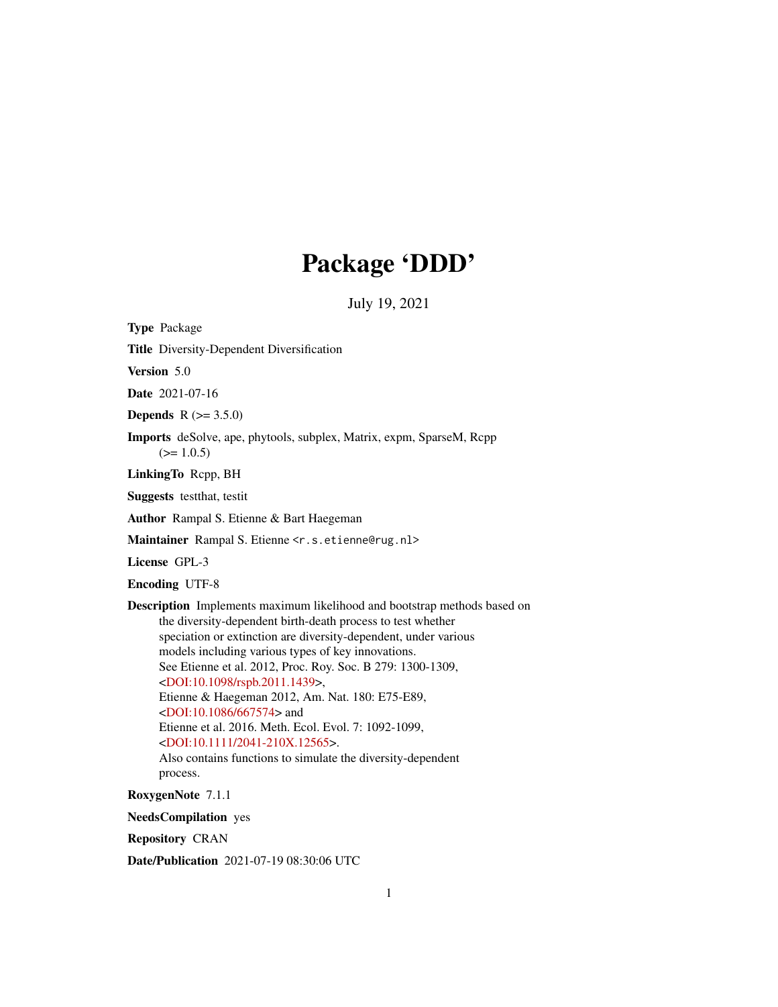# Package 'DDD'

July 19, 2021

<span id="page-0-0"></span>Type Package

Title Diversity-Dependent Diversification

Version 5.0

Date 2021-07-16

**Depends**  $R (= 3.5.0)$ 

Imports deSolve, ape, phytools, subplex, Matrix, expm, SparseM, Rcpp  $(>= 1.0.5)$ 

LinkingTo Rcpp, BH

Suggests testthat, testit

Author Rampal S. Etienne & Bart Haegeman

Maintainer Rampal S. Etienne <r.s.etienne@rug.nl>

License GPL-3

Encoding UTF-8

Description Implements maximum likelihood and bootstrap methods based on the diversity-dependent birth-death process to test whether speciation or extinction are diversity-dependent, under various models including various types of key innovations. See Etienne et al. 2012, Proc. Roy. Soc. B 279: 1300-1309, [<DOI:10.1098/rspb.2011.1439>](https://doi.org/10.1098/rspb.2011.1439), Etienne & Haegeman 2012, Am. Nat. 180: E75-E89, [<DOI:10.1086/667574>](https://doi.org/10.1086/667574) and Etienne et al. 2016. Meth. Ecol. Evol. 7: 1092-1099, [<DOI:10.1111/2041-210X.12565>](https://doi.org/10.1111/2041-210X.12565). Also contains functions to simulate the diversity-dependent process.

RoxygenNote 7.1.1

NeedsCompilation yes

Repository CRAN

Date/Publication 2021-07-19 08:30:06 UTC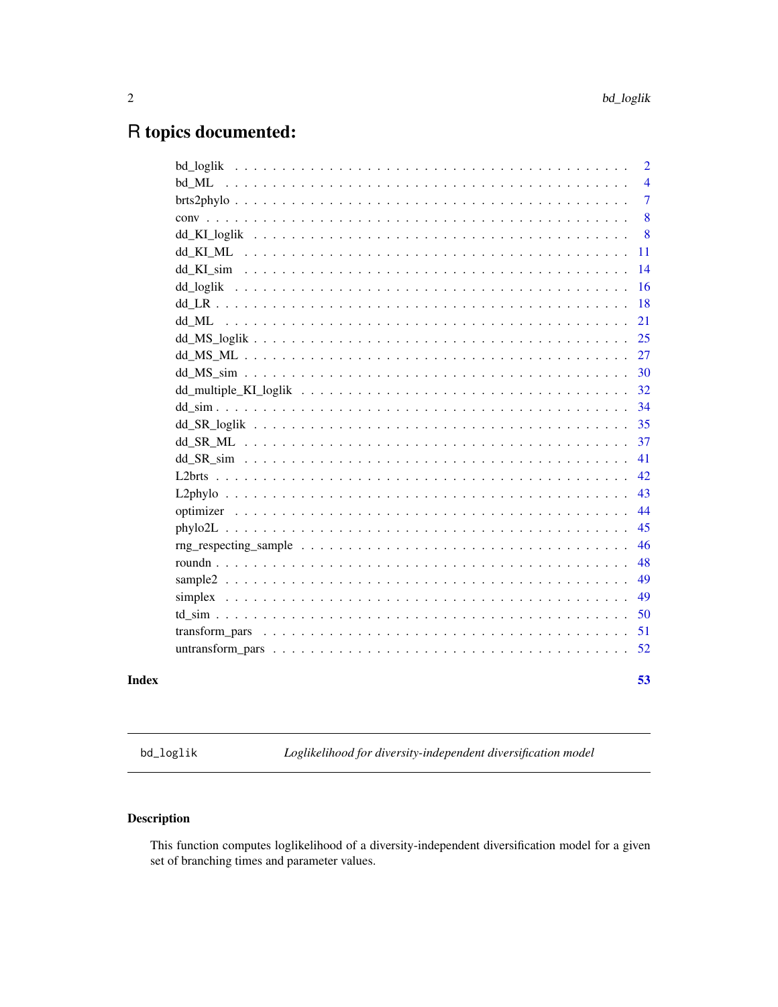# <span id="page-1-0"></span>R topics documented:

|                                                                                                                      | 2              |
|----------------------------------------------------------------------------------------------------------------------|----------------|
| bd ML                                                                                                                | $\overline{4}$ |
|                                                                                                                      | $\overline{7}$ |
|                                                                                                                      | 8              |
|                                                                                                                      | 8              |
|                                                                                                                      | 11             |
|                                                                                                                      | 14             |
|                                                                                                                      | 16             |
|                                                                                                                      | 18             |
|                                                                                                                      | 21             |
|                                                                                                                      | 25             |
|                                                                                                                      | 27             |
|                                                                                                                      | 30             |
|                                                                                                                      | 32             |
|                                                                                                                      | 34             |
|                                                                                                                      | 35             |
|                                                                                                                      | 37             |
|                                                                                                                      | 41             |
|                                                                                                                      | 42             |
|                                                                                                                      | 43             |
|                                                                                                                      | 44             |
|                                                                                                                      | 45             |
| $\text{rng\_respecting\_sample} \dots \dots \dots \dots \dots \dots \dots \dots \dots \dots \dots \dots \dots \dots$ | 46             |
|                                                                                                                      | 48             |
|                                                                                                                      | 49             |
|                                                                                                                      | 49             |
|                                                                                                                      | 50             |
|                                                                                                                      | 51             |
|                                                                                                                      | 52             |
|                                                                                                                      |                |
|                                                                                                                      | 53             |

**Index** 

<span id="page-1-1"></span> $bd\_loglik$ 

Loglikelihood for diversity-independent diversification model

# **Description**

This function computes loglikelihood of a diversity-independent diversification model for a given set of branching times and parameter values.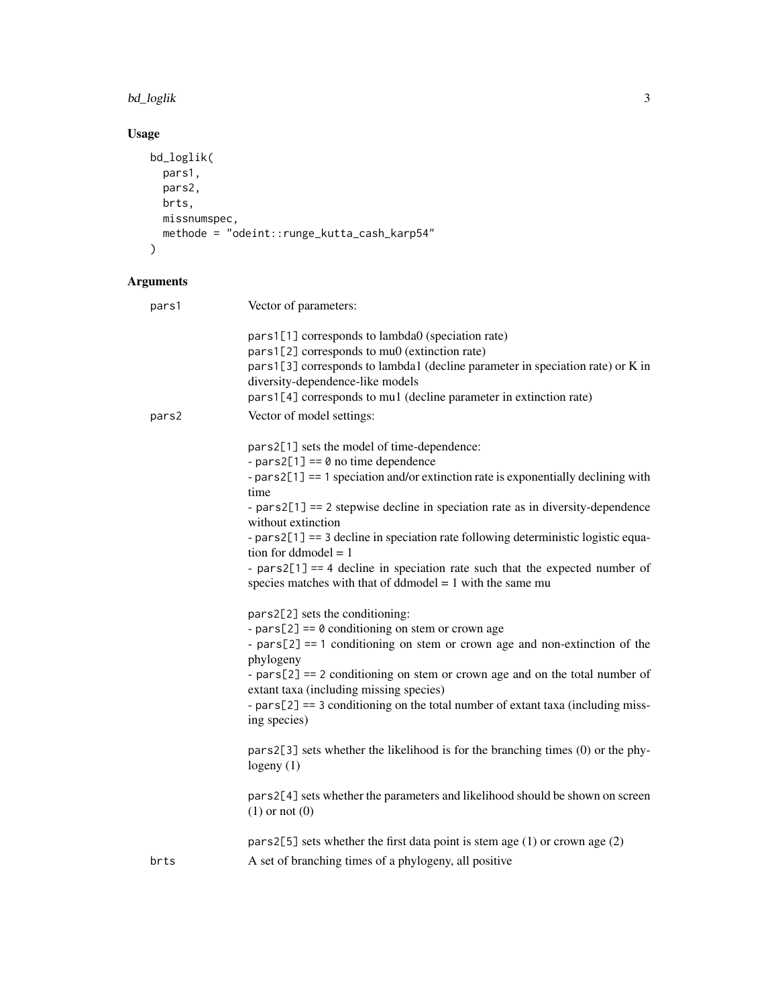#### bd\_loglik 3

# Usage

```
bd_loglik(
 pars1,
 pars2,
  brts,
  missnumspec,
 methode = "odeint::runge_kutta_cash_karp54"
)
```

| pars1 | Vector of parameters:                                                                                                                                                                                                                                                                                                                                                                                                                                                                                                                                          |
|-------|----------------------------------------------------------------------------------------------------------------------------------------------------------------------------------------------------------------------------------------------------------------------------------------------------------------------------------------------------------------------------------------------------------------------------------------------------------------------------------------------------------------------------------------------------------------|
|       | pars1[1] corresponds to lambda0 (speciation rate)<br>pars1[2] corresponds to mu0 (extinction rate)<br>pars1[3] corresponds to lambda1 (decline parameter in speciation rate) or K in<br>diversity-dependence-like models<br>pars1[4] corresponds to mu1 (decline parameter in extinction rate)                                                                                                                                                                                                                                                                 |
| pars2 | Vector of model settings:                                                                                                                                                                                                                                                                                                                                                                                                                                                                                                                                      |
|       | pars2[1] sets the model of time-dependence:<br>- pars2[1] == $\theta$ no time dependence<br>- pars2[1] == 1 speciation and/or extinction rate is exponentially declining with<br>time<br>- $pars2[1] == 2$ stepwise decline in speciation rate as in diversity-dependence<br>without extinction<br>- pars2[1] == 3 decline in speciation rate following deterministic logistic equa-<br>tion for ddmodel $= 1$<br>- $pars2[1] == 4$ decline in speciation rate such that the expected number of<br>species matches with that of ddmodel $= 1$ with the same mu |
|       | pars2[2] sets the conditioning:<br>- pars[2] == $\theta$ conditioning on stem or crown age<br>- $pars[2] == 1$ conditioning on stem or crown age and non-extinction of the<br>phylogeny<br>- $pars[2] == 2$ conditioning on stem or crown age and on the total number of<br>extant taxa (including missing species)<br>- $pars[2] == 3$ conditioning on the total number of extant taxa (including miss-<br>ing species)                                                                                                                                       |
|       | pars2[3] sets whether the likelihood is for the branching times (0) or the phy-<br>logeny $(1)$                                                                                                                                                                                                                                                                                                                                                                                                                                                                |
|       | pars2[4] sets whether the parameters and likelihood should be shown on screen<br>$(1)$ or not $(0)$                                                                                                                                                                                                                                                                                                                                                                                                                                                            |
|       | pars2[5] sets whether the first data point is stem age $(1)$ or crown age $(2)$                                                                                                                                                                                                                                                                                                                                                                                                                                                                                |
| brts  | A set of branching times of a phylogeny, all positive                                                                                                                                                                                                                                                                                                                                                                                                                                                                                                          |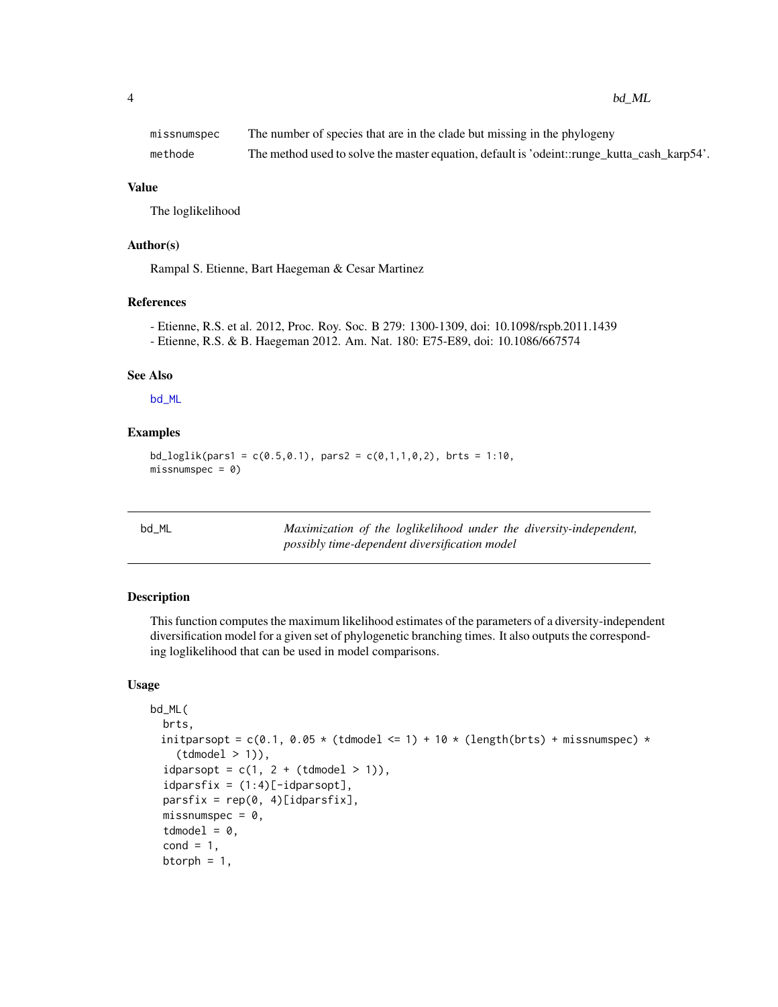<span id="page-3-0"></span>

| missnumspec | The number of species that are in the clade but missing in the phylogeny                    |
|-------------|---------------------------------------------------------------------------------------------|
| methode     | The method used to solve the master equation, default is 'odeint::runge_kutta_cash_karp54'. |

#### Value

The loglikelihood

#### Author(s)

Rampal S. Etienne, Bart Haegeman & Cesar Martinez

#### References

```
- Etienne, R.S. et al. 2012, Proc. Roy. Soc. B 279: 1300-1309, doi: 10.1098/rspb.2011.1439
- Etienne, R.S. & B. Haegeman 2012. Am. Nat. 180: E75-E89, doi: 10.1086/667574
```
#### See Also

[bd\\_ML](#page-3-1)

#### Examples

 $bd\_loglik(pars1 = c(0.5, 0.1), pars2 = c(0.1, 1, 0, 2), brts = 1:10,$  $missumspec = 0)$ 

<span id="page-3-1"></span>

|--|--|

Maximization of the loglikelihood under the diversity-independent, *possibly time-dependent diversification model*

#### Description

This function computes the maximum likelihood estimates of the parameters of a diversity-independent diversification model for a given set of phylogenetic branching times. It also outputs the corresponding loglikelihood that can be used in model comparisons.

#### Usage

```
bd_ML(
  brts,
 initparsopt = c(0.1, 0.05 \times (t d) = 1) + 10 \times (length(brts) + missnumspec) \times(tdmodel > 1)),idparsopt = c(1, 2 + (tdmodel > 1)),idparsfix = (1:4)[-idparsopt],partsfix = rep(0, 4)[idparsfix],missnumspec = 0.
  tdmodel = 0,
  cond = 1,
  btorph = 1,
```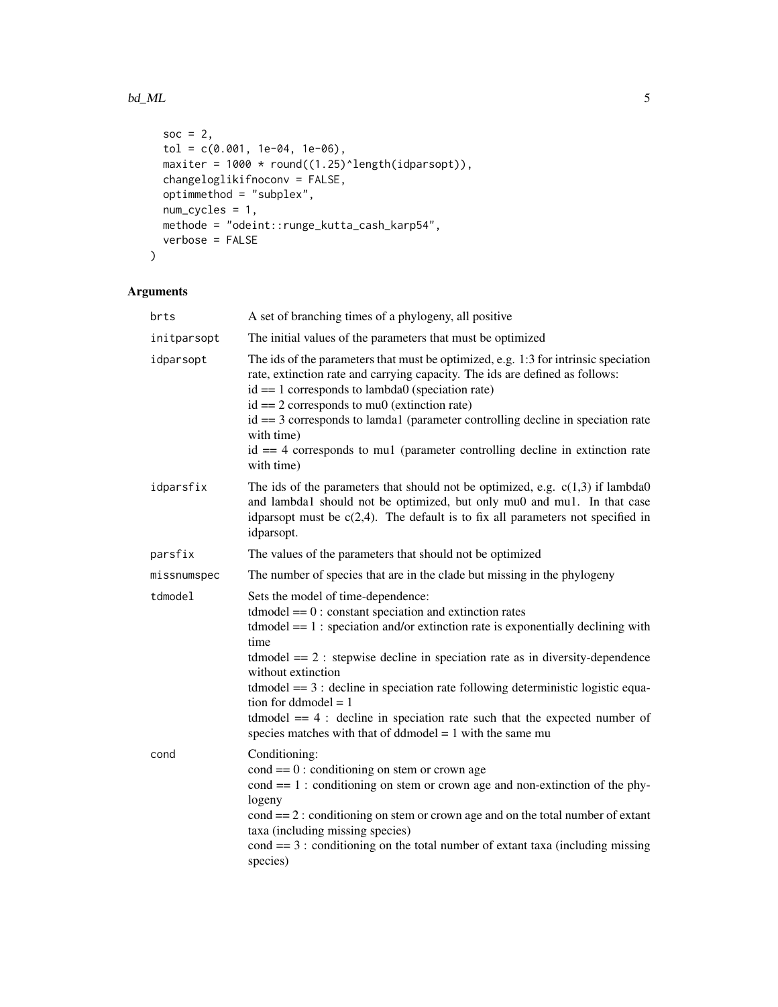#### $bd\_ML$  5

```
soc = 2,
  tol = c(0.001, 1e-04, 1e-06),
  maxiter = 1000 * \text{round}((1.25)^{\text{length}}(idparsept)),changeloglikifnoconv = FALSE,
  optimmethod = "subplex",
  num_cycles = 1,
  methode = "odeint::runge_kutta_cash_karp54",
  verbose = FALSE
\mathcal{L}
```

| brts        | A set of branching times of a phylogeny, all positive                                                                                                                                                                                                                                                                                                                                                                                                                                                                                                                           |
|-------------|---------------------------------------------------------------------------------------------------------------------------------------------------------------------------------------------------------------------------------------------------------------------------------------------------------------------------------------------------------------------------------------------------------------------------------------------------------------------------------------------------------------------------------------------------------------------------------|
| initparsopt | The initial values of the parameters that must be optimized                                                                                                                                                                                                                                                                                                                                                                                                                                                                                                                     |
| idparsopt   | The ids of the parameters that must be optimized, e.g. 1:3 for intrinsic speciation<br>rate, extinction rate and carrying capacity. The ids are defined as follows:<br>$id == 1$ corresponds to lambda0 (speciation rate)<br>$id == 2$ corresponds to mu0 (extinction rate)<br>$id == 3$ corresponds to lamda1 (parameter controlling decline in speciation rate<br>with time)<br>$id == 4$ corresponds to mul (parameter controlling decline in extinction rate<br>with time)                                                                                                  |
| idparsfix   | The ids of the parameters that should not be optimized, e.g. $c(1,3)$ if lambda0<br>and lambda1 should not be optimized, but only mu0 and mu1. In that case<br>idparsopt must be $c(2,4)$ . The default is to fix all parameters not specified in<br>idparsopt.                                                                                                                                                                                                                                                                                                                 |
| parsfix     | The values of the parameters that should not be optimized                                                                                                                                                                                                                                                                                                                                                                                                                                                                                                                       |
| missnumspec | The number of species that are in the clade but missing in the phylogeny                                                                                                                                                                                                                                                                                                                                                                                                                                                                                                        |
| tdmodel     | Sets the model of time-dependence:<br>$tdmodel == 0$ : constant speciation and extinction rates<br>$t$ dmodel = $= 1$ : speciation and/or extinction rate is exponentially declining with<br>time<br>$t$ dmodel = $2$ : stepwise decline in speciation rate as in diversity-dependence<br>without extinction<br>$t$ dmodel = $=$ 3 : decline in speciation rate following deterministic logistic equa-<br>tion for ddmodel $= 1$<br>$tdmodel == 4$ : decline in speciation rate such that the expected number of<br>species matches with that of ddmodel $= 1$ with the same mu |
| cond        | Conditioning:<br>$\text{cond} == 0$ : conditioning on stem or crown age<br>$cond == 1$ : conditioning on stem or crown age and non-extinction of the phy-<br>logeny<br>$\text{cond} == 2$ : conditioning on stem or crown age and on the total number of extant<br>taxa (including missing species)<br>$\text{cond} == 3$ : conditioning on the total number of extant taxa (including missing<br>species)                                                                                                                                                                      |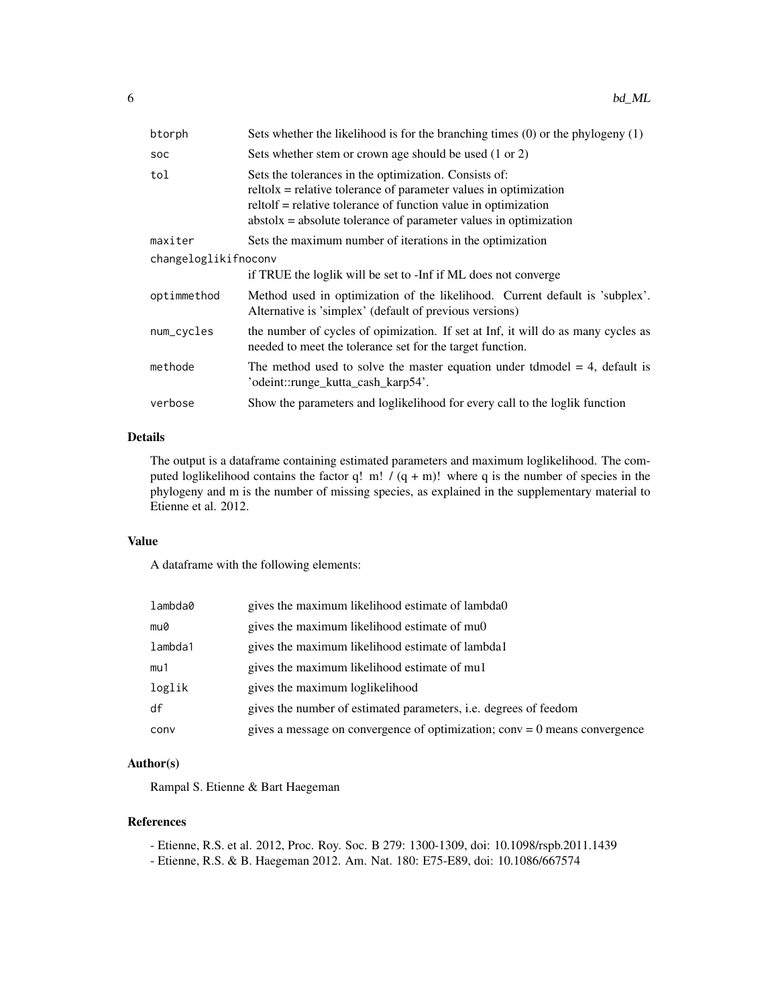| btorph               | Sets whether the likelihood is for the branching times $(0)$ or the phylogeny $(1)$                                                                                                                                                                                 |  |
|----------------------|---------------------------------------------------------------------------------------------------------------------------------------------------------------------------------------------------------------------------------------------------------------------|--|
| <b>SOC</b>           | Sets whether stem or crown age should be used (1 or 2)                                                                                                                                                                                                              |  |
| tol                  | Sets the tolerances in the optimization. Consists of:<br>$relto1x =$ relative tolerance of parameter values in optimization<br>reltolf = relative tolerance of function value in optimization<br>$abstolx = absolute tolerance of parameter values in optimization$ |  |
| maxiter              | Sets the maximum number of iterations in the optimization                                                                                                                                                                                                           |  |
| changeloglikifnoconv |                                                                                                                                                                                                                                                                     |  |
|                      | if TRUE the loglik will be set to -Inf if ML does not converge                                                                                                                                                                                                      |  |
| optimmethod          | Method used in optimization of the likelihood. Current default is 'subplex'.<br>Alternative is 'simplex' (default of previous versions)                                                                                                                             |  |
| num_cycles           | the number of cycles of opimization. If set at Inf, it will do as many cycles as<br>needed to meet the tolerance set for the target function.                                                                                                                       |  |
| methode              | The method used to solve the master equation under the state $= 4$ , default is<br>'odeint::runge_kutta_cash_karp54'.                                                                                                                                               |  |
| verbose              | Show the parameters and loglikelihood for every call to the loglik function                                                                                                                                                                                         |  |

#### Details

The output is a dataframe containing estimated parameters and maximum loglikelihood. The computed loglikelihood contains the factor q! m!  $/(q + m)!$  where q is the number of species in the phylogeny and m is the number of missing species, as explained in the supplementary material to Etienne et al. 2012.

#### Value

A dataframe with the following elements:

| lambda0 | gives the maximum likelihood estimate of lambda0                             |
|---------|------------------------------------------------------------------------------|
| mu0     | gives the maximum likelihood estimate of muon                                |
| lambda1 | gives the maximum likelihood estimate of lambda1                             |
| mu1     | gives the maximum likelihood estimate of mul                                 |
| loglik  | gives the maximum loglikelihood                                              |
| df      | gives the number of estimated parameters, <i>i.e.</i> degrees of feedom      |
| conv    | gives a message on convergence of optimization; $conv = 0$ means convergence |

#### Author(s)

Rampal S. Etienne & Bart Haegeman

#### References

- Etienne, R.S. et al. 2012, Proc. Roy. Soc. B 279: 1300-1309, doi: 10.1098/rspb.2011.1439
- Etienne, R.S. & B. Haegeman 2012. Am. Nat. 180: E75-E89, doi: 10.1086/667574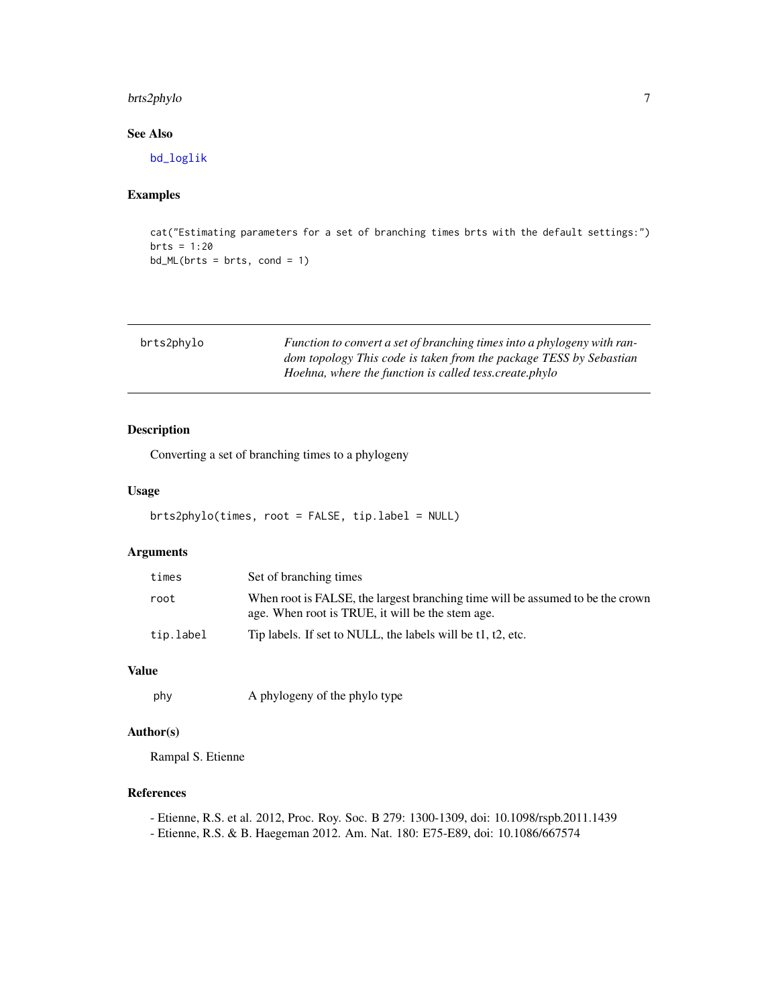# <span id="page-6-0"></span>brts2phylo 7

# See Also

[bd\\_loglik](#page-1-1)

### Examples

```
cat("Estimating parameters for a set of branching times brts with the default settings:")
brts = 1:20bd_ML(brts = brts, cond = 1)
```

| brts2phylo | Function to convert a set of branching times into a phylogeny with ran- |
|------------|-------------------------------------------------------------------------|
|            | dom topology This code is taken from the package TESS by Sebastian      |
|            | Hoehna, where the function is called tess.create.phylo                  |

#### Description

Converting a set of branching times to a phylogeny

#### Usage

brts2phylo(times, root = FALSE, tip.label = NULL)

# Arguments

| times     | Set of branching times                                                                                                             |
|-----------|------------------------------------------------------------------------------------------------------------------------------------|
| root      | When root is FALSE, the largest branching time will be assumed to be the crown<br>age. When root is TRUE, it will be the stem age. |
| tip.label | Tip labels. If set to NULL, the labels will be t1, t2, etc.                                                                        |

#### Value

```
phy A phylogeny of the phylo type
```
#### Author(s)

Rampal S. Etienne

# References

- Etienne, R.S. et al. 2012, Proc. Roy. Soc. B 279: 1300-1309, doi: 10.1098/rspb.2011.1439
- Etienne, R.S. & B. Haegeman 2012. Am. Nat. 180: E75-E89, doi: 10.1086/667574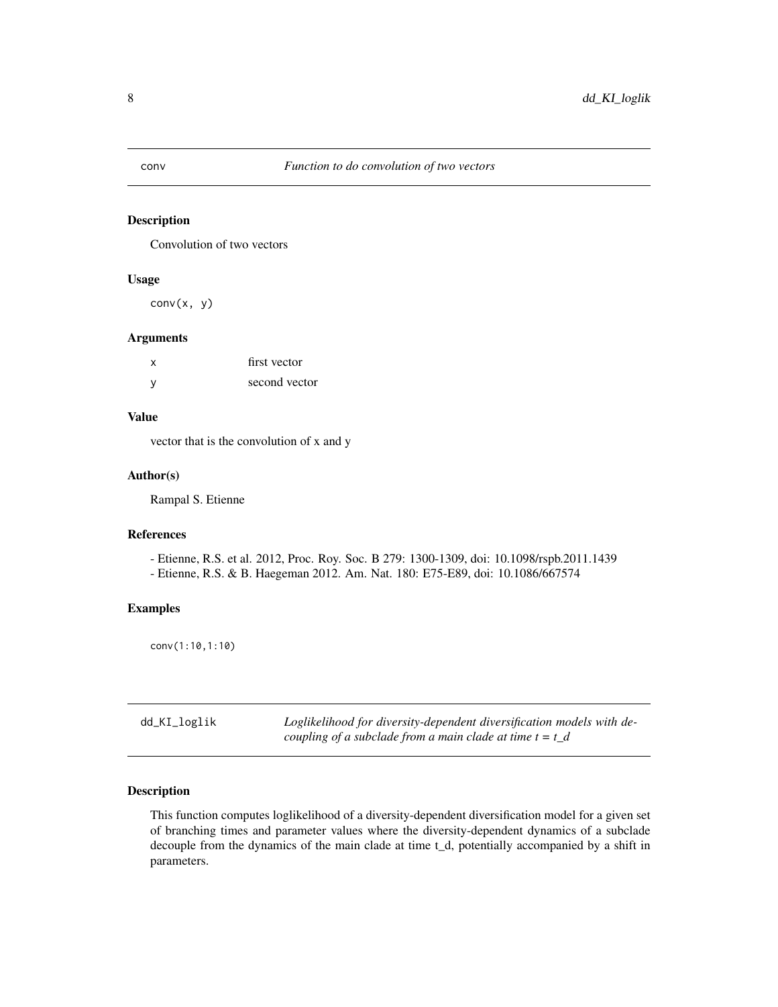<span id="page-7-0"></span>

#### Description

Convolution of two vectors

#### Usage

conv(x, y)

#### Arguments

| x        | first vector  |
|----------|---------------|
| <b>V</b> | second vector |

### Value

vector that is the convolution of x and y

#### Author(s)

Rampal S. Etienne

### References

- Etienne, R.S. et al. 2012, Proc. Roy. Soc. B 279: 1300-1309, doi: 10.1098/rspb.2011.1439 - Etienne, R.S. & B. Haegeman 2012. Am. Nat. 180: E75-E89, doi: 10.1086/667574

#### Examples

conv(1:10,1:10)

<span id="page-7-1"></span>

| dd_KI_loglik | Loglikelihood for diversity-dependent diversification models with de- |
|--------------|-----------------------------------------------------------------------|
|              | coupling of a subclade from a main clade at time $t = t_d$            |

#### Description

This function computes loglikelihood of a diversity-dependent diversification model for a given set of branching times and parameter values where the diversity-dependent dynamics of a subclade decouple from the dynamics of the main clade at time t\_d, potentially accompanied by a shift in parameters.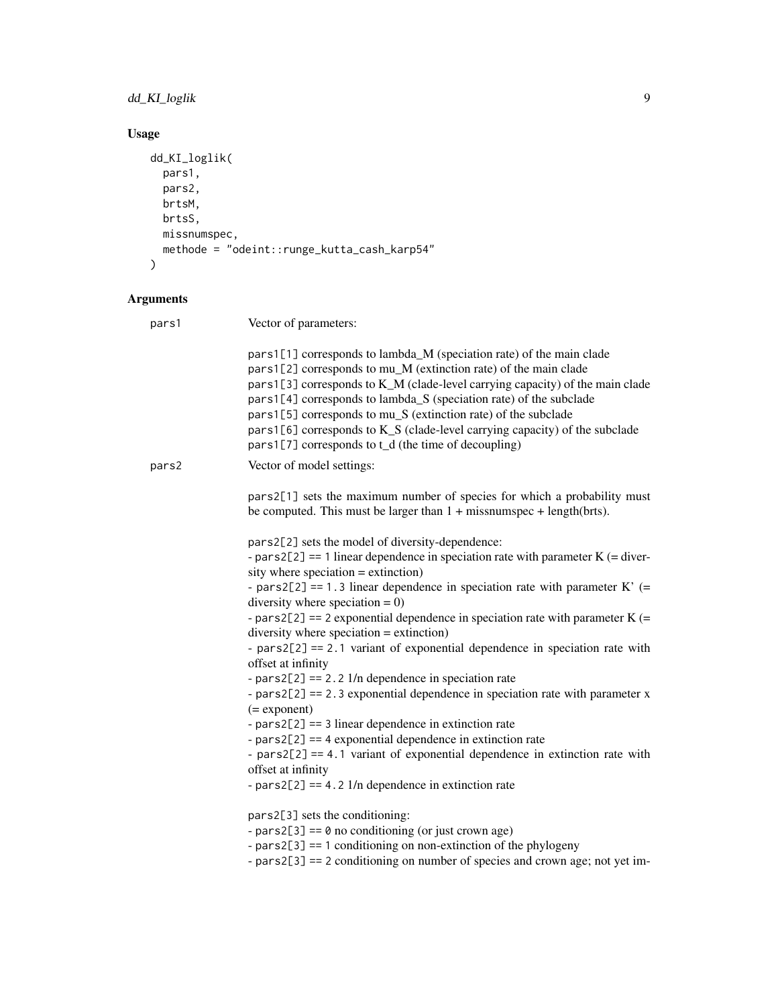# dd\_KI\_loglik 9

# Usage

```
dd_KI_loglik(
  pars1,
  pars2,
  brtsM,
  brtsS,
  missnumspec,
  methode = "odeint::runge_kutta_cash_karp54"
\mathcal{L}
```

| pars1 | Vector of parameters:                                                                                                                                                                                                                                                                                                                                                                                                                                                                                    |
|-------|----------------------------------------------------------------------------------------------------------------------------------------------------------------------------------------------------------------------------------------------------------------------------------------------------------------------------------------------------------------------------------------------------------------------------------------------------------------------------------------------------------|
|       | pars1[1] corresponds to lambda_M (speciation rate) of the main clade<br>pars1[2] corresponds to mu_M (extinction rate) of the main clade<br>pars1[3] corresponds to K_M (clade-level carrying capacity) of the main clade<br>pars1[4] corresponds to lambda_S (speciation rate) of the subclade<br>pars1[5] corresponds to mu_S (extinction rate) of the subclade<br>pars1[6] corresponds to K_S (clade-level carrying capacity) of the subclade<br>pars1[7] corresponds to t_d (the time of decoupling) |
| pars2 | Vector of model settings:                                                                                                                                                                                                                                                                                                                                                                                                                                                                                |
|       | pars2[1] sets the maximum number of species for which a probability must<br>be computed. This must be larger than $1 +$ missnumspec + length(brts).                                                                                                                                                                                                                                                                                                                                                      |
|       | pars2[2] sets the model of diversity-dependence:                                                                                                                                                                                                                                                                                                                                                                                                                                                         |
|       | - pars2[2] == 1 linear dependence in speciation rate with parameter $K$ (= diver-<br>sity where speciation $=$ extinction)                                                                                                                                                                                                                                                                                                                                                                               |
|       | - pars2[2] == 1.3 linear dependence in speciation rate with parameter $K'$ (=<br>diversity where speciation $= 0$ )                                                                                                                                                                                                                                                                                                                                                                                      |
|       | - pars2[2] == 2 exponential dependence in speciation rate with parameter $K$ (=<br>$diversity$ where speciation = extinction)                                                                                                                                                                                                                                                                                                                                                                            |
|       | - $pars2[2] == 2.1$ variant of exponential dependence in speciation rate with<br>offset at infinity                                                                                                                                                                                                                                                                                                                                                                                                      |
|       | - pars2[2] = $= 2.2$ 1/n dependence in speciation rate                                                                                                                                                                                                                                                                                                                                                                                                                                                   |
|       | - $pars2[2] == 2.3 exponential dependence in speciation rate with parameter x$<br>$(=$ exponent $)$                                                                                                                                                                                                                                                                                                                                                                                                      |
|       | - $pars2[2] == 3$ linear dependence in extinction rate                                                                                                                                                                                                                                                                                                                                                                                                                                                   |
|       | - $pars2[2] == 4$ exponential dependence in extinction rate                                                                                                                                                                                                                                                                                                                                                                                                                                              |
|       | - $pars2[2] == 4.1$ variant of exponential dependence in extinction rate with                                                                                                                                                                                                                                                                                                                                                                                                                            |
|       | offset at infinity<br>- pars2[2] == 4.2 $1/n$ dependence in extinction rate                                                                                                                                                                                                                                                                                                                                                                                                                              |
|       |                                                                                                                                                                                                                                                                                                                                                                                                                                                                                                          |
|       | pars2[3] sets the conditioning:                                                                                                                                                                                                                                                                                                                                                                                                                                                                          |
|       | - pars2[3] == $\theta$ no conditioning (or just crown age)                                                                                                                                                                                                                                                                                                                                                                                                                                               |
|       | - $pars2[3] == 1$ conditioning on non-extinction of the phylogeny                                                                                                                                                                                                                                                                                                                                                                                                                                        |
|       | - pars2[3] == 2 conditioning on number of species and crown age; not yet im-                                                                                                                                                                                                                                                                                                                                                                                                                             |
|       |                                                                                                                                                                                                                                                                                                                                                                                                                                                                                                          |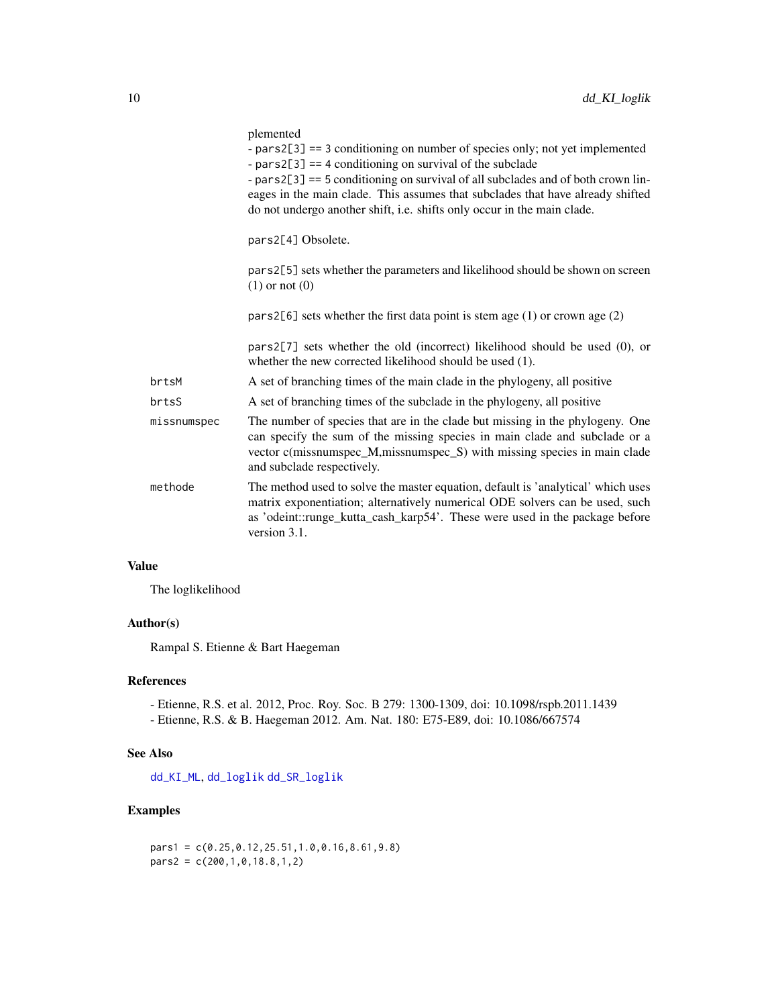<span id="page-9-0"></span>

|             | plemented<br>- $pars2[3] == 3$ conditioning on number of species only; not yet implemented<br>- $pars2[3] == 4$ conditioning on survival of the subclade<br>- pars2[3] == 5 conditioning on survival of all subclades and of both crown lin-<br>eages in the main clade. This assumes that subclades that have already shifted<br>do not undergo another shift, i.e. shifts only occur in the main clade. |
|-------------|-----------------------------------------------------------------------------------------------------------------------------------------------------------------------------------------------------------------------------------------------------------------------------------------------------------------------------------------------------------------------------------------------------------|
|             | pars2[4] Obsolete.                                                                                                                                                                                                                                                                                                                                                                                        |
|             | pars2[5] sets whether the parameters and likelihood should be shown on screen<br>$(1)$ or not $(0)$                                                                                                                                                                                                                                                                                                       |
|             | pars2[6] sets whether the first data point is stem age $(1)$ or crown age $(2)$                                                                                                                                                                                                                                                                                                                           |
|             | pars2 $[7]$ sets whether the old (incorrect) likelihood should be used $(0)$ , or<br>whether the new corrected likelihood should be used (1).                                                                                                                                                                                                                                                             |
| brtsM       | A set of branching times of the main clade in the phylogeny, all positive                                                                                                                                                                                                                                                                                                                                 |
| brtsS       | A set of branching times of the subclade in the phylogeny, all positive                                                                                                                                                                                                                                                                                                                                   |
| missnumspec | The number of species that are in the clade but missing in the phylogeny. One<br>can specify the sum of the missing species in main clade and subclade or a<br>vector c(missnumspec_M,missnumspec_S) with missing species in main clade<br>and subclade respectively.                                                                                                                                     |
| methode     | The method used to solve the master equation, default is 'analytical' which uses<br>matrix exponentiation; alternatively numerical ODE solvers can be used, such<br>as 'odeint::runge_kutta_cash_karp54'. These were used in the package before<br>version 3.1.                                                                                                                                           |

# Value

The loglikelihood

#### Author(s)

Rampal S. Etienne & Bart Haegeman

# References

- Etienne, R.S. et al. 2012, Proc. Roy. Soc. B 279: 1300-1309, doi: 10.1098/rspb.2011.1439 - Etienne, R.S. & B. Haegeman 2012. Am. Nat. 180: E75-E89, doi: 10.1086/667574

#### See Also

[dd\\_KI\\_ML](#page-10-1), [dd\\_loglik](#page-15-1) [dd\\_SR\\_loglik](#page-34-1)

#### Examples

pars1 = c(0.25,0.12,25.51,1.0,0.16,8.61,9.8) pars2 = c(200,1,0,18.8,1,2)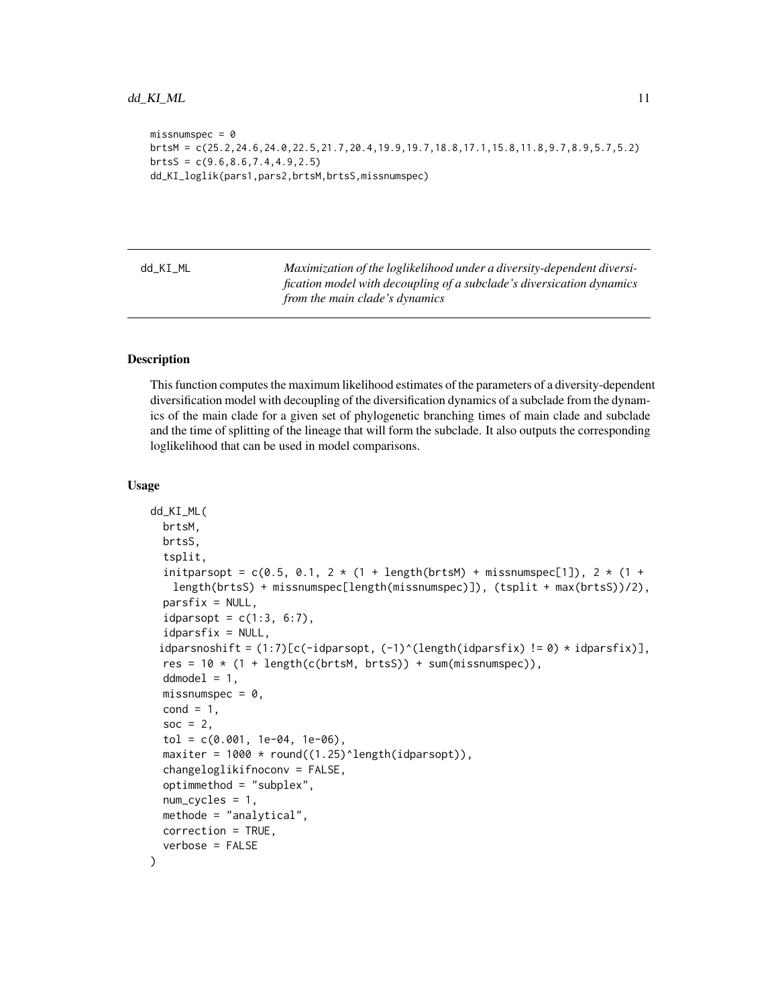```
missumspec = 0brtsM = c(25.2,24.6,24.0,22.5,21.7,20.4,19.9,19.7,18.8,17.1,15.8,11.8,9.7,8.9,5.7,5.2)
brtsS = c(9.6, 8.6, 7.4, 4.9, 2.5)dd_KI_loglik(pars1,pars2,brtsM,brtsS,missnumspec)
```
<span id="page-10-1"></span>dd\_KI\_ML *Maximization of the loglikelihood under a diversity-dependent diversification model with decoupling of a subclade's diversication dynamics from the main clade's dynamics*

#### **Description**

This function computes the maximum likelihood estimates of the parameters of a diversity-dependent diversification model with decoupling of the diversification dynamics of a subclade from the dynamics of the main clade for a given set of phylogenetic branching times of main clade and subclade and the time of splitting of the lineage that will form the subclade. It also outputs the corresponding loglikelihood that can be used in model comparisons.

#### Usage

```
dd_KI_ML(
 brtsM,
 brtsS,
  tsplit,
  initparsopt = c(0.5, 0.1, 2 \times (1 + length(brtsM) + missing)length(brtsS) + missnumspec[length(missnumspec)]), (tsplit + max(brtsS))/2),
  partsfix = NULL,idparsept = c(1:3, 6:7),
  idparsfix = NULL,
 idparsnoshift = (1:7)[c(-idparsept, (-1)^{d}(length(idparsefix) != 0) * idparsefix)],res = 10 * (1 + length(c(brtsM, brts)) + sum(missnumspec)),ddmodel = 1,
 missnumspec = 0,
  cond = 1,
  soc = 2,
  tol = c(0.001, 1e-04, 1e-06),
  maxiter = 1000 * round((1.25)^{\text{length}}(idparsept)),changeloglikifnoconv = FALSE,
  optimmethod = "subplex",
  num_cycles = 1,
 methode = "analytical",
 correction = TRUE,
  verbose = FALSE
)
```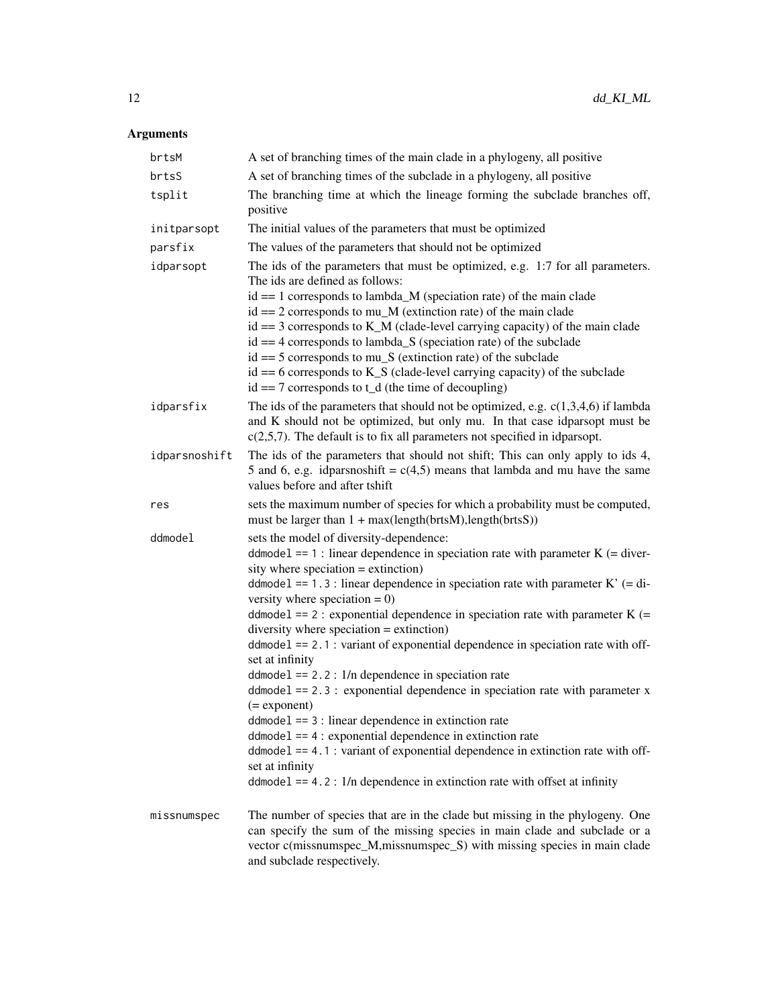| brtsM         | A set of branching times of the main clade in a phylogeny, all positive                                                                                                                                                                                                                                                                                                                                                                                                                                                                                                                                                                                                                                                                                                                                                                                                                                                                                                                                            |
|---------------|--------------------------------------------------------------------------------------------------------------------------------------------------------------------------------------------------------------------------------------------------------------------------------------------------------------------------------------------------------------------------------------------------------------------------------------------------------------------------------------------------------------------------------------------------------------------------------------------------------------------------------------------------------------------------------------------------------------------------------------------------------------------------------------------------------------------------------------------------------------------------------------------------------------------------------------------------------------------------------------------------------------------|
| brtsS         | A set of branching times of the subclade in a phylogeny, all positive                                                                                                                                                                                                                                                                                                                                                                                                                                                                                                                                                                                                                                                                                                                                                                                                                                                                                                                                              |
| tsplit        | The branching time at which the lineage forming the subclade branches off,<br>positive                                                                                                                                                                                                                                                                                                                                                                                                                                                                                                                                                                                                                                                                                                                                                                                                                                                                                                                             |
| initparsopt   | The initial values of the parameters that must be optimized                                                                                                                                                                                                                                                                                                                                                                                                                                                                                                                                                                                                                                                                                                                                                                                                                                                                                                                                                        |
| parsfix       | The values of the parameters that should not be optimized                                                                                                                                                                                                                                                                                                                                                                                                                                                                                                                                                                                                                                                                                                                                                                                                                                                                                                                                                          |
| idparsopt     | The ids of the parameters that must be optimized, e.g. 1:7 for all parameters.<br>The ids are defined as follows:<br>$id == 1$ corresponds to lambda_M (speciation rate) of the main clade<br>$id == 2$ corresponds to mu_M (extinction rate) of the main clade<br>$id == 3$ corresponds to K_M (clade-level carrying capacity) of the main clade<br>$id = 4$ corresponds to lambda_S (speciation rate) of the subclade<br>$id == 5$ corresponds to mu <sub><math>\mathbb{S}</math></sub> (extinction rate) of the subclade<br>$id == 6$ corresponds to K_S (clade-level carrying capacity) of the subclade<br>$id == 7$ corresponds to t_d (the time of decoupling)                                                                                                                                                                                                                                                                                                                                               |
| idparsfix     | The ids of the parameters that should not be optimized, e.g. $c(1,3,4,6)$ if lambda<br>and K should not be optimized, but only mu. In that case idparsopt must be<br>$c(2,5,7)$ . The default is to fix all parameters not specified in idparsopt.                                                                                                                                                                                                                                                                                                                                                                                                                                                                                                                                                                                                                                                                                                                                                                 |
| idparsnoshift | The ids of the parameters that should not shift; This can only apply to ids 4,<br>5 and 6, e.g. idparsnoshift = $c(4,5)$ means that lambda and mu have the same<br>values before and after tshift                                                                                                                                                                                                                                                                                                                                                                                                                                                                                                                                                                                                                                                                                                                                                                                                                  |
| res           | sets the maximum number of species for which a probability must be computed,<br>must be larger than $1 + max(lenath(brtsM), length(brtsS))$                                                                                                                                                                                                                                                                                                                                                                                                                                                                                                                                                                                                                                                                                                                                                                                                                                                                        |
| ddmodel       | sets the model of diversity-dependence:<br>ddmodel == 1 : linear dependence in speciation rate with parameter $K$ (= diver-<br>sity where speciation $=$ extinction)<br>ddmode1 == 1.3 : linear dependence in speciation rate with parameter $K'$ (= di-<br>versity where speciation $= 0$ )<br>ddmodel == 2 : exponential dependence in speciation rate with parameter $K$ (=<br>diversity where speciation $=$ extinction)<br>$ddmodel == 2.1$ : variant of exponential dependence in speciation rate with off-<br>set at infinity<br>$ddmodel == 2.2: 1/n$ dependence in speciation rate<br>$ddmodel == 2.3$ : exponential dependence in speciation rate with parameter x<br>$(=$ exponent $)$<br>$ddmodel == 3$ : linear dependence in extinction rate<br>$ddmodel == 4$ : exponential dependence in extinction rate<br>$ddmodel == 4.1$ : variant of exponential dependence in extinction rate with off-<br>set at infinity<br>$ddmodel == 4.2$ : $1/n$ dependence in extinction rate with offset at infinity |
| missnumspec   | The number of species that are in the clade but missing in the phylogeny. One<br>can specify the sum of the missing species in main clade and subclade or a<br>vector c(missnumspec_M,missnumspec_S) with missing species in main clade<br>and subclade respectively.                                                                                                                                                                                                                                                                                                                                                                                                                                                                                                                                                                                                                                                                                                                                              |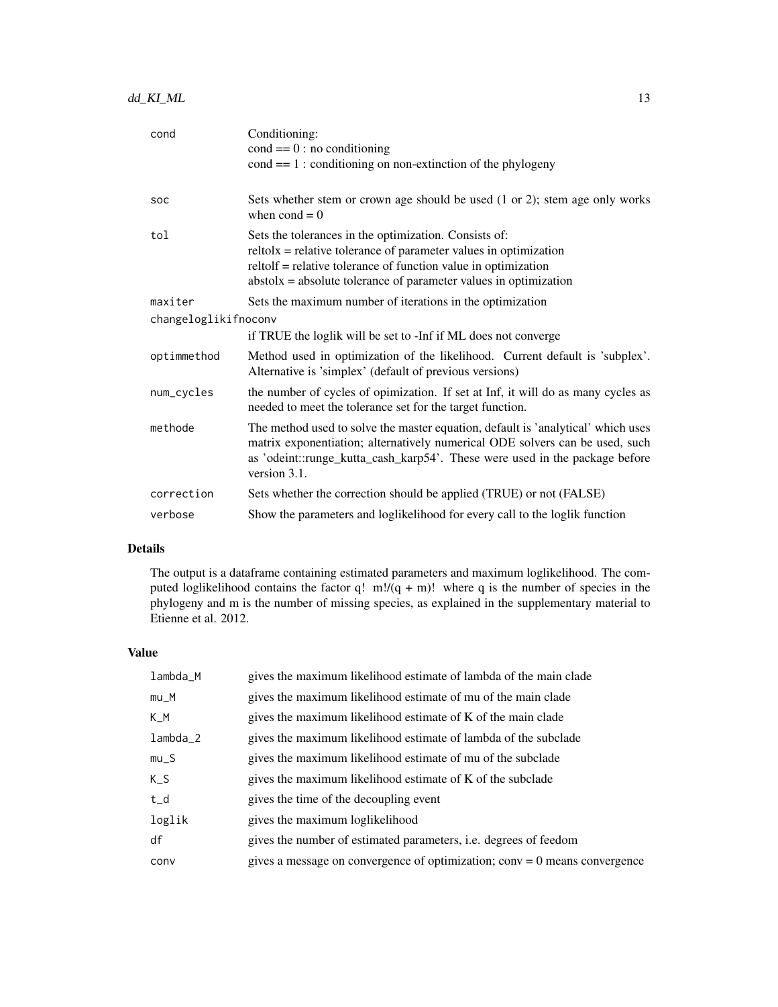| cond                 | Conditioning:                                                                                                                                                                                                                                                       |  |
|----------------------|---------------------------------------------------------------------------------------------------------------------------------------------------------------------------------------------------------------------------------------------------------------------|--|
|                      | $cond == 0: no conditioning$                                                                                                                                                                                                                                        |  |
|                      | $cond == 1:$ conditioning on non-extinction of the phylogeny                                                                                                                                                                                                        |  |
|                      |                                                                                                                                                                                                                                                                     |  |
| SOC                  | Sets whether stem or crown age should be used (1 or 2); stem age only works<br>when $\text{cond} = 0$                                                                                                                                                               |  |
| tol                  | Sets the tolerances in the optimization. Consists of:<br>$reltolx =$ relative tolerance of parameter values in optimization<br>reltolf = relative tolerance of function value in optimization<br>$abstolx = absolute tolerance of parameter values in optimization$ |  |
| maxiter              | Sets the maximum number of iterations in the optimization                                                                                                                                                                                                           |  |
| changeloglikifnoconv |                                                                                                                                                                                                                                                                     |  |
|                      | if TRUE the loglik will be set to -Inf if ML does not converge                                                                                                                                                                                                      |  |
| optimmethod          | Method used in optimization of the likelihood. Current default is 'subplex'.<br>Alternative is 'simplex' (default of previous versions)                                                                                                                             |  |
| num_cycles           | the number of cycles of opimization. If set at Inf, it will do as many cycles as<br>needed to meet the tolerance set for the target function.                                                                                                                       |  |
| methode              | The method used to solve the master equation, default is 'analytical' which uses<br>matrix exponentiation; alternatively numerical ODE solvers can be used, such<br>as 'odeint::runge_kutta_cash_karp54'. These were used in the package before<br>version 3.1.     |  |
| correction           | Sets whether the correction should be applied (TRUE) or not (FALSE)                                                                                                                                                                                                 |  |
| verbose              | Show the parameters and loglikelihood for every call to the loglik function                                                                                                                                                                                         |  |

# Details

The output is a dataframe containing estimated parameters and maximum loglikelihood. The computed loglikelihood contains the factor q!  $m!/(q + m)!$  where q is the number of species in the phylogeny and m is the number of missing species, as explained in the supplementary material to Etienne et al. 2012.

#### Value

| lambda_M   | gives the maximum likelihood estimate of lambda of the main clade            |
|------------|------------------------------------------------------------------------------|
| $mu_M$     | gives the maximum likelihood estimate of mu of the main clade                |
| K M        | gives the maximum likelihood estimate of K of the main clade                 |
| $lambda_2$ | gives the maximum likelihood estimate of lambda of the subclade              |
| $mu_S$     | gives the maximum likelihood estimate of mu of the subclade                  |
| K S        | gives the maximum likelihood estimate of K of the subclade                   |
| $t_d$      | gives the time of the decoupling event                                       |
| loglik     | gives the maximum loglikelihood                                              |
| df         | gives the number of estimated parameters, i.e. degrees of feedom             |
| conv       | gives a message on convergence of optimization; $conv = 0$ means convergence |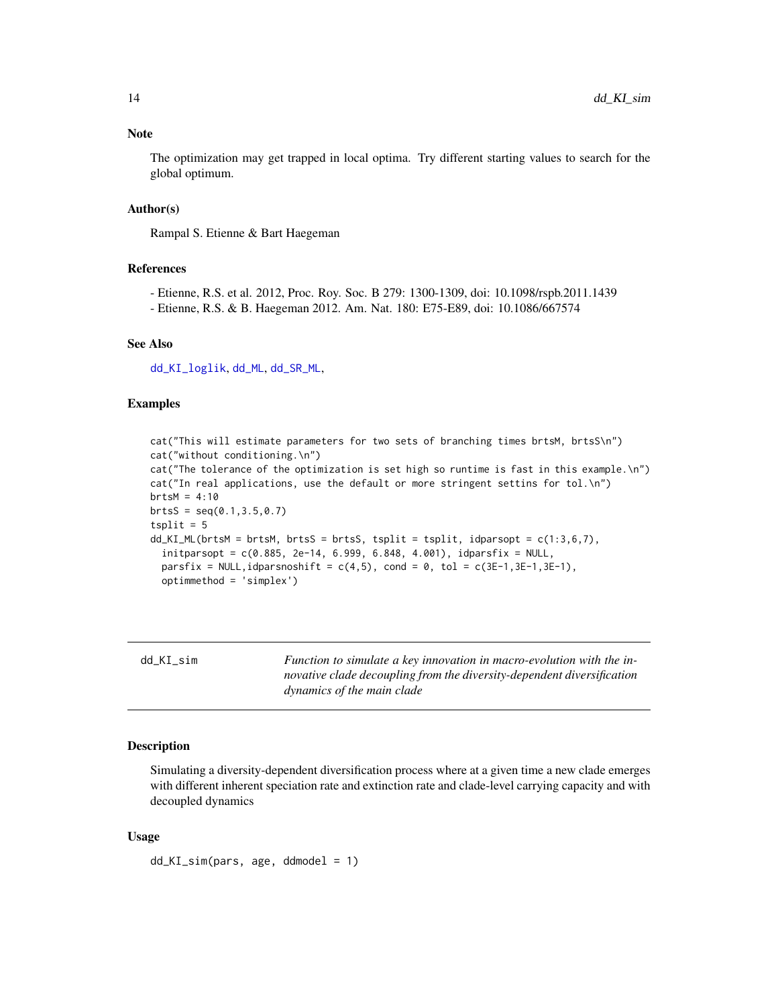#### <span id="page-13-0"></span>Note

The optimization may get trapped in local optima. Try different starting values to search for the global optimum.

#### Author(s)

Rampal S. Etienne & Bart Haegeman

#### References

- Etienne, R.S. et al. 2012, Proc. Roy. Soc. B 279: 1300-1309, doi: 10.1098/rspb.2011.1439
- Etienne, R.S. & B. Haegeman 2012. Am. Nat. 180: E75-E89, doi: 10.1086/667574

#### See Also

[dd\\_KI\\_loglik](#page-7-1), [dd\\_ML](#page-20-1), [dd\\_SR\\_ML](#page-36-1),

#### Examples

cat("This will estimate parameters for two sets of branching times brtsM, brtsS\n") cat("without conditioning.\n") cat("The tolerance of the optimization is set high so runtime is fast in this example.\n") cat("In real applications, use the default or more stringent settins for tol.\n")  $brtsM = 4:10$  $brtsS = seq(0.1, 3.5, 0.7)$  $tsplit = 5$ dd\_KI\_ML(brtsM = brtsM, brtsS = brtsS, tsplit = tsplit, idparsopt = c(1:3,6,7), initparsopt = c(0.885, 2e-14, 6.999, 6.848, 4.001), idparsfix = NULL, parsfix = NULL,idparsnoshift =  $c(4,5)$ , cond = 0, tol =  $c(3E-1,3E-1,3E-1)$ , optimmethod = 'simplex')

| dd KI sim | Function to simulate a key innovation in macro-evolution with the in-  |
|-----------|------------------------------------------------------------------------|
|           | novative clade decoupling from the diversity-dependent diversification |
|           | dynamics of the main clade                                             |

#### Description

Simulating a diversity-dependent diversification process where at a given time a new clade emerges with different inherent speciation rate and extinction rate and clade-level carrying capacity and with decoupled dynamics

#### Usage

dd\_KI\_sim(pars, age, ddmodel = 1)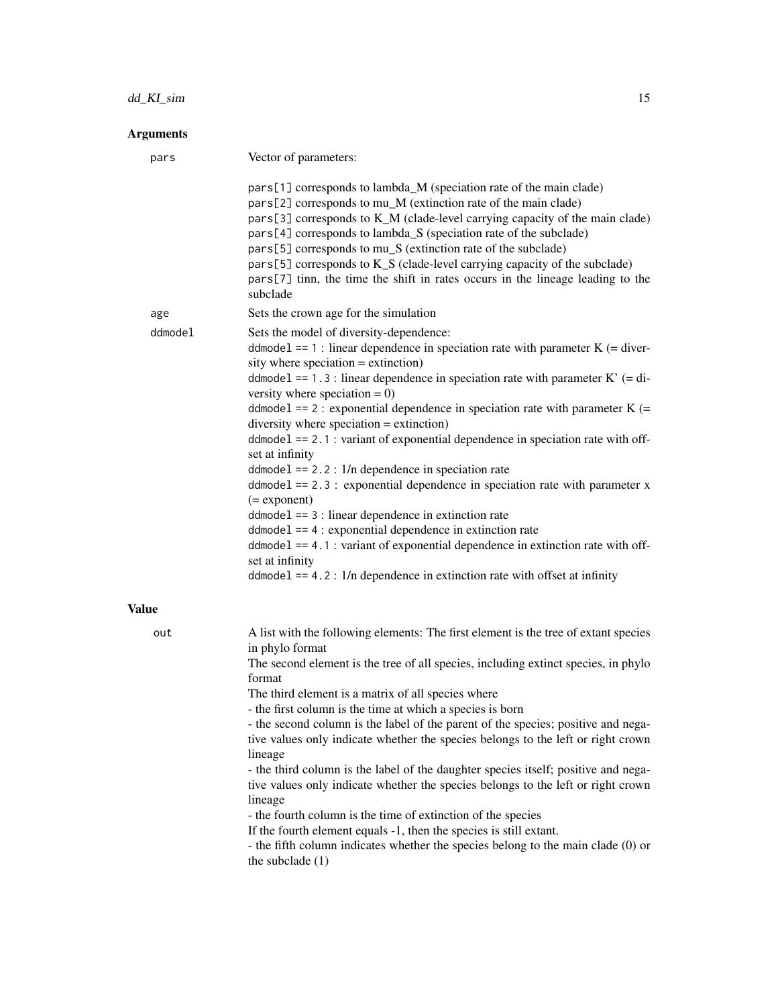# dd\_KI\_sim 15

| Vector of parameters:                                                                                                                                                                                                                                                                                                                                                                                                                                                                                                                                                                                                                                                                                                                                                                                                                                                                                                                              |
|----------------------------------------------------------------------------------------------------------------------------------------------------------------------------------------------------------------------------------------------------------------------------------------------------------------------------------------------------------------------------------------------------------------------------------------------------------------------------------------------------------------------------------------------------------------------------------------------------------------------------------------------------------------------------------------------------------------------------------------------------------------------------------------------------------------------------------------------------------------------------------------------------------------------------------------------------|
| pars[1] corresponds to lambda_M (speciation rate of the main clade)<br>pars[2] corresponds to mu_M (extinction rate of the main clade)<br>pars[3] corresponds to K_M (clade-level carrying capacity of the main clade)<br>pars[4] corresponds to lambda_S (speciation rate of the subclade)<br>pars[5] corresponds to mu_S (extinction rate of the subclade)<br>pars[5] corresponds to K_S (clade-level carrying capacity of the subclade)<br>pars[7] tinn, the time the shift in rates occurs in the lineage leading to the<br>subclade                                                                                                                                                                                                                                                                                                                                                                                                           |
| Sets the crown age for the simulation                                                                                                                                                                                                                                                                                                                                                                                                                                                                                                                                                                                                                                                                                                                                                                                                                                                                                                              |
| Sets the model of diversity-dependence:<br>ddmodel == 1 : linear dependence in speciation rate with parameter $K$ (= diver-<br>sity where speciation $=$ extinction)<br>ddmode1 == 1.3 : linear dependence in speciation rate with parameter $K'$ (= di-<br>versity where speciation $= 0$ )<br>ddmodel == 2 : exponential dependence in speciation rate with parameter $K$ (=<br>diversity where speciation $=$ extinction)<br>$ddmodel == 2.1$ : variant of exponential dependence in speciation rate with off-<br>set at infinity<br>$ddmodel == 2.2: 1/n$ dependence in speciation rate<br>$ddmodel == 2.3$ : exponential dependence in speciation rate with parameter x<br>$(=$ exponent $)$<br>$ddmodel == 3$ : linear dependence in extinction rate<br>$ddmodel == 4$ : exponential dependence in extinction rate<br>$ddmodel == 4.1$ : variant of exponential dependence in extinction rate with off-<br>set at infinity                   |
| $ddmodel == 4.2$ : $1/n$ dependence in extinction rate with offset at infinity                                                                                                                                                                                                                                                                                                                                                                                                                                                                                                                                                                                                                                                                                                                                                                                                                                                                     |
|                                                                                                                                                                                                                                                                                                                                                                                                                                                                                                                                                                                                                                                                                                                                                                                                                                                                                                                                                    |
| A list with the following elements: The first element is the tree of extant species<br>in phylo format<br>The second element is the tree of all species, including extinct species, in phylo<br>format<br>The third element is a matrix of all species where<br>- the first column is the time at which a species is born<br>- the second column is the label of the parent of the species; positive and nega-<br>tive values only indicate whether the species belongs to the left or right crown<br>lineage<br>- the third column is the label of the daughter species itself; positive and nega-<br>tive values only indicate whether the species belongs to the left or right crown<br>lineage<br>- the fourth column is the time of extinction of the species<br>If the fourth element equals -1, then the species is still extant.<br>- the fifth column indicates whether the species belong to the main clade (0) or<br>the subclade $(1)$ |
|                                                                                                                                                                                                                                                                                                                                                                                                                                                                                                                                                                                                                                                                                                                                                                                                                                                                                                                                                    |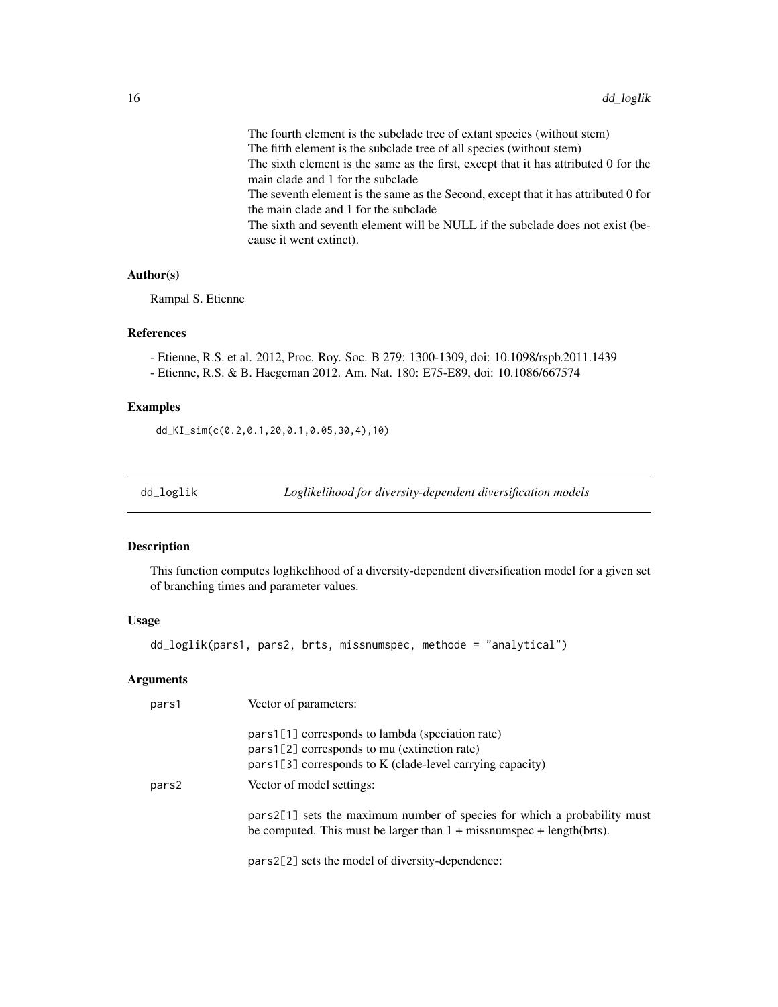<span id="page-15-0"></span>The fourth element is the subclade tree of extant species (without stem) The fifth element is the subclade tree of all species (without stem) The sixth element is the same as the first, except that it has attributed 0 for the main clade and 1 for the subclade The seventh element is the same as the Second, except that it has attributed 0 for the main clade and 1 for the subclade The sixth and seventh element will be NULL if the subclade does not exist (because it went extinct).

#### Author(s)

Rampal S. Etienne

#### References

- Etienne, R.S. et al. 2012, Proc. Roy. Soc. B 279: 1300-1309, doi: 10.1098/rspb.2011.1439 - Etienne, R.S. & B. Haegeman 2012. Am. Nat. 180: E75-E89, doi: 10.1086/667574

#### Examples

dd\_KI\_sim(c(0.2,0.1,20,0.1,0.05,30,4),10)

<span id="page-15-1"></span>

dd\_loglik *Loglikelihood for diversity-dependent diversification models*

#### Description

This function computes loglikelihood of a diversity-dependent diversification model for a given set of branching times and parameter values.

#### Usage

dd\_loglik(pars1, pars2, brts, missnumspec, methode = "analytical")

| pars1 | Vector of parameters:                                                                                                                                             |
|-------|-------------------------------------------------------------------------------------------------------------------------------------------------------------------|
|       | $pars1[1]$ corresponds to lambda (speciation rate)<br>pars1[2] corresponds to mu (extinction rate)<br>$pars1[3]$ corresponds to K (clade-level carrying capacity) |
| pars2 | Vector of model settings:                                                                                                                                         |
|       | pars2[1] sets the maximum number of species for which a probability must<br>be computed. This must be larger than $1 +$ missnumspec + length(brts).               |
|       | pars2[2] sets the model of diversity-dependence:                                                                                                                  |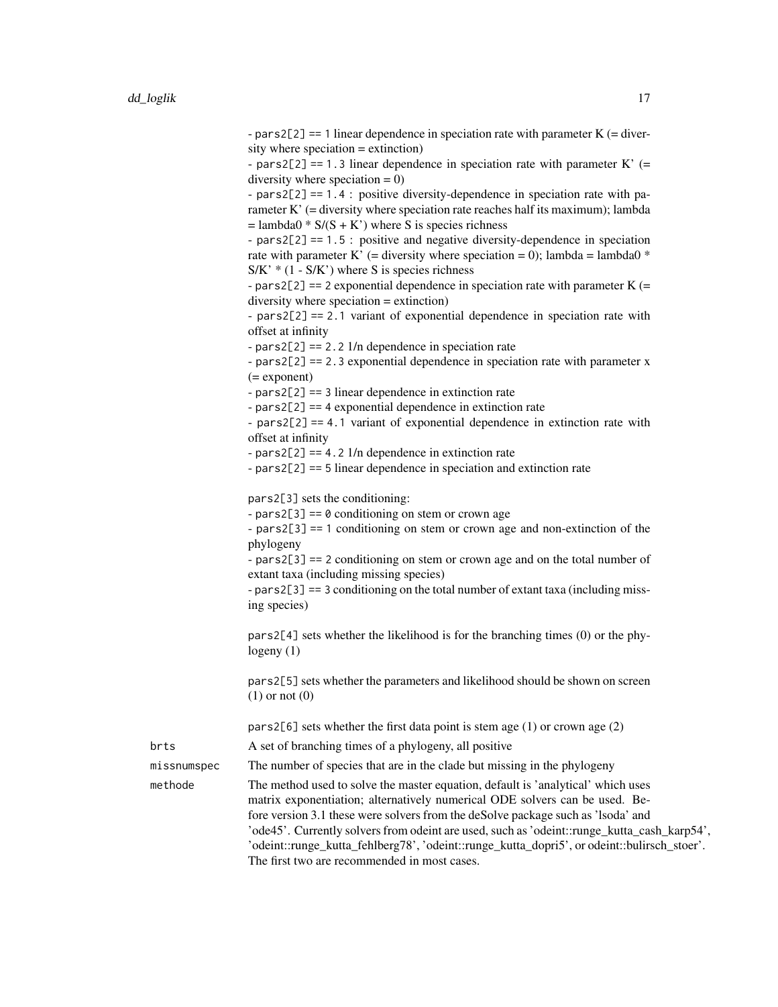| - pars2[2] == 1 linear dependence in speciation rate with parameter $K$ (= diver- |
|-----------------------------------------------------------------------------------|
| sity where speciation $=$ extinction)                                             |

- pars2[2] == 1.3 linear dependence in speciation rate with parameter K' (= diversity where speciation  $= 0$ )

- pars2[2] == 1.4 : positive diversity-dependence in speciation rate with parameter K' (= diversity where speciation rate reaches half its maximum); lambda  $=$  lambda0  $* S/(S + K')$  where S is species richness

- pars2[2] == 1.5 : positive and negative diversity-dependence in speciation rate with parameter K' (= diversity where speciation = 0); lambda = lambda0  $*$  $S/K' * (1 - S/K')$  where S is species richness

- pars2[2] == 2 exponential dependence in speciation rate with parameter  $K$  (= diversity where speciation = extinction)

- pars2[2] == 2.1 variant of exponential dependence in speciation rate with offset at infinity

- pars2[2] == 2.2 1/n dependence in speciation rate

- pars2[2] == 2.3 exponential dependence in speciation rate with parameter x (= exponent)

- pars2[2] == 3 linear dependence in extinction rate

- pars2[2] == 4 exponential dependence in extinction rate

- pars2[2] == 4.1 variant of exponential dependence in extinction rate with offset at infinity

 $-pars2[2] == 4.2 1/n dependence in extinction rate$ 

- pars2[2] == 5 linear dependence in speciation and extinction rate

pars2[3] sets the conditioning:

 $-pars2[3] == 0$  conditioning on stem or crown age

- pars2[3] == 1 conditioning on stem or crown age and non-extinction of the phylogeny

- pars2[3] == 2 conditioning on stem or crown age and on the total number of extant taxa (including missing species)

- pars2[3] == 3 conditioning on the total number of extant taxa (including missing species)

pars2[4] sets whether the likelihood is for the branching times (0) or the phylogeny (1)

pars2[5] sets whether the parameters and likelihood should be shown on screen (1) or not (0)

pars2[6] sets whether the first data point is stem age  $(1)$  or crown age  $(2)$ 

brts A set of branching times of a phylogeny, all positive

missnumspec The number of species that are in the clade but missing in the phylogeny

methode The method used to solve the master equation, default is 'analytical' which uses matrix exponentiation; alternatively numerical ODE solvers can be used. Before version 3.1 these were solvers from the deSolve package such as 'lsoda' and 'ode45'. Currently solvers from odeint are used, such as 'odeint::runge\_kutta\_cash\_karp54', 'odeint::runge\_kutta\_fehlberg78', 'odeint::runge\_kutta\_dopri5', or odeint::bulirsch\_stoer'. The first two are recommended in most cases.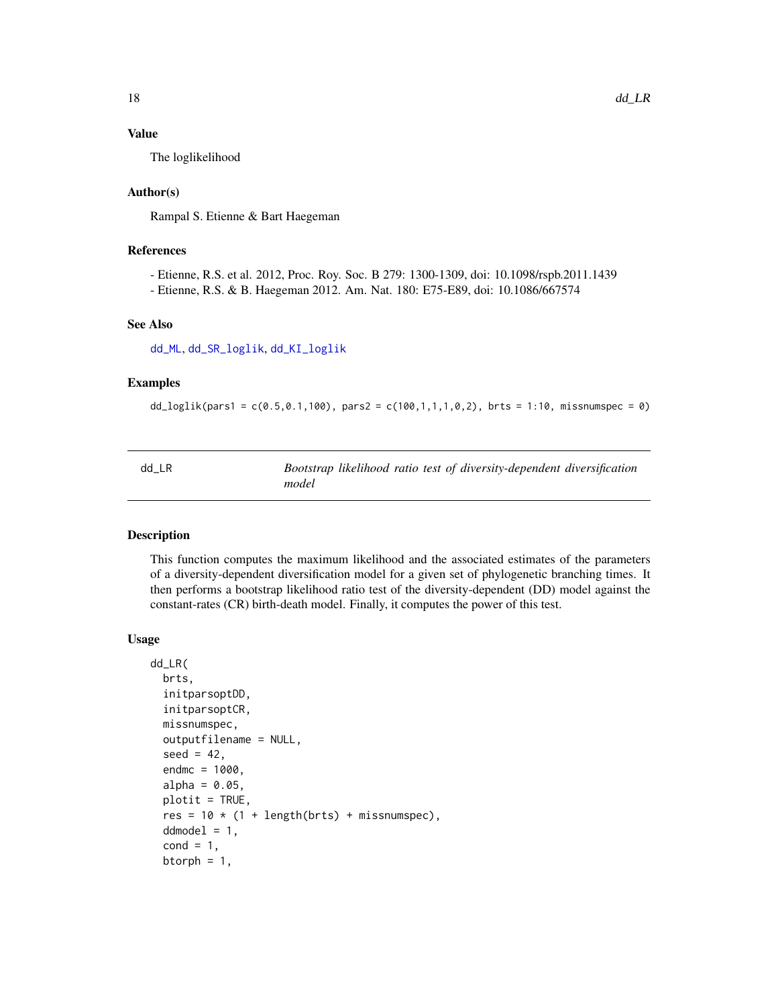#### <span id="page-17-0"></span>Value

The loglikelihood

#### Author(s)

Rampal S. Etienne & Bart Haegeman

#### References

- Etienne, R.S. et al. 2012, Proc. Roy. Soc. B 279: 1300-1309, doi: 10.1098/rspb.2011.1439

- Etienne, R.S. & B. Haegeman 2012. Am. Nat. 180: E75-E89, doi: 10.1086/667574

#### See Also

[dd\\_ML](#page-20-1), [dd\\_SR\\_loglik](#page-34-1), [dd\\_KI\\_loglik](#page-7-1)

#### Examples

```
dd_loglik(pars1 = c(0.5, 0.1, 100), pars2 = c(100, 1, 1, 1, 0, 2), brts = 1:10, missnumspec = 0)
```

| dd LR |       |  | Bootstrap likelihood ratio test of diversity-dependent diversification |  |
|-------|-------|--|------------------------------------------------------------------------|--|
|       | model |  |                                                                        |  |

#### Description

This function computes the maximum likelihood and the associated estimates of the parameters of a diversity-dependent diversification model for a given set of phylogenetic branching times. It then performs a bootstrap likelihood ratio test of the diversity-dependent (DD) model against the constant-rates (CR) birth-death model. Finally, it computes the power of this test.

#### Usage

```
dd_LR(
 brts,
  initparsoptDD,
  initparsoptCR,
 missnumspec,
  outputfilename = NULL,
  seed = 42,
  endmc = 1000,
  alpha = 0.05,
 plotit = TRUE,
  res = 10 * (1 + length(brts) + missing.ddmodel = 1,
  cond = 1,
  btorph = 1,
```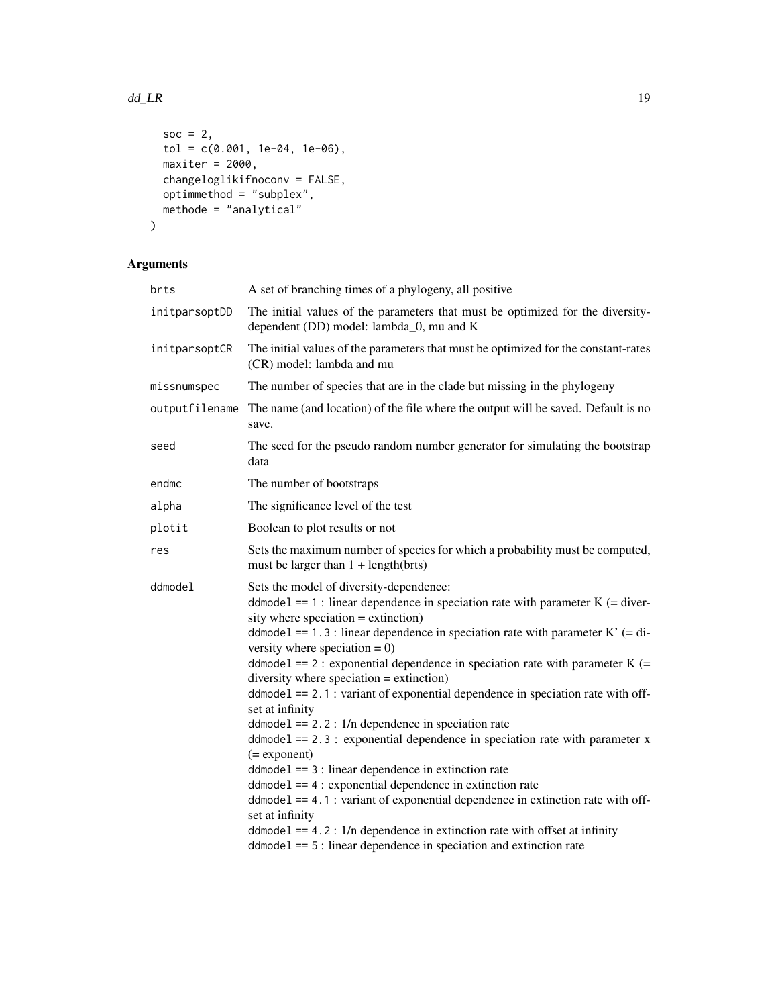#### dd\_LR 19

```
soc = 2,
 tol = c(0.001, 1e-04, 1e-06),
 maxiter = 2000,changeloglikifnoconv = FALSE,
 optimmethod = "subplex",
 methode = "analytical"
\mathcal{L}
```

| brts           | A set of branching times of a phylogeny, all positive                                                                                                                                                                                                                                                                                                                                                                                                                                                                                                                                                                                                                                                                                                                                                                                                                                                                                                                                                                                                                                   |  |  |
|----------------|-----------------------------------------------------------------------------------------------------------------------------------------------------------------------------------------------------------------------------------------------------------------------------------------------------------------------------------------------------------------------------------------------------------------------------------------------------------------------------------------------------------------------------------------------------------------------------------------------------------------------------------------------------------------------------------------------------------------------------------------------------------------------------------------------------------------------------------------------------------------------------------------------------------------------------------------------------------------------------------------------------------------------------------------------------------------------------------------|--|--|
| initparsoptDD  | The initial values of the parameters that must be optimized for the diversity-<br>dependent (DD) model: lambda_0, mu and K                                                                                                                                                                                                                                                                                                                                                                                                                                                                                                                                                                                                                                                                                                                                                                                                                                                                                                                                                              |  |  |
| initparsoptCR  | The initial values of the parameters that must be optimized for the constant-rates<br>(CR) model: lambda and mu                                                                                                                                                                                                                                                                                                                                                                                                                                                                                                                                                                                                                                                                                                                                                                                                                                                                                                                                                                         |  |  |
| missnumspec    | The number of species that are in the clade but missing in the phylogeny                                                                                                                                                                                                                                                                                                                                                                                                                                                                                                                                                                                                                                                                                                                                                                                                                                                                                                                                                                                                                |  |  |
| outputfilename | The name (and location) of the file where the output will be saved. Default is no<br>save.                                                                                                                                                                                                                                                                                                                                                                                                                                                                                                                                                                                                                                                                                                                                                                                                                                                                                                                                                                                              |  |  |
| seed           | The seed for the pseudo random number generator for simulating the bootstrap<br>data                                                                                                                                                                                                                                                                                                                                                                                                                                                                                                                                                                                                                                                                                                                                                                                                                                                                                                                                                                                                    |  |  |
| endmc          | The number of bootstraps                                                                                                                                                                                                                                                                                                                                                                                                                                                                                                                                                                                                                                                                                                                                                                                                                                                                                                                                                                                                                                                                |  |  |
| alpha          | The significance level of the test                                                                                                                                                                                                                                                                                                                                                                                                                                                                                                                                                                                                                                                                                                                                                                                                                                                                                                                                                                                                                                                      |  |  |
| plotit         | Boolean to plot results or not                                                                                                                                                                                                                                                                                                                                                                                                                                                                                                                                                                                                                                                                                                                                                                                                                                                                                                                                                                                                                                                          |  |  |
| res            | Sets the maximum number of species for which a probability must be computed,<br>must be larger than $1 + length(brts)$                                                                                                                                                                                                                                                                                                                                                                                                                                                                                                                                                                                                                                                                                                                                                                                                                                                                                                                                                                  |  |  |
| ddmodel        | Sets the model of diversity-dependence:<br>ddmodel == 1 : linear dependence in speciation rate with parameter $K$ (= diver-<br>sity where speciation $=$ extinction)<br>ddmodel == 1.3 : linear dependence in speciation rate with parameter $K'$ (= di-<br>versity where speciation $= 0$ )<br>ddmodel == $2:$ exponential dependence in speciation rate with parameter K (=<br>diversity where speciation $=$ extinction)<br>$ddmodel == 2.1$ : variant of exponential dependence in speciation rate with off-<br>set at infinity<br>$ddmodel == 2.2: 1/n$ dependence in speciation rate<br>$ddmodel == 2.3$ : exponential dependence in speciation rate with parameter x<br>$(=$ exponent $)$<br>$ddmodel == 3$ : linear dependence in extinction rate<br>$ddmodel == 4$ : exponential dependence in extinction rate<br>$ddmodel == 4.1$ : variant of exponential dependence in extinction rate with off-<br>set at infinity<br>$ddmodel == 4.2$ : 1/n dependence in extinction rate with offset at infinity<br>$ddmodel == 5$ : linear dependence in speciation and extinction rate |  |  |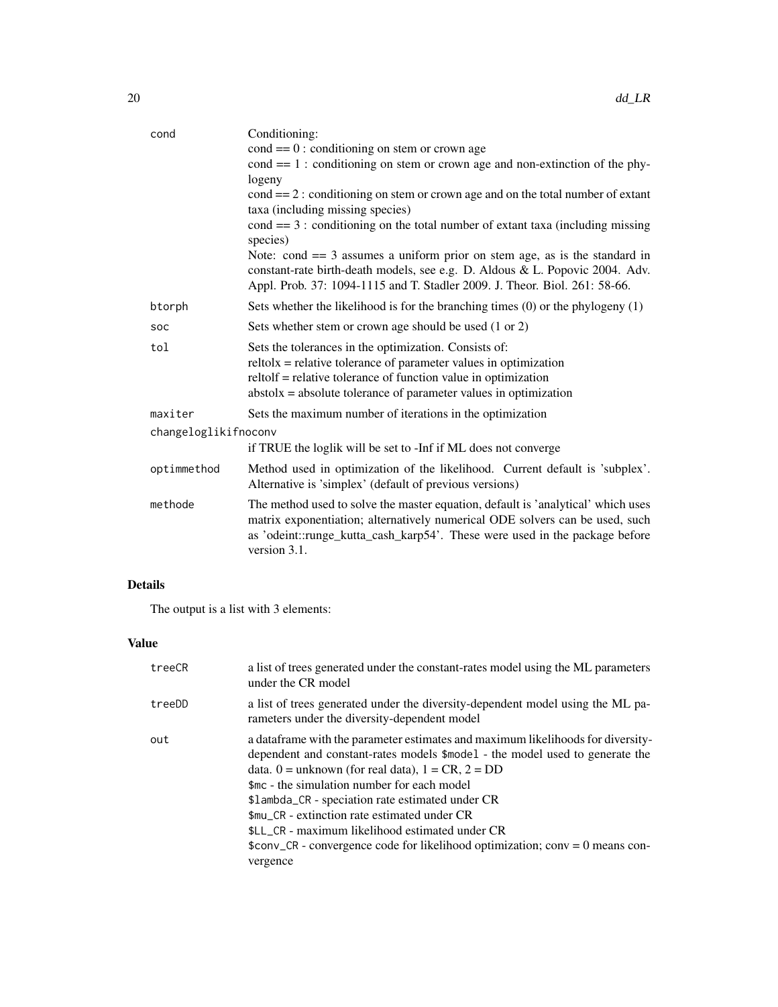| cond                 | Conditioning:                                                                                                                                                                                                                                                       |
|----------------------|---------------------------------------------------------------------------------------------------------------------------------------------------------------------------------------------------------------------------------------------------------------------|
|                      | $\text{cond} == 0$ : conditioning on stem or crown age                                                                                                                                                                                                              |
|                      | $cond == 1$ : conditioning on stem or crown age and non-extinction of the phy-                                                                                                                                                                                      |
|                      | logeny                                                                                                                                                                                                                                                              |
|                      | $\text{cond} == 2$ : conditioning on stem or crown age and on the total number of extant<br>taxa (including missing species)                                                                                                                                        |
|                      | $cond == 3$ : conditioning on the total number of extant taxa (including missing<br>species)                                                                                                                                                                        |
|                      | Note: cond $== 3$ assumes a uniform prior on stem age, as is the standard in<br>constant-rate birth-death models, see e.g. D. Aldous & L. Popovic 2004. Adv.<br>Appl. Prob. 37: 1094-1115 and T. Stadler 2009. J. Theor. Biol. 261: 58-66.                          |
| btorph               | Sets whether the likelihood is for the branching times $(0)$ or the phylogeny $(1)$                                                                                                                                                                                 |
| SOC                  | Sets whether stem or crown age should be used (1 or 2)                                                                                                                                                                                                              |
| tol                  | Sets the tolerances in the optimization. Consists of:<br>$reltolx = relative tolerance of parameter values in optimization$<br>reltolf = relative tolerance of function value in optimization<br>$abstolx = absolute tolerance of parameter values in optimization$ |
| maxiter              | Sets the maximum number of iterations in the optimization                                                                                                                                                                                                           |
| changeloglikifnoconv |                                                                                                                                                                                                                                                                     |
|                      | if TRUE the loglik will be set to -Inf if ML does not converge                                                                                                                                                                                                      |
| optimmethod          | Method used in optimization of the likelihood. Current default is 'subplex'.<br>Alternative is 'simplex' (default of previous versions)                                                                                                                             |
| methode              | The method used to solve the master equation, default is 'analytical' which uses<br>matrix exponentiation; alternatively numerical ODE solvers can be used, such<br>as 'odeint::runge_kutta_cash_karp54'. These were used in the package before<br>version 3.1.     |

# Details

The output is a list with 3 elements:

# Value

| treeCR | a list of trees generated under the constant-rates model using the ML parameters<br>under the CR model                                                                                                                                                                                                                                                                                                                                                                                                                            |
|--------|-----------------------------------------------------------------------------------------------------------------------------------------------------------------------------------------------------------------------------------------------------------------------------------------------------------------------------------------------------------------------------------------------------------------------------------------------------------------------------------------------------------------------------------|
| treeDD | a list of trees generated under the diversity-dependent model using the ML pa-<br>rameters under the diversity-dependent model                                                                                                                                                                                                                                                                                                                                                                                                    |
| out    | a data frame with the parameter estimates and maximum likelihoods for diversity-<br>dependent and constant-rates models \$model - the model used to generate the<br>data. $0 =$ unknown (for real data), $1 = CR$ , $2 = DD$<br>\$mc - the simulation number for each model<br>\$1ambda_CR - speciation rate estimated under CR<br>\$mu CR - extinction rate estimated under CR<br>\$LL_CR - maximum likelihood estimated under CR<br>\$conv_CR - convergence code for likelihood optimization; conv = $0$ means con-<br>vergence |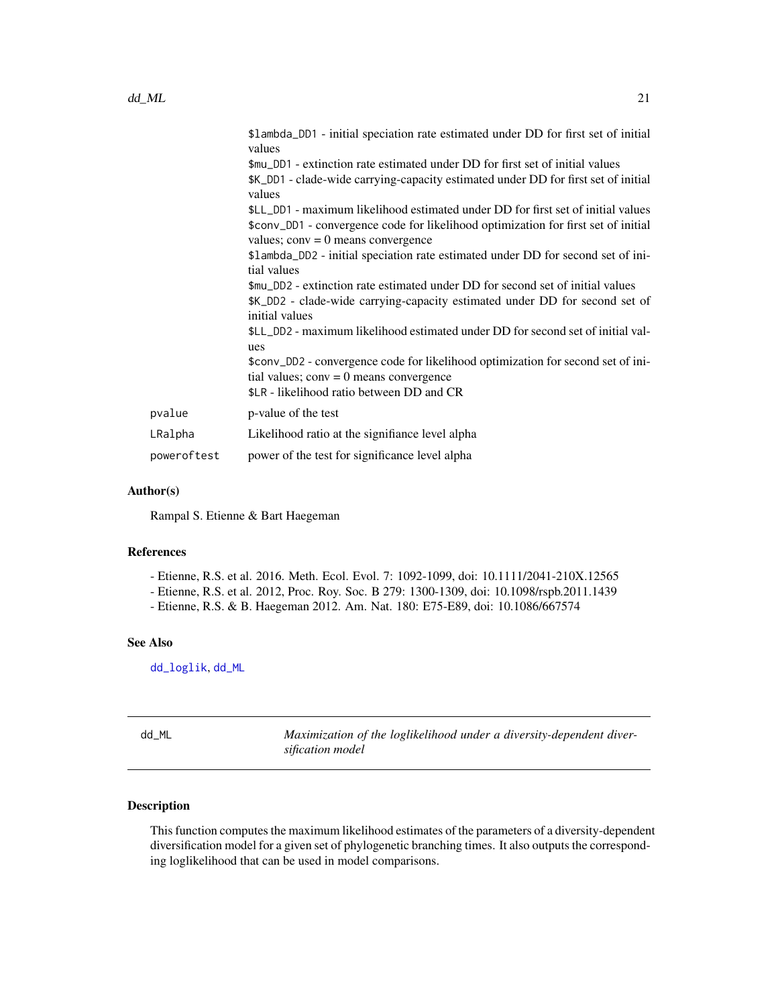<span id="page-20-0"></span>

| \$1ambda_DD1 - initial speciation rate estimated under DD for first set of initial<br>values                                  |
|-------------------------------------------------------------------------------------------------------------------------------|
| \$mu_DD1 - extinction rate estimated under DD for first set of initial values                                                 |
| \$K_DD1 - clade-wide carrying-capacity estimated under DD for first set of initial<br>values                                  |
| \$LL_DD1 - maximum likelihood estimated under DD for first set of initial values                                              |
| \$conv_DD1 - convergence code for likelihood optimization for first set of initial<br>values; $conv = 0$ means convergence    |
| \$1ambda_DD2 - initial speciation rate estimated under DD for second set of ini-<br>tial values                               |
| \$mu_DD2 - extinction rate estimated under DD for second set of initial values                                                |
| \$K_DD2 - clade-wide carrying-capacity estimated under DD for second set of<br>initial values                                 |
| \$LL_DD2 - maximum likelihood estimated under DD for second set of initial val-<br>ues                                        |
| \$conv_DD2 - convergence code for likelihood optimization for second set of ini-<br>tial values; $conv = 0$ means convergence |
| \$LR - likelihood ratio between DD and CR                                                                                     |
| p-value of the test                                                                                                           |
| Likelihood ratio at the signifiance level alpha                                                                               |
| power of the test for significance level alpha                                                                                |
|                                                                                                                               |

#### Author(s)

Rampal S. Etienne & Bart Haegeman

#### References

- Etienne, R.S. et al. 2016. Meth. Ecol. Evol. 7: 1092-1099, doi: 10.1111/2041-210X.12565
- Etienne, R.S. et al. 2012, Proc. Roy. Soc. B 279: 1300-1309, doi: 10.1098/rspb.2011.1439
- Etienne, R.S. & B. Haegeman 2012. Am. Nat. 180: E75-E89, doi: 10.1086/667574

#### See Also

[dd\\_loglik](#page-15-1), [dd\\_ML](#page-20-1)

<span id="page-20-1"></span>dd\_ML *Maximization of the loglikelihood under a diversity-dependent diversification model*

#### Description

This function computes the maximum likelihood estimates of the parameters of a diversity-dependent diversification model for a given set of phylogenetic branching times. It also outputs the corresponding loglikelihood that can be used in model comparisons.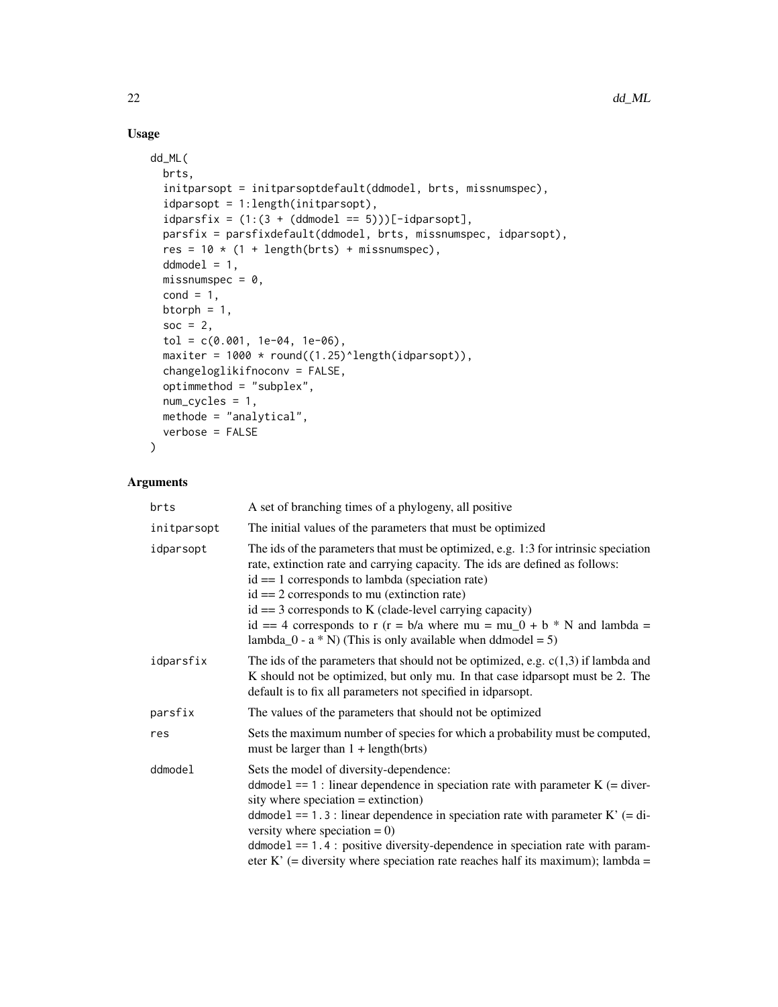# Usage

```
dd_ML(
 brts,
  initparsopt = initparsoptdefault(ddmodel, brts, missnumspec),
  idparsopt = 1:length(initparsopt),
  idparsfix = (1:(3 + (ddmodel == 5)))[-idparsopt],parsfix = parsfixdefault(ddmodel, brts, missnumspec, idparsopt),
  res = 10 * (1 + length(brts) + missing)ddmodel = 1,
 missnumspec = 0,
  cond = 1,
 btorph = 1,
  soc = 2,
  tol = c(0.001, 1e-04, 1e-06),
  maxiter = 1000 * round((1.25)^{\text{length}}(idparsept)),changeloglikifnoconv = FALSE,
  optimmethod = "subplex",
 num_cycles = 1,
 methode = "analytical",
  verbose = FALSE
\mathcal{L}
```

| brts                                                                                                                                                                                                                                                                                                                                                                                                                                                                                               | A set of branching times of a phylogeny, all positive                                                                                                                                                                                                                                                                                                                                                                                                             |
|----------------------------------------------------------------------------------------------------------------------------------------------------------------------------------------------------------------------------------------------------------------------------------------------------------------------------------------------------------------------------------------------------------------------------------------------------------------------------------------------------|-------------------------------------------------------------------------------------------------------------------------------------------------------------------------------------------------------------------------------------------------------------------------------------------------------------------------------------------------------------------------------------------------------------------------------------------------------------------|
| initparsopt                                                                                                                                                                                                                                                                                                                                                                                                                                                                                        | The initial values of the parameters that must be optimized                                                                                                                                                                                                                                                                                                                                                                                                       |
| The ids of the parameters that must be optimized, e.g. 1:3 for intrinsic speciation<br>idparsopt<br>rate, extinction rate and carrying capacity. The ids are defined as follows:<br>$id == 1$ corresponds to lambda (speciation rate)<br>$id == 2$ corresponds to mu (extinction rate)<br>$id == 3$ corresponds to K (clade-level carrying capacity)<br>id == 4 corresponds to r (r = b/a where mu = mu_0 + b $*$ N and lambda =<br>lambda_0 - $a * N$ ) (This is only available when ddmodel = 5) |                                                                                                                                                                                                                                                                                                                                                                                                                                                                   |
| idparsfix                                                                                                                                                                                                                                                                                                                                                                                                                                                                                          | The ids of the parameters that should not be optimized, e.g. $c(1,3)$ if lambda and<br>K should not be optimized, but only mu. In that case idparsopt must be 2. The<br>default is to fix all parameters not specified in idparsopt.                                                                                                                                                                                                                              |
| parsfix                                                                                                                                                                                                                                                                                                                                                                                                                                                                                            | The values of the parameters that should not be optimized                                                                                                                                                                                                                                                                                                                                                                                                         |
| res                                                                                                                                                                                                                                                                                                                                                                                                                                                                                                | Sets the maximum number of species for which a probability must be computed,<br>must be larger than $1 + length(brts)$                                                                                                                                                                                                                                                                                                                                            |
| ddmodel                                                                                                                                                                                                                                                                                                                                                                                                                                                                                            | Sets the model of diversity-dependence:<br>ddmodel == 1 : linear dependence in speciation rate with parameter $K$ (= diver-<br>sity where speciation $=$ extinction)<br>ddmode1 == 1.3 : linear dependence in speciation rate with parameter $K'$ (= di-<br>versity where speciation = $0$ )<br>$ddmodel == 1.4$ : positive diversity-dependence in speciation rate with param-<br>eter K' (= diversity where speciation rate reaches half its maximum); lambda = |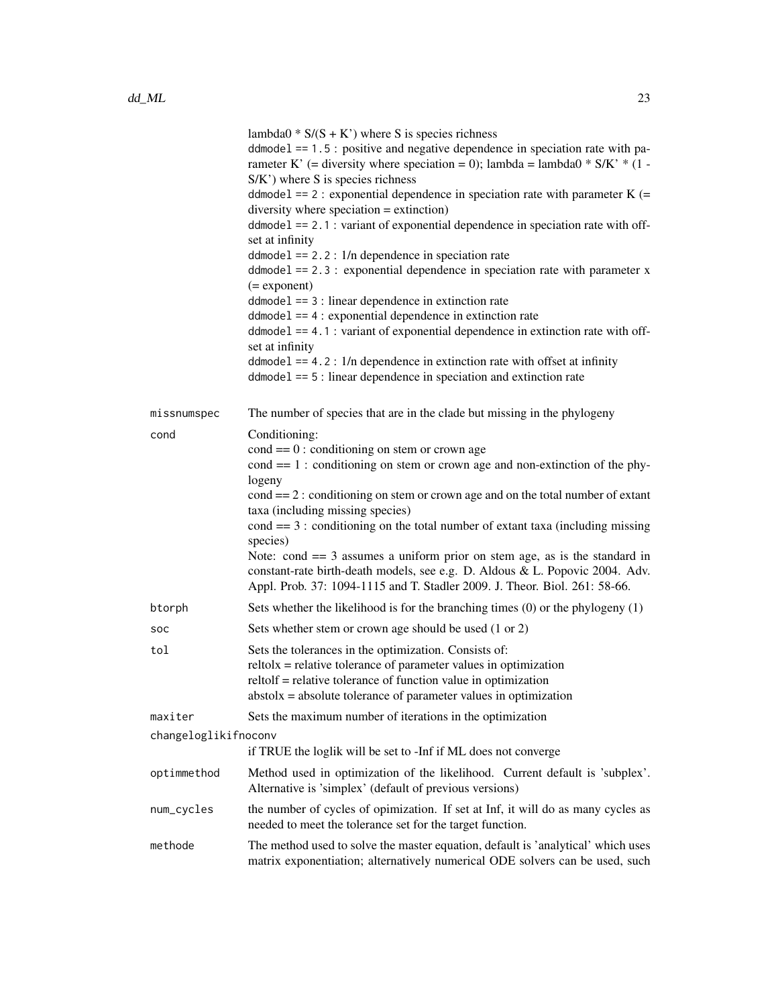|                      | lambda $0 * S/(S + K')$ where S is species richness<br>$ddmodel == 1.5$ : positive and negative dependence in speciation rate with pa-<br>rameter K' (= diversity where speciation = 0); lambda = lambda0 $*$ S/K' $*$ (1 -<br>S/K') where S is species richness<br>ddmodel == 2 : exponential dependence in speciation rate with parameter $K$ (=<br>diversity where speciation $=$ extinction)<br>ddmodel == 2.1 : variant of exponential dependence in speciation rate with off-<br>set at infinity<br>$ddmodel == 2.2$ : $1/n$ dependence in speciation rate<br>$ddmodel == 2.3$ : exponential dependence in speciation rate with parameter x<br>$(=$ exponent $)$<br>$ddmodel == 3$ : linear dependence in extinction rate<br>$ddmodel == 4$ : exponential dependence in extinction rate<br>$ddmodel == 4.1$ : variant of exponential dependence in extinction rate with off-<br>set at infinity<br>$ddmodel$ == 4.2 : 1/n dependence in extinction rate with offset at infinity<br>$ddmodel == 5$ : linear dependence in speciation and extinction rate |
|----------------------|---------------------------------------------------------------------------------------------------------------------------------------------------------------------------------------------------------------------------------------------------------------------------------------------------------------------------------------------------------------------------------------------------------------------------------------------------------------------------------------------------------------------------------------------------------------------------------------------------------------------------------------------------------------------------------------------------------------------------------------------------------------------------------------------------------------------------------------------------------------------------------------------------------------------------------------------------------------------------------------------------------------------------------------------------------------|
| missnumspec          | The number of species that are in the clade but missing in the phylogeny                                                                                                                                                                                                                                                                                                                                                                                                                                                                                                                                                                                                                                                                                                                                                                                                                                                                                                                                                                                      |
| cond                 | Conditioning:<br>$\text{cond} == 0$ : conditioning on stem or crown age<br>$cond == 1$ : conditioning on stem or crown age and non-extinction of the phy-<br>logeny<br>$cond == 2:$ conditioning on stem or crown age and on the total number of extant<br>taxa (including missing species)<br>$cond == 3$ : conditioning on the total number of extant taxa (including missing<br>species)<br>Note: cond $== 3$ assumes a uniform prior on stem age, as is the standard in<br>constant-rate birth-death models, see e.g. D. Aldous & L. Popovic 2004. Adv.<br>Appl. Prob. 37: 1094-1115 and T. Stadler 2009. J. Theor. Biol. 261: 58-66.                                                                                                                                                                                                                                                                                                                                                                                                                     |
| btorph               | Sets whether the likelihood is for the branching times (0) or the phylogeny (1)                                                                                                                                                                                                                                                                                                                                                                                                                                                                                                                                                                                                                                                                                                                                                                                                                                                                                                                                                                               |
| <b>SOC</b>           | Sets whether stem or crown age should be used (1 or 2)                                                                                                                                                                                                                                                                                                                                                                                                                                                                                                                                                                                                                                                                                                                                                                                                                                                                                                                                                                                                        |
| tol                  | Sets the tolerances in the optimization. Consists of:<br>$reltolx = relative tolerance of parameter values in optimization$<br>reltolf = relative tolerance of function value in optimization<br>$abstolx = absolute tolerance of parameter values in optimization$                                                                                                                                                                                                                                                                                                                                                                                                                                                                                                                                                                                                                                                                                                                                                                                           |
| maxiter              | Sets the maximum number of iterations in the optimization                                                                                                                                                                                                                                                                                                                                                                                                                                                                                                                                                                                                                                                                                                                                                                                                                                                                                                                                                                                                     |
| changeloglikifnoconv | if TRUE the loglik will be set to -Inf if ML does not converge                                                                                                                                                                                                                                                                                                                                                                                                                                                                                                                                                                                                                                                                                                                                                                                                                                                                                                                                                                                                |
| optimmethod          | Method used in optimization of the likelihood. Current default is 'subplex'.<br>Alternative is 'simplex' (default of previous versions)                                                                                                                                                                                                                                                                                                                                                                                                                                                                                                                                                                                                                                                                                                                                                                                                                                                                                                                       |
| num_cycles           | the number of cycles of opimization. If set at Inf, it will do as many cycles as<br>needed to meet the tolerance set for the target function.                                                                                                                                                                                                                                                                                                                                                                                                                                                                                                                                                                                                                                                                                                                                                                                                                                                                                                                 |
| methode              | The method used to solve the master equation, default is 'analytical' which uses<br>matrix exponentiation; alternatively numerical ODE solvers can be used, such                                                                                                                                                                                                                                                                                                                                                                                                                                                                                                                                                                                                                                                                                                                                                                                                                                                                                              |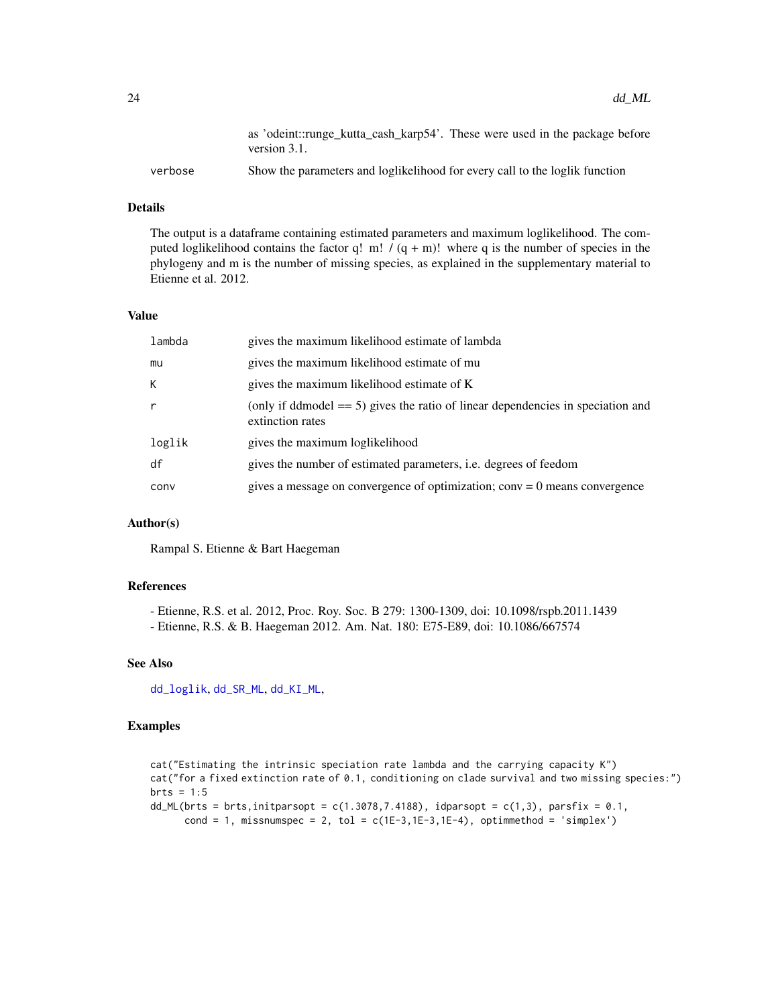<span id="page-23-0"></span>

|         | as 'odeint::runge kutta cash karp54'. These were used in the package before<br>version $3.1$ . |
|---------|------------------------------------------------------------------------------------------------|
| verbose | Show the parameters and loglikelihood for every call to the loglik function                    |

#### Details

The output is a dataframe containing estimated parameters and maximum loglikelihood. The computed loglikelihood contains the factor q! m!  $/(q + m)!$  where q is the number of species in the phylogeny and m is the number of missing species, as explained in the supplementary material to Etienne et al. 2012.

#### Value

| gives the maximum likelihood estimate of mu<br>mu<br>К<br>gives the maximum likelihood estimate of K<br>extinction rates<br>gives the maximum loglikelihood<br>loglik<br>df<br>gives the number of estimated parameters, <i>i.e.</i> degrees of feedom<br>conv | lambda | gives the maximum likelihood estimate of lambda                                    |
|----------------------------------------------------------------------------------------------------------------------------------------------------------------------------------------------------------------------------------------------------------------|--------|------------------------------------------------------------------------------------|
|                                                                                                                                                                                                                                                                |        |                                                                                    |
|                                                                                                                                                                                                                                                                |        |                                                                                    |
|                                                                                                                                                                                                                                                                |        | (only if ddmodel $== 5$ ) gives the ratio of linear dependencies in speciation and |
|                                                                                                                                                                                                                                                                |        |                                                                                    |
|                                                                                                                                                                                                                                                                |        |                                                                                    |
|                                                                                                                                                                                                                                                                |        | gives a message on convergence of optimization; $conv = 0$ means convergence       |

#### Author(s)

Rampal S. Etienne & Bart Haegeman

#### References

- Etienne, R.S. et al. 2012, Proc. Roy. Soc. B 279: 1300-1309, doi: 10.1098/rspb.2011.1439

- Etienne, R.S. & B. Haegeman 2012. Am. Nat. 180: E75-E89, doi: 10.1086/667574

#### See Also

[dd\\_loglik](#page-15-1), [dd\\_SR\\_ML](#page-36-1), [dd\\_KI\\_ML](#page-10-1),

#### Examples

```
cat("Estimating the intrinsic speciation rate lambda and the carrying capacity K")
cat("for a fixed extinction rate of 0.1, conditioning on clade survival and two missing species:")
brts = 1:5dd_ML(brts = brts,initparsopt = c(1.3078, 7.4188), idparsopt = c(1,3), parsfix = 0.1,
      cond = 1, missnumspec = 2, tol = c(1E-3, 1E-3, 1E-4), optimmethod = 'simplex')
```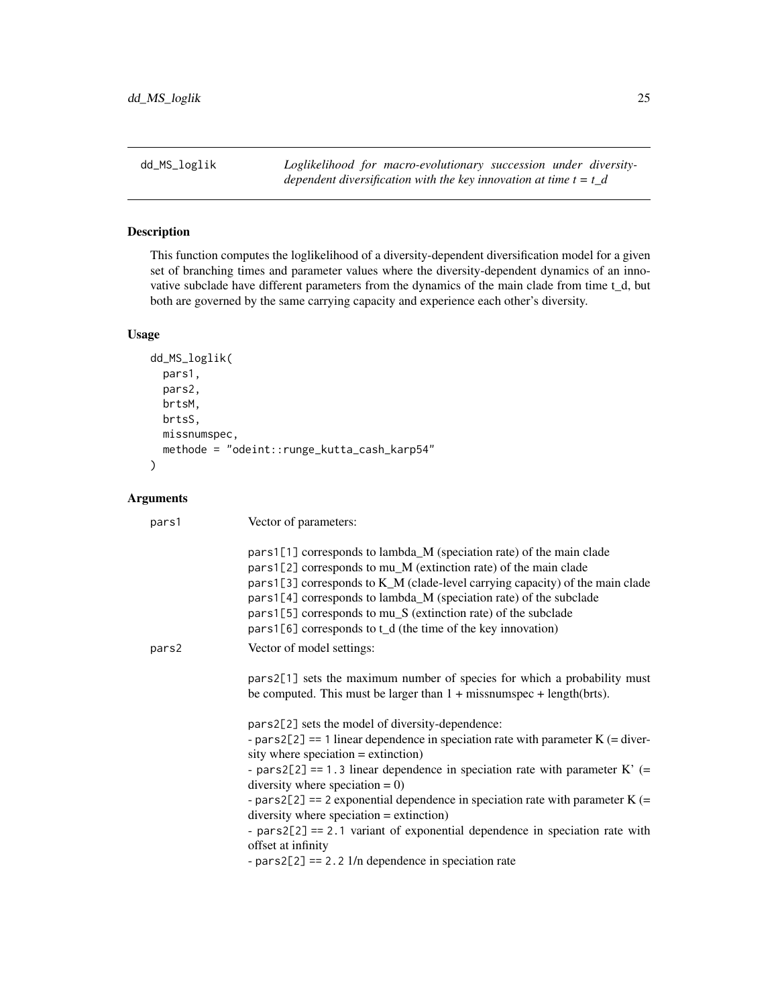<span id="page-24-1"></span><span id="page-24-0"></span>dd\_MS\_loglik *Loglikelihood for macro-evolutionary succession under diversitydependent diversification with the key innovation at time t = t\_d*

# Description

This function computes the loglikelihood of a diversity-dependent diversification model for a given set of branching times and parameter values where the diversity-dependent dynamics of an innovative subclade have different parameters from the dynamics of the main clade from time t\_d, but both are governed by the same carrying capacity and experience each other's diversity.

#### Usage

```
dd_MS_loglik(
 pars1,
 pars2,
 brtsM,
 brtsS,
 missnumspec,
  methode = "odeint::runge_kutta_cash_karp54"
)
```

| pars1 | Vector of parameters:                                                                                                                                                                                                                                                                                                                                                                                                                                                                                                                                                                                              |
|-------|--------------------------------------------------------------------------------------------------------------------------------------------------------------------------------------------------------------------------------------------------------------------------------------------------------------------------------------------------------------------------------------------------------------------------------------------------------------------------------------------------------------------------------------------------------------------------------------------------------------------|
|       | pars1[1] corresponds to lambda_M (speciation rate) of the main clade<br>pars1[2] corresponds to mu_M (extinction rate) of the main clade<br>pars1[3] corresponds to K_M (clade-level carrying capacity) of the main clade<br>pars1[4] corresponds to lambda_M (speciation rate) of the subclade<br>pars1[5] corresponds to mu_S (extinction rate) of the subclade<br>$pars1[6]$ corresponds to t_d (the time of the key innovation)                                                                                                                                                                                |
| pars2 | Vector of model settings:                                                                                                                                                                                                                                                                                                                                                                                                                                                                                                                                                                                          |
|       | pars2[1] sets the maximum number of species for which a probability must<br>be computed. This must be larger than $1 + \text{missum}$ pec + length(brts).                                                                                                                                                                                                                                                                                                                                                                                                                                                          |
|       | pars2[2] sets the model of diversity-dependence:<br>- pars2[2] = $=$ 1 linear dependence in speciation rate with parameter K (= diver-<br>sity where speciation $=$ extinction)<br>- pars2[2] = $= 1.3$ linear dependence in speciation rate with parameter K' (=<br>diversity where speciation $= 0$ )<br>- pars2[2] = 2 exponential dependence in speciation rate with parameter $K$ (=<br>$diversity$ where speciation = extinction)<br>- $pars2[2] == 2.1$ variant of exponential dependence in speciation rate with<br>offset at infinity<br>- pars2[2] = $2 \cdot 2 \cdot 1/n$ dependence in speciation rate |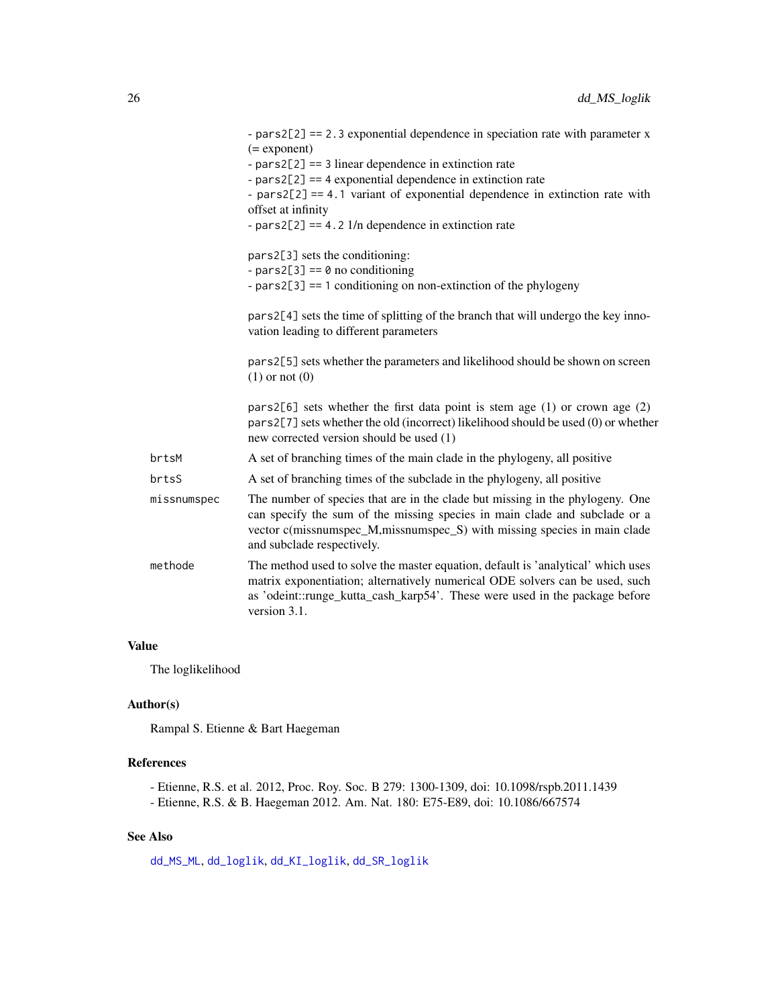<span id="page-25-0"></span>

|             | - pars2[2] = $= 2.3$ exponential dependence in speciation rate with parameter x<br>$(=$ exponent)<br>- $pars2[2] == 3$ linear dependence in extinction rate<br>- $pars2[2] == 4$ exponential dependence in extinction rate<br>- $pars2[2] == 4.1$ variant of exponential dependence in extinction rate with<br>offset at infinity<br>- pars2[2] = $=$ 4.2 1/n dependence in extinction rate |
|-------------|---------------------------------------------------------------------------------------------------------------------------------------------------------------------------------------------------------------------------------------------------------------------------------------------------------------------------------------------------------------------------------------------|
|             | pars2[3] sets the conditioning:<br>- pars2[3] == $\theta$ no conditioning<br>- $pars2[3] == 1$ conditioning on non-extinction of the phylogeny                                                                                                                                                                                                                                              |
|             | pars2[4] sets the time of splitting of the branch that will undergo the key inno-<br>vation leading to different parameters                                                                                                                                                                                                                                                                 |
|             | pars2[5] sets whether the parameters and likelihood should be shown on screen<br>$(1)$ or not $(0)$                                                                                                                                                                                                                                                                                         |
|             | pars2[6] sets whether the first data point is stem age $(1)$ or crown age $(2)$<br>pars2[7] sets whether the old (incorrect) likelihood should be used (0) or whether<br>new corrected version should be used (1)                                                                                                                                                                           |
| brtsM       | A set of branching times of the main clade in the phylogeny, all positive                                                                                                                                                                                                                                                                                                                   |
| brtsS       | A set of branching times of the subclade in the phylogeny, all positive                                                                                                                                                                                                                                                                                                                     |
| missnumspec | The number of species that are in the clade but missing in the phylogeny. One<br>can specify the sum of the missing species in main clade and subclade or a<br>vector c(missnumspec_M,missnumspec_S) with missing species in main clade<br>and subclade respectively.                                                                                                                       |
| methode     | The method used to solve the master equation, default is 'analytical' which uses<br>matrix exponentiation; alternatively numerical ODE solvers can be used, such<br>as 'odeint::runge_kutta_cash_karp54'. These were used in the package before<br>version 3.1.                                                                                                                             |

### Value

The loglikelihood

#### Author(s)

Rampal S. Etienne & Bart Haegeman

# References

- Etienne, R.S. et al. 2012, Proc. Roy. Soc. B 279: 1300-1309, doi: 10.1098/rspb.2011.1439

- Etienne, R.S. & B. Haegeman 2012. Am. Nat. 180: E75-E89, doi: 10.1086/667574

# See Also

[dd\\_MS\\_ML](#page-26-1), [dd\\_loglik](#page-15-1), [dd\\_KI\\_loglik](#page-7-1), [dd\\_SR\\_loglik](#page-34-1)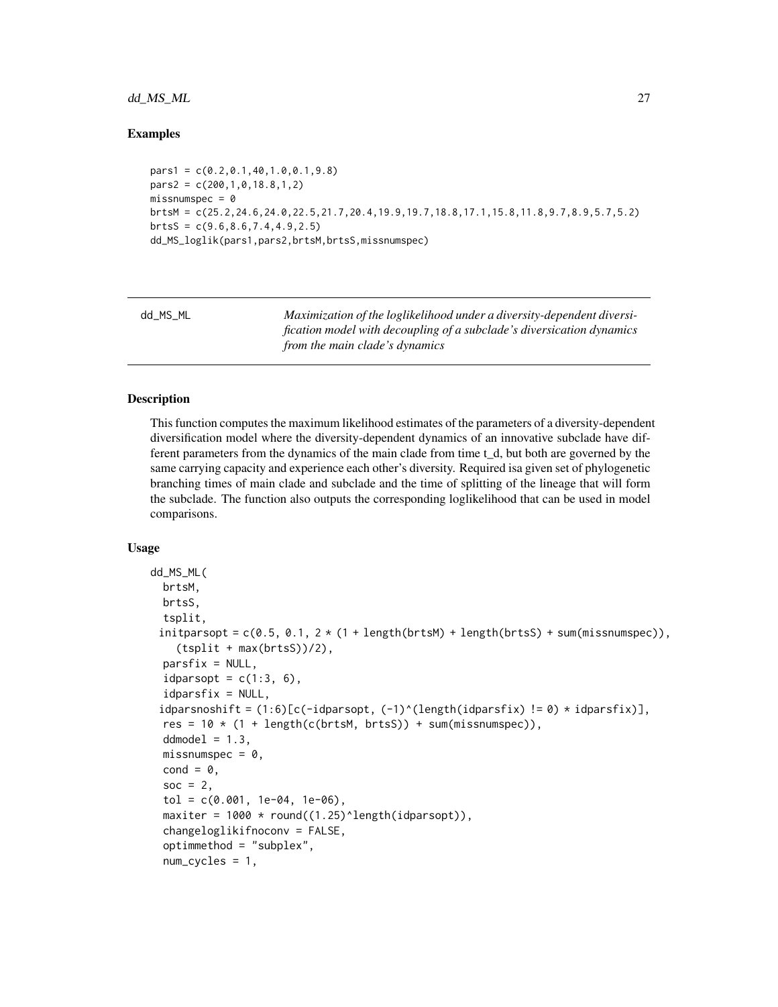#### <span id="page-26-0"></span>dd\_MS\_ML 27

#### Examples

```
pars1 = c(0.2,0.1,40,1.0,0.1,9.8)
pars2 = c(200, 1, 0, 18.8, 1, 2)missnumspec = 0brtsM = c(25.2,24.6,24.0,22.5,21.7,20.4,19.9,19.7,18.8,17.1,15.8,11.8,9.7,8.9,5.7,5.2)
brtsS = c(9.6, 8.6, 7.4, 4.9, 2.5)dd_MS_loglik(pars1,pars2,brtsM,brtsS,missnumspec)
```
<span id="page-26-1"></span>

| dd MS ML | Maximization of the loglikelihood under a diversity-dependent diversi- |
|----------|------------------------------------------------------------------------|
|          | fication model with decoupling of a subclade's diversication dynamics  |
|          | from the main clade's dynamics                                         |

#### Description

This function computes the maximum likelihood estimates of the parameters of a diversity-dependent diversification model where the diversity-dependent dynamics of an innovative subclade have different parameters from the dynamics of the main clade from time t\_d, but both are governed by the same carrying capacity and experience each other's diversity. Required isa given set of phylogenetic branching times of main clade and subclade and the time of splitting of the lineage that will form the subclade. The function also outputs the corresponding loglikelihood that can be used in model comparisons.

#### Usage

```
dd_MS_ML(
 brtsM,
 brtsS,
  tsplit,
 initparsopt = c(0.5, 0.1, 2 * (1 + length(brtsM) + length(brtsS) + sum(missnumspec)),(tsplit + max(brtsS))/2),
  partsfix = NULL,idparsopt = c(1:3, 6),
  idparsfix = NULL,idparsnoshift = (1:6)[c(-idparsopt, (-1)^{(length(idparsi)x}) != 0) * idparsi)x],
  res = 10 * (1 + length(c(brtsM, brts)) + sum(missnumspec)),ddmodel = 1.3,
  missnumspec = 0,
  cond = \theta,
  soc = 2.
  tol = c(0.001, 1e-04, 1e-06),
  maxiter = 1000 * round((1.25)^{\text{length}(idparsept)}),changeloglikifnoconv = FALSE,
  optimmethod = "subplex",
  num_cycles = 1,
```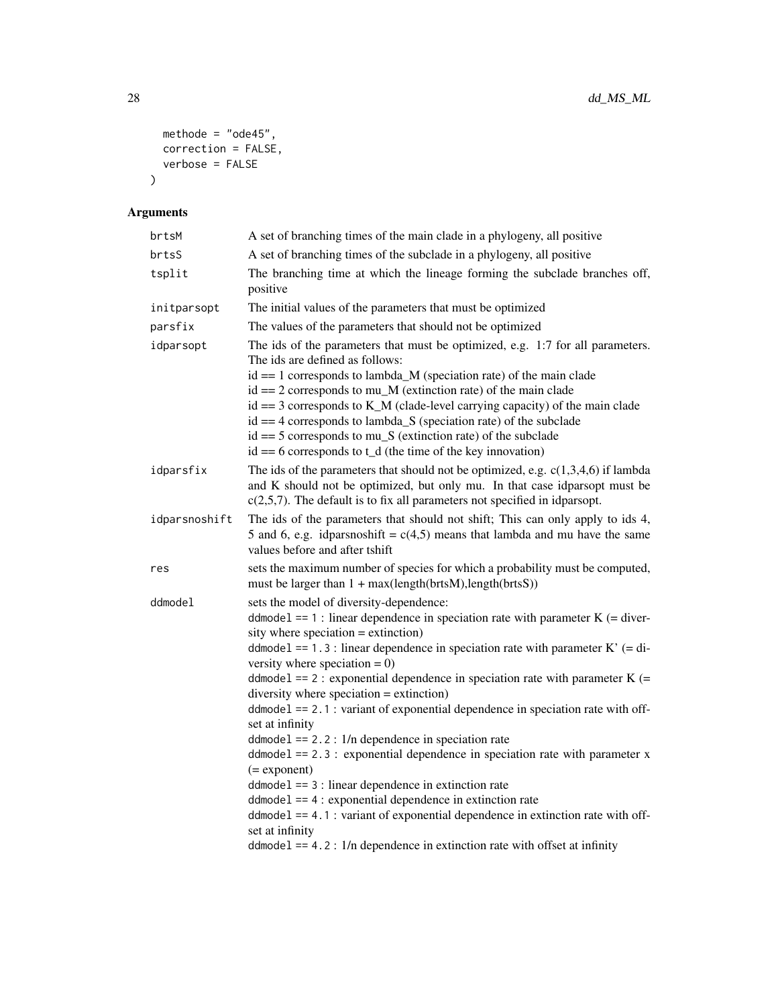```
methode = "ode45",
 correction = FALSE,
 verbose = FALSE
\lambda
```

| brtsM         | A set of branching times of the main clade in a phylogeny, all positive                                                                                                                                                                                                                                                                                                                                                                                                                                                                                                                                                                                                                                                                                                                                                                                                                                                                                                                                            |
|---------------|--------------------------------------------------------------------------------------------------------------------------------------------------------------------------------------------------------------------------------------------------------------------------------------------------------------------------------------------------------------------------------------------------------------------------------------------------------------------------------------------------------------------------------------------------------------------------------------------------------------------------------------------------------------------------------------------------------------------------------------------------------------------------------------------------------------------------------------------------------------------------------------------------------------------------------------------------------------------------------------------------------------------|
| brtsS         | A set of branching times of the subclade in a phylogeny, all positive                                                                                                                                                                                                                                                                                                                                                                                                                                                                                                                                                                                                                                                                                                                                                                                                                                                                                                                                              |
| tsplit        | The branching time at which the lineage forming the subclade branches off,<br>positive                                                                                                                                                                                                                                                                                                                                                                                                                                                                                                                                                                                                                                                                                                                                                                                                                                                                                                                             |
| initparsopt   | The initial values of the parameters that must be optimized                                                                                                                                                                                                                                                                                                                                                                                                                                                                                                                                                                                                                                                                                                                                                                                                                                                                                                                                                        |
| parsfix       | The values of the parameters that should not be optimized                                                                                                                                                                                                                                                                                                                                                                                                                                                                                                                                                                                                                                                                                                                                                                                                                                                                                                                                                          |
| idparsopt     | The ids of the parameters that must be optimized, e.g. 1:7 for all parameters.<br>The ids are defined as follows:<br>$id == 1$ corresponds to lambda_M (speciation rate) of the main clade<br>$id == 2$ corresponds to mu_M (extinction rate) of the main clade<br>$id == 3$ corresponds to K_M (clade-level carrying capacity) of the main clade<br>$id == 4$ corresponds to lambda_S (speciation rate) of the subclade<br>$id == 5$ corresponds to mu <sub><math>\mathbb{S}</math></sub> (extinction rate) of the subclade<br>$id == 6$ corresponds to t_d (the time of the key innovation)                                                                                                                                                                                                                                                                                                                                                                                                                      |
| idparsfix     | The ids of the parameters that should not be optimized, e.g. $c(1,3,4,6)$ if lambda<br>and K should not be optimized, but only mu. In that case idparsopt must be<br>$c(2,5,7)$ . The default is to fix all parameters not specified in idparsopt.                                                                                                                                                                                                                                                                                                                                                                                                                                                                                                                                                                                                                                                                                                                                                                 |
| idparsnoshift | The ids of the parameters that should not shift; This can only apply to ids 4,<br>5 and 6, e.g. idparsnoshift = $c(4,5)$ means that lambda and mu have the same<br>values before and after tshift                                                                                                                                                                                                                                                                                                                                                                                                                                                                                                                                                                                                                                                                                                                                                                                                                  |
| res           | sets the maximum number of species for which a probability must be computed,<br>must be larger than $1 + max(lenath(brtsM), length(brtsS))$                                                                                                                                                                                                                                                                                                                                                                                                                                                                                                                                                                                                                                                                                                                                                                                                                                                                        |
| ddmodel       | sets the model of diversity-dependence:<br>ddmodel == 1 : linear dependence in speciation rate with parameter $K$ (= diver-<br>sity where speciation $=$ extinction)<br>ddmodel == 1.3 : linear dependence in speciation rate with parameter $K'$ (= di-<br>versity where speciation = $0$ )<br>ddmode1 == 2 : exponential dependence in speciation rate with parameter $K$ (=<br>diversity where speciation $=$ extinction)<br>$ddmodel == 2.1$ : variant of exponential dependence in speciation rate with off-<br>set at infinity<br>$ddmodel == 2.2: 1/n$ dependence in speciation rate<br>$ddmodel == 2.3$ : exponential dependence in speciation rate with parameter x<br>$(=$ exponent $)$<br>$ddmodel == 3$ : linear dependence in extinction rate<br>$ddmodel == 4$ : exponential dependence in extinction rate<br>$ddmodel == 4.1$ : variant of exponential dependence in extinction rate with off-<br>set at infinity<br>$ddmodel == 4.2$ : $1/n$ dependence in extinction rate with offset at infinity |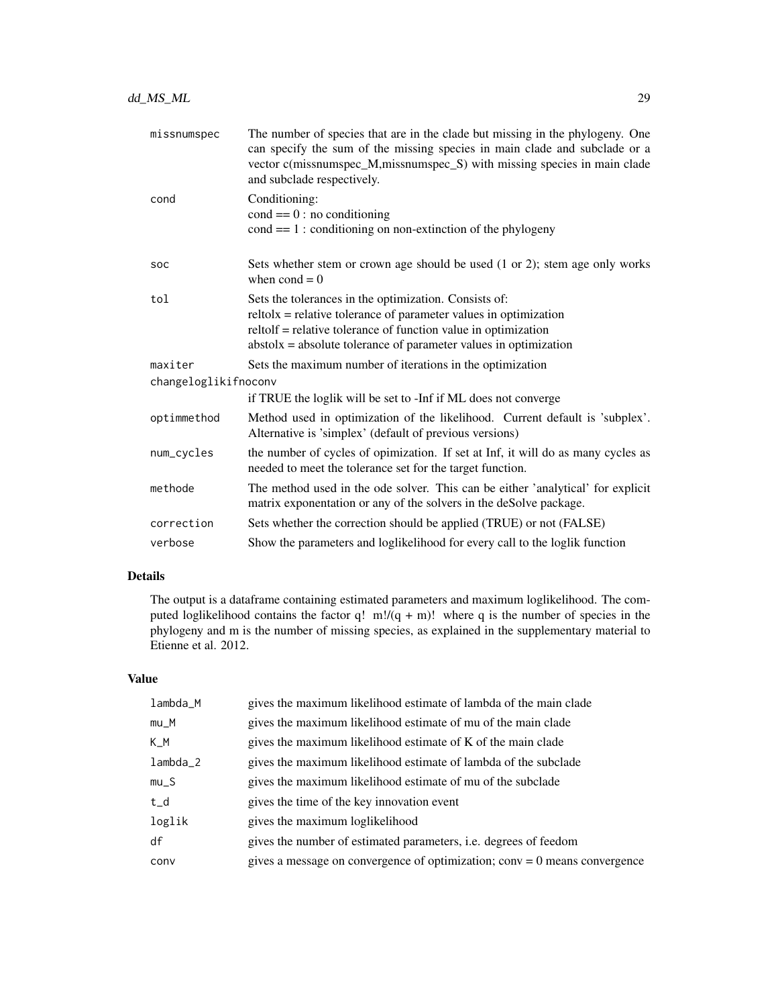| missnumspec          | The number of species that are in the clade but missing in the phylogeny. One<br>can specify the sum of the missing species in main clade and subclade or a<br>vector c(missnumspec_M,missnumspec_S) with missing species in main clade<br>and subclade respectively. |
|----------------------|-----------------------------------------------------------------------------------------------------------------------------------------------------------------------------------------------------------------------------------------------------------------------|
| cond                 | Conditioning:<br>$cond == 0: no conditioning$<br>$cond == 1:$ conditioning on non-extinction of the phylogeny                                                                                                                                                         |
| <b>SOC</b>           | Sets whether stem or crown age should be used (1 or 2); stem age only works<br>when $\text{cond} = 0$                                                                                                                                                                 |
| tol                  | Sets the tolerances in the optimization. Consists of:<br>$relto1x = relative tolerance of parameter values in optimization$<br>reltolf = relative tolerance of function value in optimization<br>$abstolx = absolute tolerance of parameter values in optimization$   |
| maxiter              | Sets the maximum number of iterations in the optimization                                                                                                                                                                                                             |
| changeloglikifnoconv |                                                                                                                                                                                                                                                                       |
|                      | if TRUE the loglik will be set to -Inf if ML does not converge                                                                                                                                                                                                        |
| optimmethod          | Method used in optimization of the likelihood. Current default is 'subplex'.<br>Alternative is 'simplex' (default of previous versions)                                                                                                                               |
| num_cycles           | the number of cycles of opimization. If set at Inf, it will do as many cycles as<br>needed to meet the tolerance set for the target function.                                                                                                                         |
| methode              | The method used in the ode solver. This can be either 'analytical' for explicit<br>matrix exponentation or any of the solvers in the deSolve package.                                                                                                                 |
| correction           | Sets whether the correction should be applied (TRUE) or not (FALSE)                                                                                                                                                                                                   |
| verbose              | Show the parameters and loglikelihood for every call to the loglik function                                                                                                                                                                                           |

# Details

The output is a dataframe containing estimated parameters and maximum loglikelihood. The computed loglikelihood contains the factor q! m!/(q + m)! where q is the number of species in the phylogeny and m is the number of missing species, as explained in the supplementary material to Etienne et al. 2012.

### Value

| lambda_M | gives the maximum likelihood estimate of lambda of the main clade            |
|----------|------------------------------------------------------------------------------|
| $mu_M$   | gives the maximum likelihood estimate of mu of the main clade                |
| K M      | gives the maximum likelihood estimate of K of the main clade                 |
| lambda_2 | gives the maximum likelihood estimate of lambda of the subclade              |
| $mu_S$   | gives the maximum likelihood estimate of mu of the subclade                  |
| $t_d$    | gives the time of the key innovation event                                   |
| loglik   | gives the maximum loglikelihood                                              |
| df       | gives the number of estimated parameters, <i>i.e.</i> degrees of feedom      |
| conv     | gives a message on convergence of optimization; $conv = 0$ means convergence |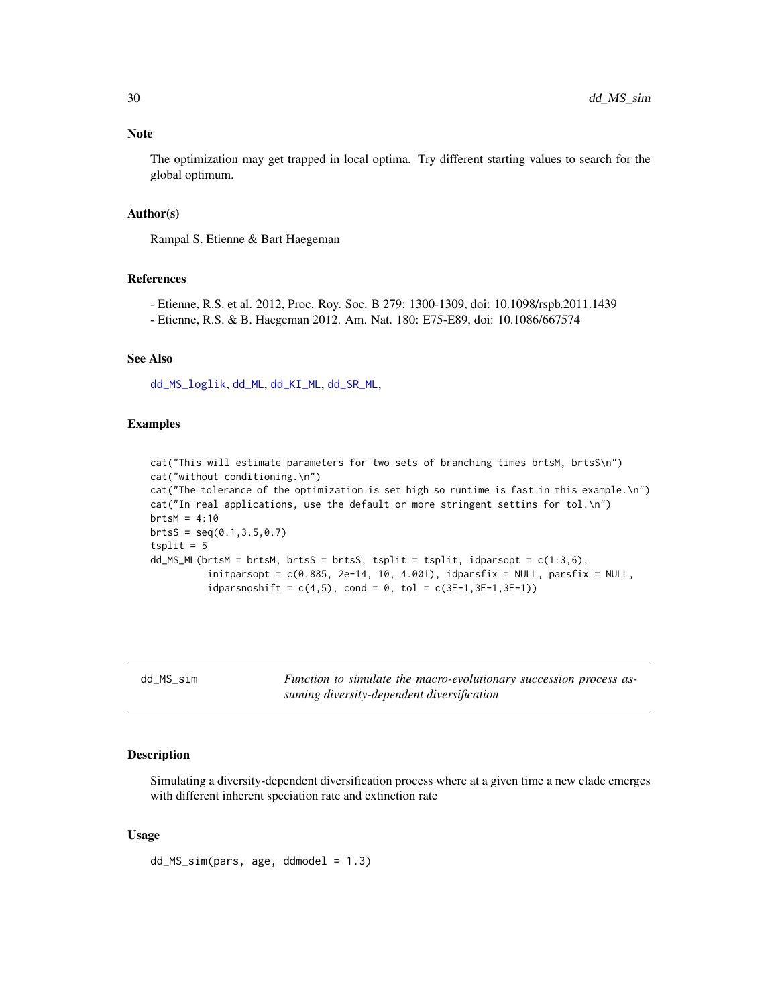#### <span id="page-29-0"></span>Note

The optimization may get trapped in local optima. Try different starting values to search for the global optimum.

#### Author(s)

Rampal S. Etienne & Bart Haegeman

#### References

- Etienne, R.S. et al. 2012, Proc. Roy. Soc. B 279: 1300-1309, doi: 10.1098/rspb.2011.1439
- Etienne, R.S. & B. Haegeman 2012. Am. Nat. 180: E75-E89, doi: 10.1086/667574

#### See Also

[dd\\_MS\\_loglik](#page-24-1), [dd\\_ML](#page-20-1), [dd\\_KI\\_ML](#page-10-1), [dd\\_SR\\_ML](#page-36-1),

#### Examples

cat("This will estimate parameters for two sets of branching times brtsM, brtsS\n") cat("without conditioning.\n") cat("The tolerance of the optimization is set high so runtime is fast in this example.\n") cat("In real applications, use the default or more stringent settins for tol.\n")  $brtsM = 4:10$  $brtsS = seq(0.1, 3.5, 0.7)$  $tsplit = 5$  $dd$ <sub>MS</sub> $ML(b$ rtsM = brtsM, brtsS = brtsS, tsplit = tsplit, idparsopt =  $c(1:3,6)$ ,  $initparsopt = c(0.885, 2e-14, 10, 4.001), idparstix = NULL, parsfix = NULL,$ idparsnoshift =  $c(4,5)$ , cond = 0, tol =  $c(3E-1, 3E-1, 3E-1)$ )

| dd | MS. | S1m |  |
|----|-----|-----|--|
|----|-----|-----|--|

Function to simulate the macro-evolutionary succession process as*suming diversity-dependent diversification*

#### Description

Simulating a diversity-dependent diversification process where at a given time a new clade emerges with different inherent speciation rate and extinction rate

#### Usage

 $dd$  $MS\_sim(pars, age, dd$ model = 1.3)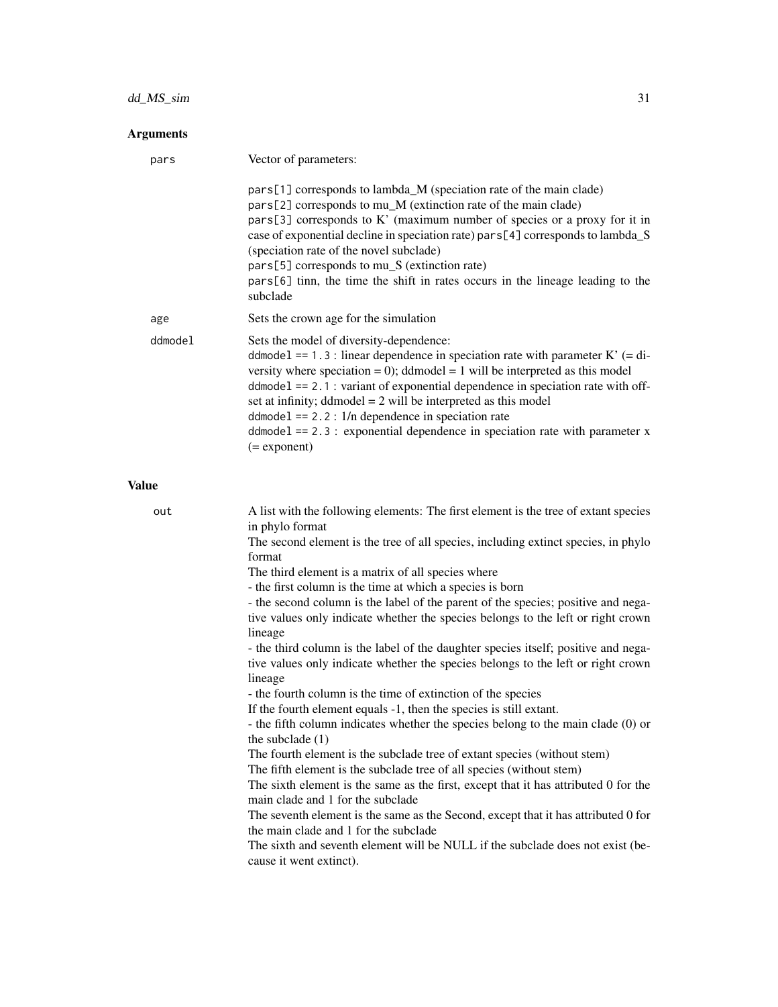# dd\_MS\_sim 31

### Arguments

| pars    | Vector of parameters:                                                                                                                                                                                                                                                                                                                                                                                                                                                                                                           |
|---------|---------------------------------------------------------------------------------------------------------------------------------------------------------------------------------------------------------------------------------------------------------------------------------------------------------------------------------------------------------------------------------------------------------------------------------------------------------------------------------------------------------------------------------|
|         | pars[1] corresponds to lambda_M (speciation rate of the main clade)<br>pars[2] corresponds to mu_M (extinction rate of the main clade)<br>pars[3] corresponds to K' (maximum number of species or a proxy for it in<br>case of exponential decline in speciation rate) pars [4] corresponds to lambda_S<br>(speciation rate of the novel subclade)<br>pars[5] corresponds to mu_S (extinction rate)<br>pars[6] tinn, the time the shift in rates occurs in the lineage leading to the<br>subclade                               |
| age     | Sets the crown age for the simulation                                                                                                                                                                                                                                                                                                                                                                                                                                                                                           |
| ddmodel | Sets the model of diversity-dependence:<br>ddmodel == $1.3$ : linear dependence in speciation rate with parameter K' (= di-<br>versity where speciation = 0); ddmodel = 1 will be interpreted as this model<br>$d$ dmodel == 2.1 : variant of exponential dependence in speciation rate with off-<br>set at infinity; ddmodel $= 2$ will be interpreted as this model<br>$ddmodel == 2.2: 1/n$ dependence in speciation rate<br>$ddmodel == 2.3$ : exponential dependence in speciation rate with parameter x<br>$(=$ exponent) |

# Value

| out | A list with the following elements: The first element is the tree of extant species |
|-----|-------------------------------------------------------------------------------------|
|     | in phylo format                                                                     |
|     | The second element is the tree of all species, including extinct species, in phylo  |
|     | format                                                                              |
|     | The third element is a matrix of all species where                                  |
|     | - the first column is the time at which a species is born                           |
|     | - the second column is the label of the parent of the species; positive and nega-   |
|     | tive values only indicate whether the species belongs to the left or right crown    |
|     | lineage                                                                             |
|     | - the third column is the label of the daughter species itself; positive and nega-  |
|     | tive values only indicate whether the species belongs to the left or right crown    |
|     | lineage                                                                             |
|     | - the fourth column is the time of extinction of the species                        |
|     | If the fourth element equals -1, then the species is still extant.                  |
|     | - the fifth column indicates whether the species belong to the main clade (0) or    |
|     | the subclade $(1)$                                                                  |
|     | The fourth element is the subclade tree of extant species (without stem)            |
|     | The fifth element is the subclade tree of all species (without stem)                |
|     | The sixth element is the same as the first, except that it has attributed 0 for the |
|     | main clade and 1 for the subclade                                                   |
|     | The seventh element is the same as the Second, except that it has attributed 0 for  |
|     | the main clade and 1 for the subclade                                               |
|     | The sixth and seventh element will be NULL if the subclade does not exist (be-      |
|     | cause it went extinct).                                                             |
|     |                                                                                     |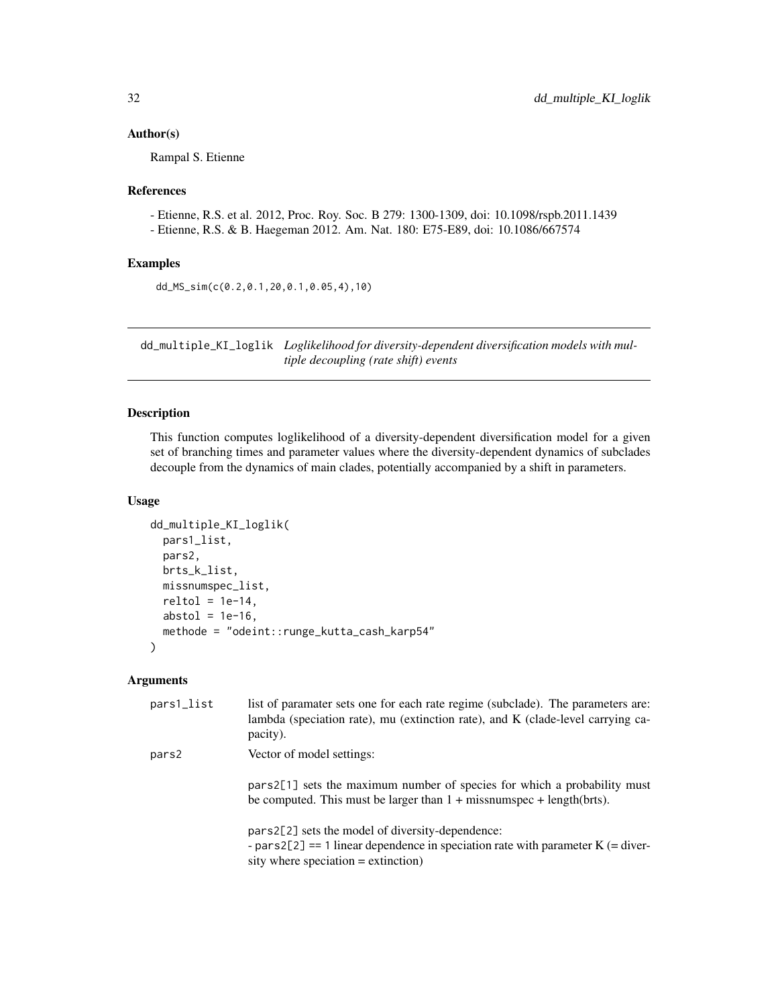#### <span id="page-31-0"></span>Author(s)

Rampal S. Etienne

#### References

- Etienne, R.S. et al. 2012, Proc. Roy. Soc. B 279: 1300-1309, doi: 10.1098/rspb.2011.1439 - Etienne, R.S. & B. Haegeman 2012. Am. Nat. 180: E75-E89, doi: 10.1086/667574

#### Examples

```
dd_MS_sim(c(0.2,0.1,20,0.1,0.05,4),10)
```
dd\_multiple\_KI\_loglik *Loglikelihood for diversity-dependent diversification models with multiple decoupling (rate shift) events*

#### Description

This function computes loglikelihood of a diversity-dependent diversification model for a given set of branching times and parameter values where the diversity-dependent dynamics of subclades decouple from the dynamics of main clades, potentially accompanied by a shift in parameters.

#### Usage

```
dd_multiple_KI_loglik(
 pars1_list,
 pars2,
  brts_k_list,
 missnumspec_list,
  reltol = 1e-14,abstol = 1e-16,
  methode = "odeint::runge_kutta_cash_karp54"
)
```

| pars1_list | list of paramater sets one for each rate regime (subclade). The parameters are:<br>lambda (speciation rate), mu (extinction rate), and K (clade-level carrying ca-<br>pacity).     |
|------------|------------------------------------------------------------------------------------------------------------------------------------------------------------------------------------|
| pars2      | Vector of model settings:                                                                                                                                                          |
|            | pars2[1] sets the maximum number of species for which a probability must<br>be computed. This must be larger than $1 +$ missnumspec + length(brts).                                |
|            | pars2[2] sets the model of diversity-dependence:<br>- pars2[2] = $=$ 1 linear dependence in speciation rate with parameter K ( $=$ diver-<br>sity where speciation $=$ extinction) |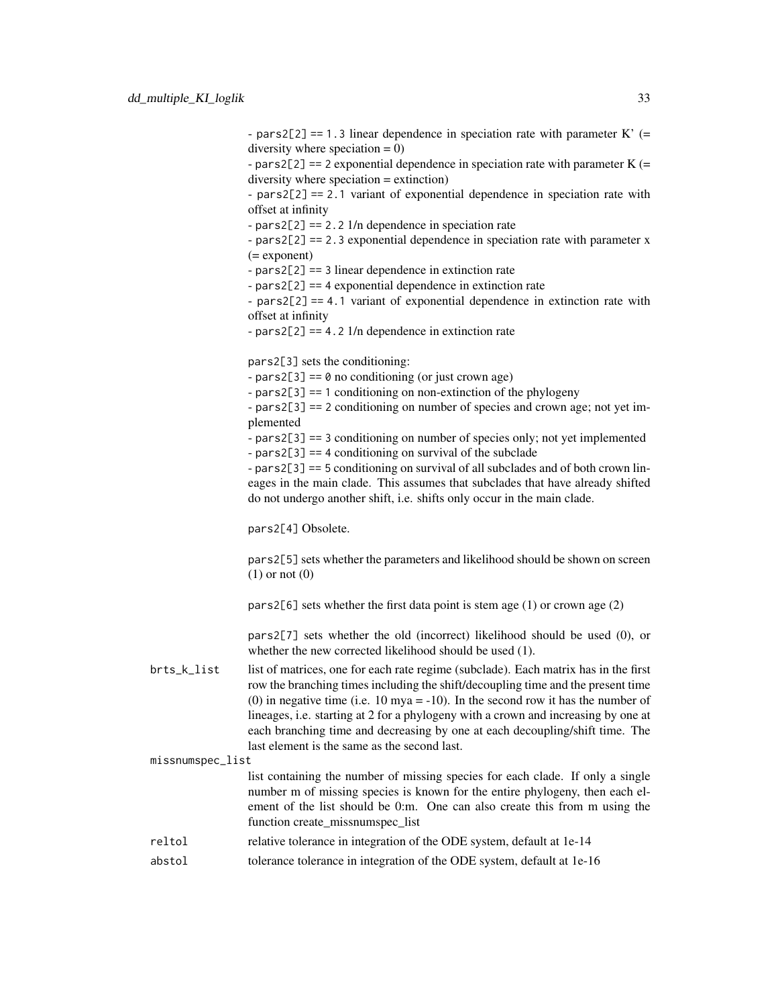- pars2[2] == 1.3 linear dependence in speciation rate with parameter  $K'$  (= diversity where speciation  $= 0$ )

- pars2[2] == 2 exponential dependence in speciation rate with parameter  $K$  (= diversity where speciation = extinction)

- pars2[2] == 2.1 variant of exponential dependence in speciation rate with offset at infinity

 $-pars2[2] == 2.21/n$  dependence in speciation rate

- pars2[2] == 2.3 exponential dependence in speciation rate with parameter x (= exponent)

- pars2[2] == 3 linear dependence in extinction rate

- pars2[2] == 4 exponential dependence in extinction rate

- pars2[2] == 4.1 variant of exponential dependence in extinction rate with offset at infinity

 $-pars2[2] == 4.2 1/n dependence in extinction rate$ 

pars2[3] sets the conditioning:

 $-pars2[3] == 0$  no conditioning (or just crown age)

- pars2[3] == 1 conditioning on non-extinction of the phylogeny

- pars2[3] == 2 conditioning on number of species and crown age; not yet implemented

- pars2[3] == 3 conditioning on number of species only; not yet implemented

- pars2[3] == 4 conditioning on survival of the subclade

- pars2[3] == 5 conditioning on survival of all subclades and of both crown lineages in the main clade. This assumes that subclades that have already shifted do not undergo another shift, i.e. shifts only occur in the main clade.

pars2[4] Obsolete.

pars2[5] sets whether the parameters and likelihood should be shown on screen (1) or not (0)

pars2[6] sets whether the first data point is stem age (1) or crown age (2)

pars2[7] sets whether the old (incorrect) likelihood should be used (0), or whether the new corrected likelihood should be used (1).

brts\_k\_list list of matrices, one for each rate regime (subclade). Each matrix has in the first row the branching times including the shift/decoupling time and the present time (0) in negative time (i.e. 10 mya =  $-10$ ). In the second row it has the number of lineages, i.e. starting at 2 for a phylogeny with a crown and increasing by one at each branching time and decreasing by one at each decoupling/shift time. The last element is the same as the second last.

missnumspec\_list

list containing the number of missing species for each clade. If only a single number m of missing species is known for the entire phylogeny, then each element of the list should be 0:m. One can also create this from m using the function create missnumspec list

- reltol relative tolerance in integration of the ODE system, default at 1e-14
- abstol tolerance tolerance in integration of the ODE system, default at 1e-16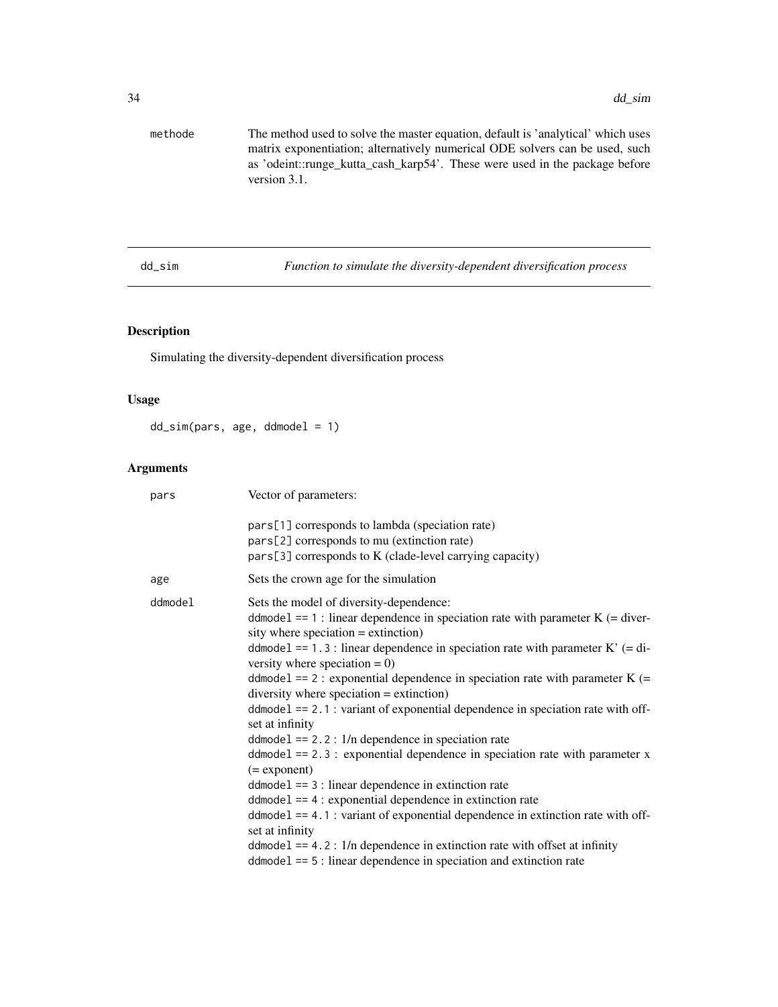<span id="page-33-0"></span>

| methode | The method used to solve the master equation, default is 'analytical' which uses |
|---------|----------------------------------------------------------------------------------|
|         | matrix exponentiation; alternatively numerical ODE solvers can be used, such     |
|         | as 'odeint::runge kutta cash karp54'. These were used in the package before      |
|         | version $3.1$ .                                                                  |

dd\_sim *Function to simulate the diversity-dependent diversification process*

# Description

Simulating the diversity-dependent diversification process

# Usage

dd\_sim(pars, age, ddmodel = 1)

| pars    | Vector of parameters:                                                                                                                                                                                                                                                                                                                                                                                                                                                                                                                                                                                                                                                                                                                                                                                                                                                                                                                                                                                                                                                                      |
|---------|--------------------------------------------------------------------------------------------------------------------------------------------------------------------------------------------------------------------------------------------------------------------------------------------------------------------------------------------------------------------------------------------------------------------------------------------------------------------------------------------------------------------------------------------------------------------------------------------------------------------------------------------------------------------------------------------------------------------------------------------------------------------------------------------------------------------------------------------------------------------------------------------------------------------------------------------------------------------------------------------------------------------------------------------------------------------------------------------|
|         | pars[1] corresponds to lambda (speciation rate)<br>pars[2] corresponds to mu (extinction rate)<br>pars[3] corresponds to K (clade-level carrying capacity)                                                                                                                                                                                                                                                                                                                                                                                                                                                                                                                                                                                                                                                                                                                                                                                                                                                                                                                                 |
| age     | Sets the crown age for the simulation                                                                                                                                                                                                                                                                                                                                                                                                                                                                                                                                                                                                                                                                                                                                                                                                                                                                                                                                                                                                                                                      |
| ddmodel | Sets the model of diversity-dependence:<br>ddmodel == 1 : linear dependence in speciation rate with parameter $K$ (= diver-<br>sity where speciation $=$ extinction)<br>ddmodel == 1.3 : linear dependence in speciation rate with parameter $K'$ (= di-<br>versity where speciation $= 0$ )<br>ddmode1 == 2 : exponential dependence in speciation rate with parameter $K$ (=<br>$diversity$ where speciation = extinction)<br>$ddmodel == 2.1$ : variant of exponential dependence in speciation rate with off-<br>set at infinity<br>$ddmodel == 2.2: 1/n$ dependence in speciation rate<br>$ddmodel == 2.3$ : exponential dependence in speciation rate with parameter x<br>$(=$ exponent $)$<br>$ddmodel == 3$ : linear dependence in extinction rate<br>$ddmodel == 4$ : exponential dependence in extinction rate<br>$ddmodel == 4.1$ : variant of exponential dependence in extinction rate with off-<br>set at infinity<br>$ddmodel == 4.2$ : $1/n$ dependence in extinction rate with offset at infinity<br>$ddmodel == 5$ : linear dependence in speciation and extinction rate |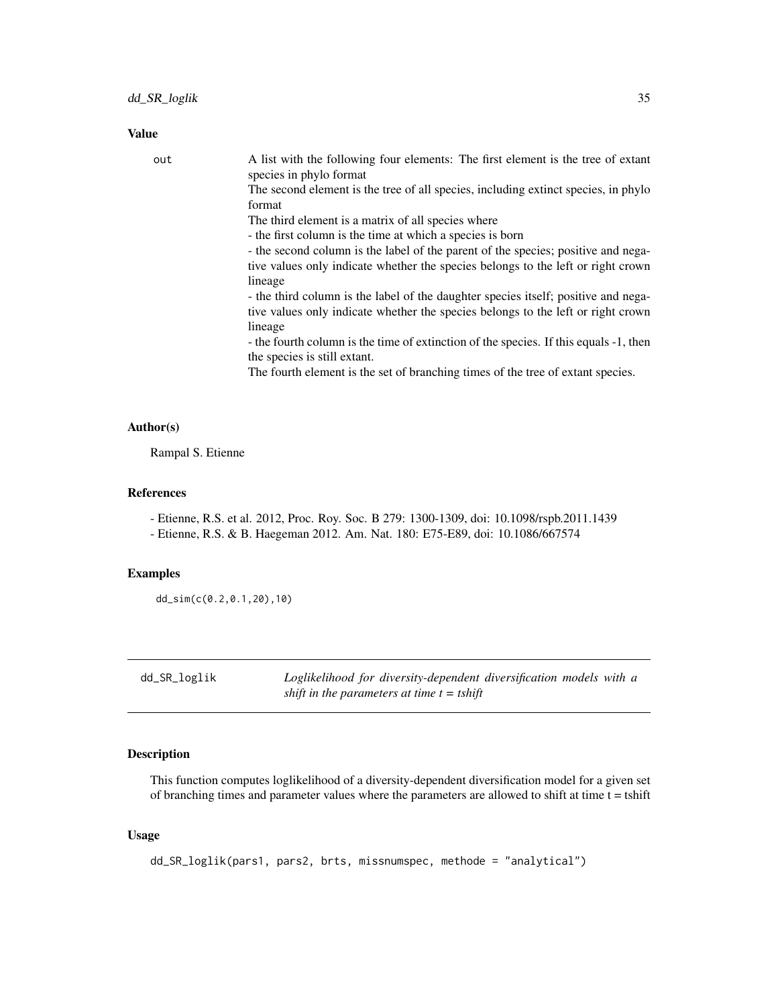<span id="page-34-0"></span>Value

| out | A list with the following four elements: The first element is the tree of extant<br>species in phylo format |
|-----|-------------------------------------------------------------------------------------------------------------|
|     | The second element is the tree of all species, including extinct species, in phylo<br>format                |
|     | The third element is a matrix of all species where                                                          |
|     | - the first column is the time at which a species is born                                                   |
|     | - the second column is the label of the parent of the species; positive and nega-                           |
|     | tive values only indicate whether the species belongs to the left or right crown                            |
|     | lineage                                                                                                     |
|     | - the third column is the label of the daughter species itself; positive and nega-                          |
|     | tive values only indicate whether the species belongs to the left or right crown                            |
|     | lineage                                                                                                     |
|     | - the fourth column is the time of extinction of the species. If this equals -1, then                       |
|     | the species is still extant.                                                                                |
|     | The fourth element is the set of branching times of the tree of extant species.                             |

#### Author(s)

Rampal S. Etienne

#### References

- Etienne, R.S. et al. 2012, Proc. Roy. Soc. B 279: 1300-1309, doi: 10.1098/rspb.2011.1439

- Etienne, R.S. & B. Haegeman 2012. Am. Nat. 180: E75-E89, doi: 10.1086/667574

#### Examples

dd\_sim(c(0.2,0.1,20),10)

<span id="page-34-1"></span>dd\_SR\_loglik *Loglikelihood for diversity-dependent diversification models with a shift in the parameters at time t = tshift*

#### Description

This function computes loglikelihood of a diversity-dependent diversification model for a given set of branching times and parameter values where the parameters are allowed to shift at time t = tshift

#### Usage

dd\_SR\_loglik(pars1, pars2, brts, missnumspec, methode = "analytical")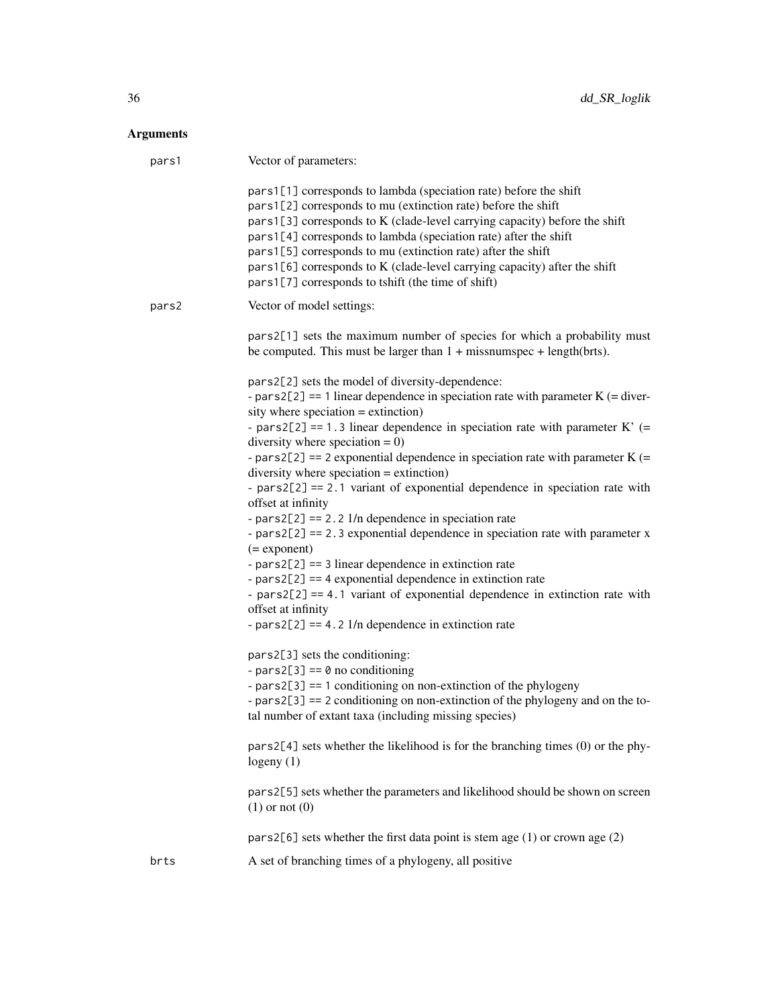| pars1 | Vector of parameters:                                                                                                                                                                                                                                                                                                                                                                                                                                                                                                                                                                                                                                                                                                                                                                                                                                                                                                                                                                                                                                                                                                                                                                                                                                                                                                                                                                                                                                                                                                                                                                              |
|-------|----------------------------------------------------------------------------------------------------------------------------------------------------------------------------------------------------------------------------------------------------------------------------------------------------------------------------------------------------------------------------------------------------------------------------------------------------------------------------------------------------------------------------------------------------------------------------------------------------------------------------------------------------------------------------------------------------------------------------------------------------------------------------------------------------------------------------------------------------------------------------------------------------------------------------------------------------------------------------------------------------------------------------------------------------------------------------------------------------------------------------------------------------------------------------------------------------------------------------------------------------------------------------------------------------------------------------------------------------------------------------------------------------------------------------------------------------------------------------------------------------------------------------------------------------------------------------------------------------|
|       | pars1[1] corresponds to lambda (speciation rate) before the shift<br>pars1[2] corresponds to mu (extinction rate) before the shift<br>pars1[3] corresponds to K (clade-level carrying capacity) before the shift<br>pars1[4] corresponds to lambda (speciation rate) after the shift<br>pars1[5] corresponds to mu (extinction rate) after the shift<br>pars1[6] corresponds to K (clade-level carrying capacity) after the shift<br>pars1[7] corresponds to tshift (the time of shift)                                                                                                                                                                                                                                                                                                                                                                                                                                                                                                                                                                                                                                                                                                                                                                                                                                                                                                                                                                                                                                                                                                            |
| pars2 | Vector of model settings:                                                                                                                                                                                                                                                                                                                                                                                                                                                                                                                                                                                                                                                                                                                                                                                                                                                                                                                                                                                                                                                                                                                                                                                                                                                                                                                                                                                                                                                                                                                                                                          |
|       | pars2[1] sets the maximum number of species for which a probability must<br>be computed. This must be larger than $1 +$ missnumspec + length(brts).                                                                                                                                                                                                                                                                                                                                                                                                                                                                                                                                                                                                                                                                                                                                                                                                                                                                                                                                                                                                                                                                                                                                                                                                                                                                                                                                                                                                                                                |
|       | pars2[2] sets the model of diversity-dependence:<br>- pars2[2] == 1 linear dependence in speciation rate with parameter $K$ (= diver-<br>sity where speciation $=$ extinction)<br>- pars2[2] == 1.3 linear dependence in speciation rate with parameter $K'$ (=<br>diversity where speciation $= 0$ )<br>- pars2[2] == 2 exponential dependence in speciation rate with parameter K (=<br>$diversity$ where speciation = extinction)<br>- $pars2[2] == 2.1$ variant of exponential dependence in speciation rate with<br>offset at infinity<br>- pars2[2] = $= 2.2$ 1/n dependence in speciation rate<br>- $pars2[2] == 2.3 exponential dependence in speciation rate with parameter x$<br>$(=$ exponent)<br>- $pars2[2] == 3$ linear dependence in extinction rate<br>- $pars2[2] == 4$ exponential dependence in extinction rate<br>- $pars2[2] == 4.1$ variant of exponential dependence in extinction rate with<br>offset at infinity<br>- pars2[2] == $4.2$ 1/n dependence in extinction rate<br>pars2[3] sets the conditioning:<br>- pars2[3] == $\theta$ no conditioning<br>- $pars2[3] == 1$ conditioning on non-extinction of the phylogeny<br>- $pars2[3] == 2$ conditioning on non-extinction of the phylogeny and on the to-<br>tal number of extant taxa (including missing species)<br>$pars2[4]$ sets whether the likelihood is for the branching times $(0)$ or the phy-<br>logeny $(1)$<br>pars2[5] sets whether the parameters and likelihood should be shown on screen<br>$(1)$ or not $(0)$<br>pars2[6] sets whether the first data point is stem age $(1)$ or crown age $(2)$ |
| brts  | A set of branching times of a phylogeny, all positive                                                                                                                                                                                                                                                                                                                                                                                                                                                                                                                                                                                                                                                                                                                                                                                                                                                                                                                                                                                                                                                                                                                                                                                                                                                                                                                                                                                                                                                                                                                                              |
|       |                                                                                                                                                                                                                                                                                                                                                                                                                                                                                                                                                                                                                                                                                                                                                                                                                                                                                                                                                                                                                                                                                                                                                                                                                                                                                                                                                                                                                                                                                                                                                                                                    |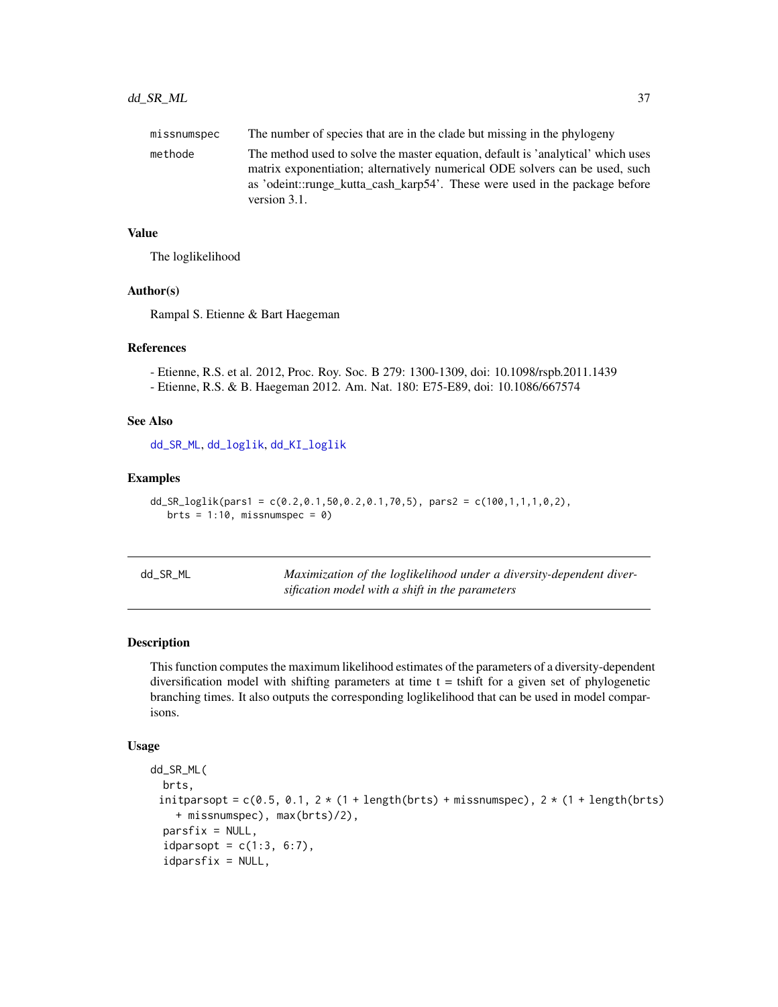<span id="page-36-0"></span>

| missnumspec | The number of species that are in the clade but missing in the phylogeny                                                                                                                                                                                        |
|-------------|-----------------------------------------------------------------------------------------------------------------------------------------------------------------------------------------------------------------------------------------------------------------|
| methode     | The method used to solve the master equation, default is 'analytical' which uses<br>matrix exponentiation; alternatively numerical ODE solvers can be used, such<br>as 'odeint::runge_kutta_cash_karp54'. These were used in the package before<br>version 3.1. |

#### Value

The loglikelihood

#### Author(s)

Rampal S. Etienne & Bart Haegeman

#### References

- Etienne, R.S. et al. 2012, Proc. Roy. Soc. B 279: 1300-1309, doi: 10.1098/rspb.2011.1439

- Etienne, R.S. & B. Haegeman 2012. Am. Nat. 180: E75-E89, doi: 10.1086/667574

#### See Also

[dd\\_SR\\_ML](#page-36-1), [dd\\_loglik](#page-15-1), [dd\\_KI\\_loglik](#page-7-1)

#### Examples

```
dd_SR_loglik(pars1 = c(0.2, 0.1, 50, 0.2, 0.1, 70, 5), pars2 = c(100, 1, 1, 1, 0, 2),
   brts = 1:10, missnumspec = 0)
```
<span id="page-36-1"></span>

| dd_SR_ML | Maximization of the loglikelihood under a diversity-dependent diver- |
|----------|----------------------------------------------------------------------|
|          | sification model with a shift in the parameters                      |

#### Description

This function computes the maximum likelihood estimates of the parameters of a diversity-dependent diversification model with shifting parameters at time  $t =$  tshift for a given set of phylogenetic branching times. It also outputs the corresponding loglikelihood that can be used in model comparisons.

#### Usage

```
dd_SR_ML(
 brts,
 initparsopt = c(0.5, 0.1, 2*(1 + length(brts) + missing message), 2*(1 + length(brts))+ missnumspec), max(brts)/2),
 partsfix = NULL,idparsept = c(1:3, 6:7),
  idparsfix = NULL,
```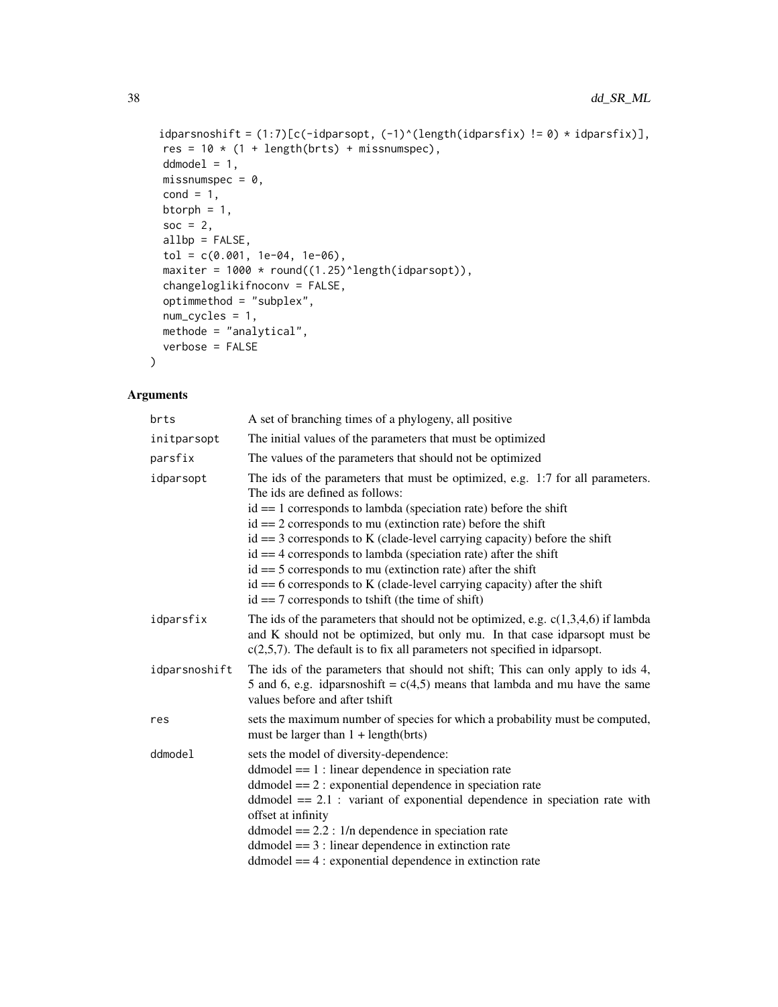```
idparsnoshift = (1:7)[c(-idparsept, (-1)^{(length(idparsefix) != 0) * idparsefix)],res = 10 * (1 + length(brts) + missing.ddmodel = 1,
 missnumspec = 0,
 cond = 1,
 btorph = 1,
 soc = 2,
 allbp = FALSE,
  tol = c(0.001, 1e-04, 1e-06),maxiter = 1000 * round((1.25)^{\text{length}}(idparsept)),changeloglikifnoconv = FALSE,
 optimmethod = "subplex",
 num_cycles = 1,
 methode = "analytical",
 verbose = FALSE
\mathcal{L}
```

| brts          | A set of branching times of a phylogeny, all positive                                                                                                                                                                                                                                                                                                                                                                                                                                                                                                                                                               |
|---------------|---------------------------------------------------------------------------------------------------------------------------------------------------------------------------------------------------------------------------------------------------------------------------------------------------------------------------------------------------------------------------------------------------------------------------------------------------------------------------------------------------------------------------------------------------------------------------------------------------------------------|
| initparsopt   | The initial values of the parameters that must be optimized                                                                                                                                                                                                                                                                                                                                                                                                                                                                                                                                                         |
| parsfix       | The values of the parameters that should not be optimized                                                                                                                                                                                                                                                                                                                                                                                                                                                                                                                                                           |
| idparsopt     | The ids of the parameters that must be optimized, e.g. 1:7 for all parameters.<br>The ids are defined as follows:<br>$id == 1$ corresponds to lambda (speciation rate) before the shift<br>$id == 2$ corresponds to mu (extinction rate) before the shift<br>$id == 3$ corresponds to K (clade-level carrying capacity) before the shift<br>$id == 4$ corresponds to lambda (speciation rate) after the shift<br>$id == 5$ corresponds to mu (extinction rate) after the shift<br>$id == 6$ corresponds to K (clade-level carrying capacity) after the shift<br>$id == 7$ corresponds to tshift (the time of shift) |
| idparsfix     | The ids of the parameters that should not be optimized, e.g. $c(1,3,4,6)$ if lambda<br>and K should not be optimized, but only mu. In that case idparsopt must be<br>$c(2,5,7)$ . The default is to fix all parameters not specified in idparsopt.                                                                                                                                                                                                                                                                                                                                                                  |
| idparsnoshift | The ids of the parameters that should not shift; This can only apply to ids 4,<br>5 and 6, e.g. idparsnoshift = $c(4,5)$ means that lambda and mu have the same<br>values before and after tshift                                                                                                                                                                                                                                                                                                                                                                                                                   |
| res           | sets the maximum number of species for which a probability must be computed,<br>must be larger than $1 + \text{length}(brts)$                                                                                                                                                                                                                                                                                                                                                                                                                                                                                       |
| ddmodel       | sets the model of diversity-dependence:<br>$dd model == 1: linear dependence in speciation rate$<br>$d$ ddmodel = $= 2$ : exponential dependence in speciation rate<br>ddmodel $== 2.1$ : variant of exponential dependence in speciation rate with<br>offset at infinity<br>ddmodel $== 2.2$ : 1/n dependence in speciation rate<br>$dd model == 3: linear dependence in extinction rate$<br>$dd model = 4$ : exponential dependence in extinction rate                                                                                                                                                            |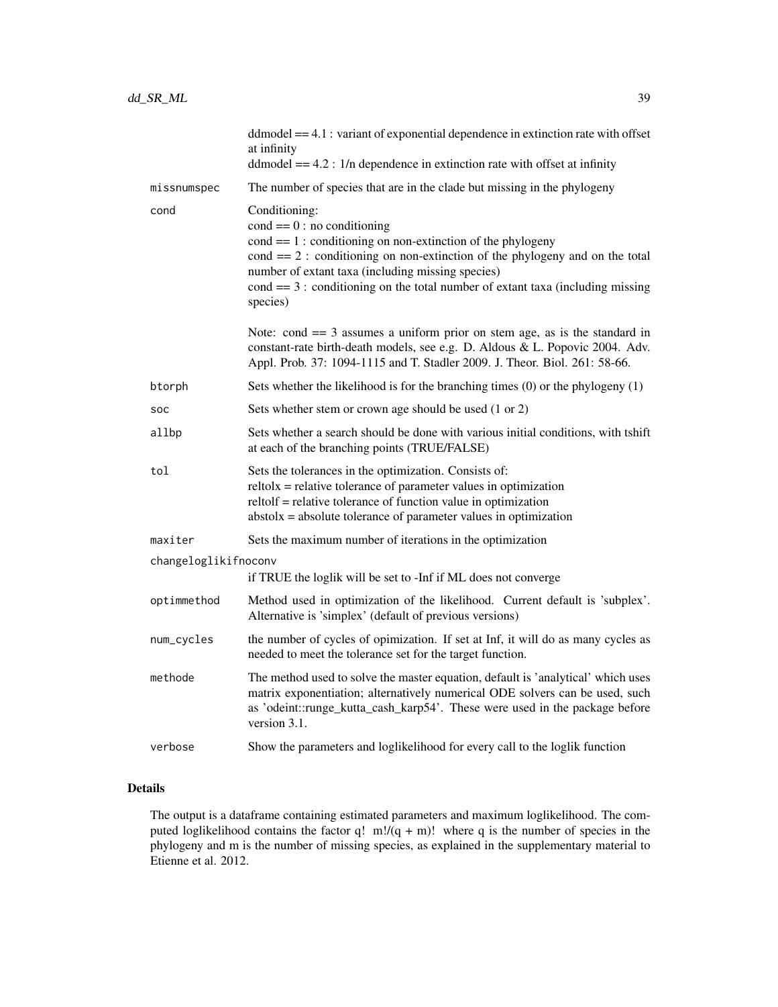|                                                                                        | $dd model = 4.1$ : variant of exponential dependence in extinction rate with offset<br>at infinity<br>ddmodel $== 4.2$ : 1/n dependence in extinction rate with offset at infinity                                                                                                                                                                                         |
|----------------------------------------------------------------------------------------|----------------------------------------------------------------------------------------------------------------------------------------------------------------------------------------------------------------------------------------------------------------------------------------------------------------------------------------------------------------------------|
| missnumspec                                                                            | The number of species that are in the clade but missing in the phylogeny                                                                                                                                                                                                                                                                                                   |
| cond                                                                                   | Conditioning:<br>$cond == 0: no conditioning$<br>$\text{cond} == 1$ : conditioning on non-extinction of the phylogeny<br>$\text{cond} == 2$ : conditioning on non-extinction of the phylogeny and on the total<br>number of extant taxa (including missing species)<br>$\text{cond} == 3$ : conditioning on the total number of extant taxa (including missing<br>species) |
|                                                                                        | Note: cond $== 3$ assumes a uniform prior on stem age, as is the standard in<br>constant-rate birth-death models, see e.g. D. Aldous & L. Popovic 2004. Adv.<br>Appl. Prob. 37: 1094-1115 and T. Stadler 2009. J. Theor. Biol. 261: 58-66.                                                                                                                                 |
| btorph                                                                                 | Sets whether the likelihood is for the branching times $(0)$ or the phylogeny $(1)$                                                                                                                                                                                                                                                                                        |
| SOC                                                                                    | Sets whether stem or crown age should be used (1 or 2)                                                                                                                                                                                                                                                                                                                     |
| allbp                                                                                  | Sets whether a search should be done with various initial conditions, with tshift<br>at each of the branching points (TRUE/FALSE)                                                                                                                                                                                                                                          |
| tol                                                                                    | Sets the tolerances in the optimization. Consists of:<br>$relto1x = relative tolerance of parameter values in optimization$<br>reltolf = relative tolerance of function value in optimization<br>$abstolx = absolute tolerance of parameter values in optimization$                                                                                                        |
| maxiter                                                                                | Sets the maximum number of iterations in the optimization                                                                                                                                                                                                                                                                                                                  |
| changeloglikifnoconv<br>if TRUE the loglik will be set to -Inf if ML does not converge |                                                                                                                                                                                                                                                                                                                                                                            |
| optimmethod                                                                            | Method used in optimization of the likelihood. Current default is 'subplex'.<br>Alternative is 'simplex' (default of previous versions)                                                                                                                                                                                                                                    |
| num_cycles                                                                             | the number of cycles of opimization. If set at Inf, it will do as many cycles as<br>needed to meet the tolerance set for the target function.                                                                                                                                                                                                                              |
| methode                                                                                | The method used to solve the master equation, default is 'analytical' which uses<br>matrix exponentiation; alternatively numerical ODE solvers can be used, such<br>as 'odeint::runge_kutta_cash_karp54'. These were used in the package before<br>version 3.1.                                                                                                            |
| verbose                                                                                | Show the parameters and loglikelihood for every call to the loglik function                                                                                                                                                                                                                                                                                                |

### Details

The output is a dataframe containing estimated parameters and maximum loglikelihood. The computed loglikelihood contains the factor q!  $m!/(q + m)!$  where q is the number of species in the phylogeny and m is the number of missing species, as explained in the supplementary material to Etienne et al. 2012.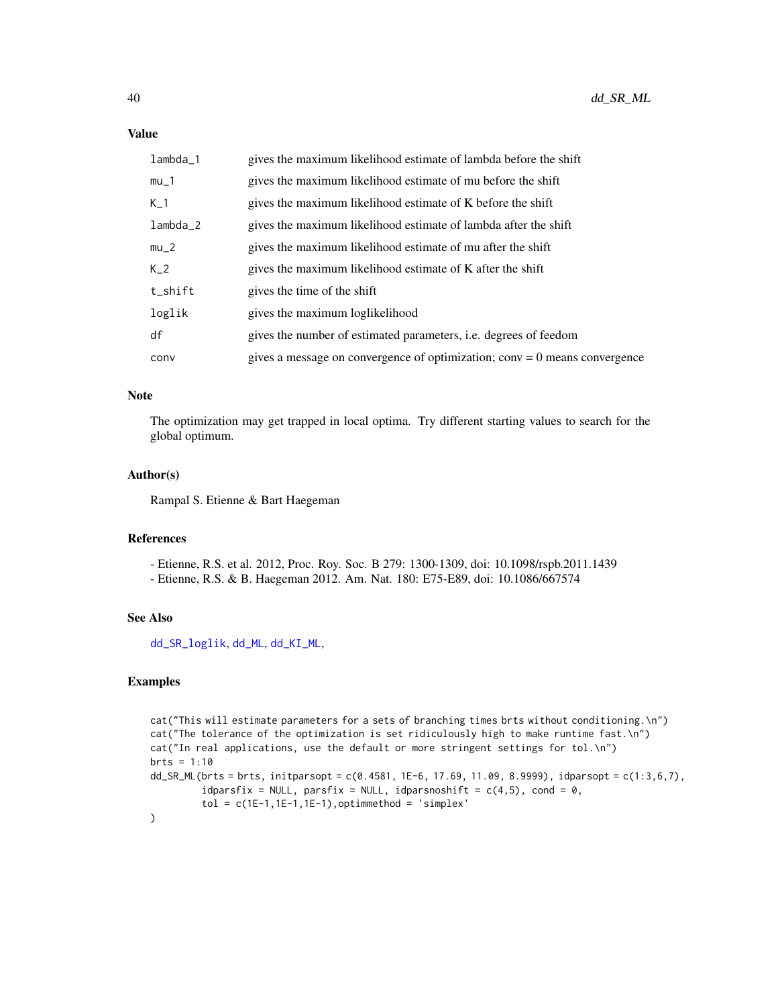#### <span id="page-39-0"></span>Value

| $lambda_1$ | gives the maximum likelihood estimate of lambda before the shift             |
|------------|------------------------------------------------------------------------------|
| $mu_1$     | gives the maximum likelihood estimate of mu before the shift                 |
| $K_{-1}$   | gives the maximum likelihood estimate of K before the shift                  |
| $lambda_2$ | gives the maximum likelihood estimate of lambda after the shift              |
| $mu_2$     | gives the maximum likelihood estimate of mu after the shift                  |
| $K_2$      | gives the maximum likelihood estimate of K after the shift                   |
| t_shift    | gives the time of the shift                                                  |
| loglik     | gives the maximum loglikelihood                                              |
| df         | gives the number of estimated parameters, <i>i.e.</i> degrees of feedom      |
| conv       | gives a message on convergence of optimization; conv = $0$ means convergence |

#### Note

The optimization may get trapped in local optima. Try different starting values to search for the global optimum.

#### Author(s)

Rampal S. Etienne & Bart Haegeman

#### References

- Etienne, R.S. et al. 2012, Proc. Roy. Soc. B 279: 1300-1309, doi: 10.1098/rspb.2011.1439
- Etienne, R.S. & B. Haegeman 2012. Am. Nat. 180: E75-E89, doi: 10.1086/667574

#### See Also

[dd\\_SR\\_loglik](#page-34-1), [dd\\_ML](#page-20-1), [dd\\_KI\\_ML](#page-10-1),

#### Examples

```
cat("This will estimate parameters for a sets of branching times brts without conditioning.\n")
cat("The tolerance of the optimization is set ridiculously high to make runtime fast.\n")
cat("In real applications, use the default or more stringent settings for tol.\n")
brts = 1:10dd_SR_ML(brts = brts, initparsopt = c(0.4581, 1E-6, 17.69, 11.09, 8.9999), idparsopt = c(1:3,6,7),
         idparsfix = NULL, parsfix = NULL, idparsnoshift = c(4,5), cond = 0,
         tol = c(1E-1, 1E-1, 1E-1), optimmethod = 'simplex'
\overline{\phantom{a}}
```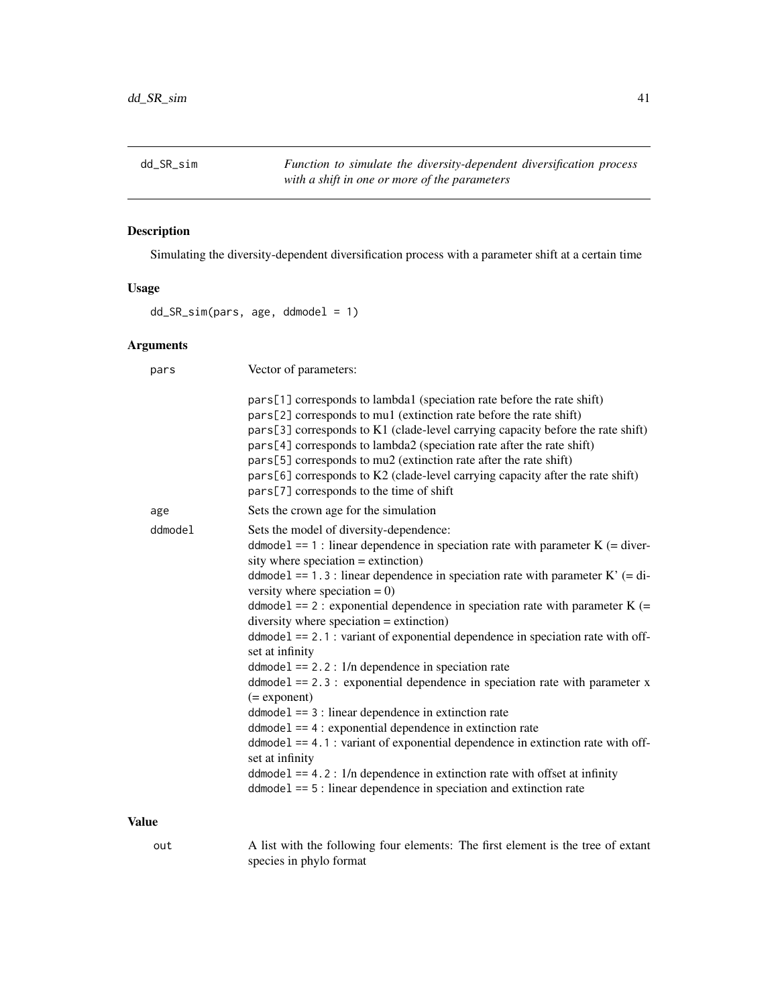<span id="page-40-0"></span>dd\_SR\_sim *Function to simulate the diversity-dependent diversification process with a shift in one or more of the parameters*

# Description

Simulating the diversity-dependent diversification process with a parameter shift at a certain time

#### Usage

dd\_SR\_sim(pars, age, ddmodel = 1)

#### Arguments

| pars         | Vector of parameters:                                                                                                                                                                                                                                                                                                                                                                                                                                                                                                                                                                                                                                                                                                                                                                                                                                                                                                                                                                                                                                                                       |  |
|--------------|---------------------------------------------------------------------------------------------------------------------------------------------------------------------------------------------------------------------------------------------------------------------------------------------------------------------------------------------------------------------------------------------------------------------------------------------------------------------------------------------------------------------------------------------------------------------------------------------------------------------------------------------------------------------------------------------------------------------------------------------------------------------------------------------------------------------------------------------------------------------------------------------------------------------------------------------------------------------------------------------------------------------------------------------------------------------------------------------|--|
|              | pars[1] corresponds to lambda1 (speciation rate before the rate shift)<br>pars[2] corresponds to mu1 (extinction rate before the rate shift)<br>pars[3] corresponds to K1 (clade-level carrying capacity before the rate shift)<br>pars[4] corresponds to lambda2 (speciation rate after the rate shift)<br>pars[5] corresponds to mu2 (extinction rate after the rate shift)<br>pars[6] corresponds to K2 (clade-level carrying capacity after the rate shift)<br>pars[7] corresponds to the time of shift                                                                                                                                                                                                                                                                                                                                                                                                                                                                                                                                                                                 |  |
| age          | Sets the crown age for the simulation                                                                                                                                                                                                                                                                                                                                                                                                                                                                                                                                                                                                                                                                                                                                                                                                                                                                                                                                                                                                                                                       |  |
| ddmodel      | Sets the model of diversity-dependence:<br>ddmodel == 1 : linear dependence in speciation rate with parameter $K$ (= diver-<br>sity where speciation $=$ extinction)<br>ddmodel == 1.3 : linear dependence in speciation rate with parameter $K'$ (= di-<br>versity where speciation = $0$ )<br>ddmodel == $2$ : exponential dependence in speciation rate with parameter K (=<br>diversity where speciation $=$ extinction)<br>$ddmodel == 2.1$ : variant of exponential dependence in speciation rate with off-<br>set at infinity<br>$ddmodel == 2.2$ : $1/n$ dependence in speciation rate<br>$ddmodel == 2.3$ : exponential dependence in speciation rate with parameter x<br>$(=$ exponent $)$<br>$ddmodel == 3$ : linear dependence in extinction rate<br>$ddmodel == 4$ : exponential dependence in extinction rate<br>ddmodel == 4.1 : variant of exponential dependence in extinction rate with off-<br>set at infinity<br>$ddmodel == 4.2$ : $1/n$ dependence in extinction rate with offset at infinity<br>$ddmodel == 5$ : linear dependence in speciation and extinction rate |  |
| <b>Value</b> |                                                                                                                                                                                                                                                                                                                                                                                                                                                                                                                                                                                                                                                                                                                                                                                                                                                                                                                                                                                                                                                                                             |  |

out A list with the following four elements: The first element is the tree of extant species in phylo format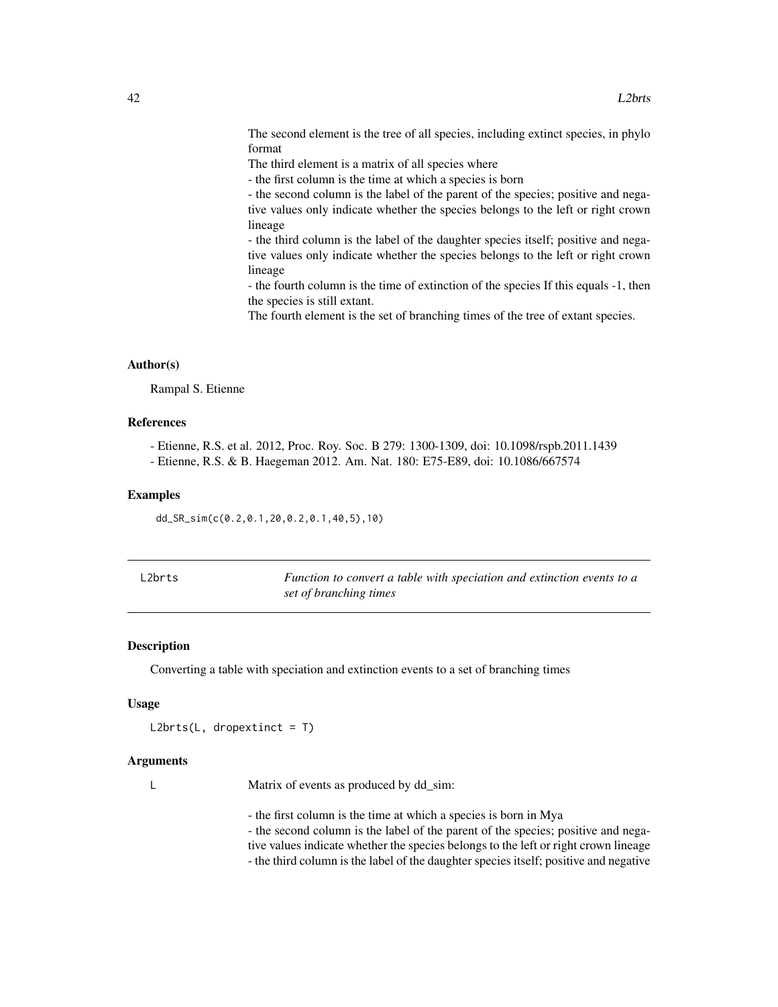<span id="page-41-0"></span>The second element is the tree of all species, including extinct species, in phylo format

The third element is a matrix of all species where

- the first column is the time at which a species is born

- the second column is the label of the parent of the species; positive and negative values only indicate whether the species belongs to the left or right crown lineage

- the third column is the label of the daughter species itself; positive and negative values only indicate whether the species belongs to the left or right crown lineage

- the fourth column is the time of extinction of the species If this equals -1, then the species is still extant.

The fourth element is the set of branching times of the tree of extant species.

#### Author(s)

Rampal S. Etienne

#### References

- Etienne, R.S. et al. 2012, Proc. Roy. Soc. B 279: 1300-1309, doi: 10.1098/rspb.2011.1439

- Etienne, R.S. & B. Haegeman 2012. Am. Nat. 180: E75-E89, doi: 10.1086/667574

#### Examples

dd\_SR\_sim(c(0.2,0.1,20,0.2,0.1,40,5),10)

| L2brts | Function to convert a table with speciation and extinction events to a |
|--------|------------------------------------------------------------------------|
|        | set of branching times                                                 |

#### Description

Converting a table with speciation and extinction events to a set of branching times

#### Usage

```
L2brts(L, dropextinct = T)
```
#### Arguments

L Matrix of events as produced by dd\_sim:

- the first column is the time at which a species is born in Mya

- the second column is the label of the parent of the species; positive and nega-

tive values indicate whether the species belongs to the left or right crown lineage

- the third column is the label of the daughter species itself; positive and negative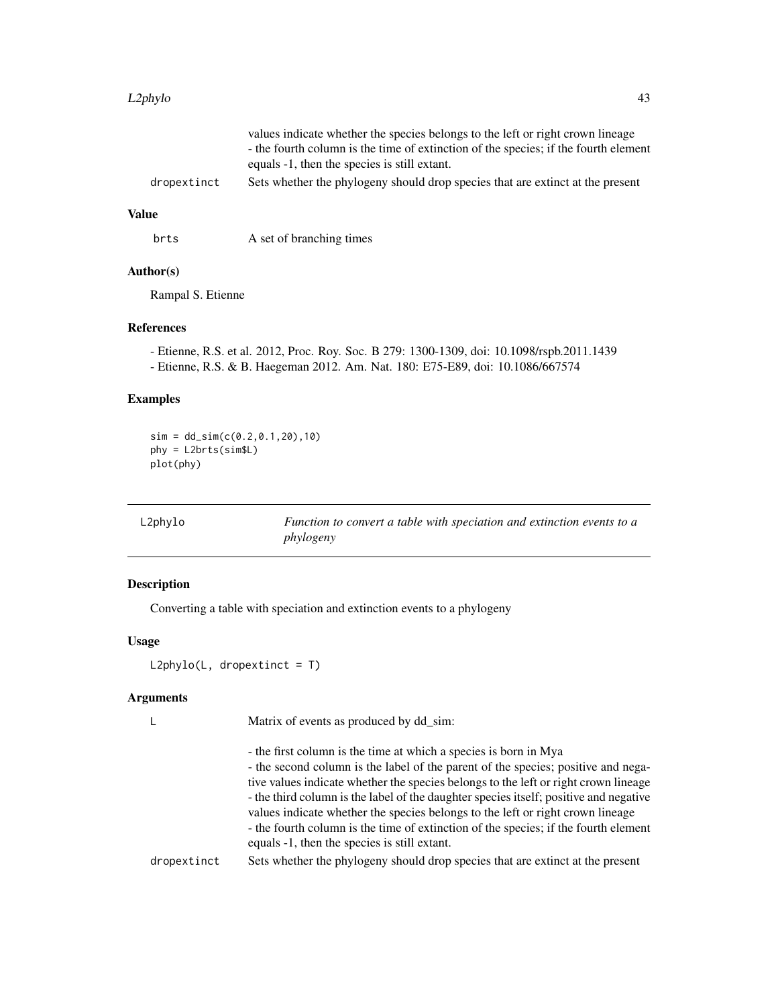#### <span id="page-42-0"></span>L2phylo 43

|             | values indicate whether the species belongs to the left or right crown lineage      |  |
|-------------|-------------------------------------------------------------------------------------|--|
|             | - the fourth column is the time of extinction of the species; if the fourth element |  |
|             | equals -1, then the species is still extant.                                        |  |
| dropextinct | Sets whether the phylogeny should drop species that are extinct at the present      |  |

#### Value

brts A set of branching times

#### Author(s)

Rampal S. Etienne

#### References

- Etienne, R.S. et al. 2012, Proc. Roy. Soc. B 279: 1300-1309, doi: 10.1098/rspb.2011.1439

- Etienne, R.S. & B. Haegeman 2012. Am. Nat. 180: E75-E89, doi: 10.1086/667574

# Examples

 $sim = dd_sim(c(0.2, 0.1, 20), 10)$ phy = L2brts(sim\$L) plot(phy)

L2phylo *Function to convert a table with speciation and extinction events to a phylogeny*

#### Description

Converting a table with speciation and extinction events to a phylogeny

#### Usage

 $L2phylo(L, dropextinct = T)$ 

#### Arguments

L Matrix of events as produced by dd\_sim:

|             | - the first column is the time at which a species is born in Mya                      |
|-------------|---------------------------------------------------------------------------------------|
|             | - the second column is the label of the parent of the species; positive and nega-     |
|             | tive values indicate whether the species belongs to the left or right crown lineage   |
|             | - the third column is the label of the daughter species itself; positive and negative |
|             | values indicate whether the species belongs to the left or right crown lineage        |
|             | - the fourth column is the time of extinction of the species; if the fourth element   |
|             | equals -1, then the species is still extant.                                          |
| dropextinct | Sets whether the phylogeny should drop species that are extinct at the present        |
|             |                                                                                       |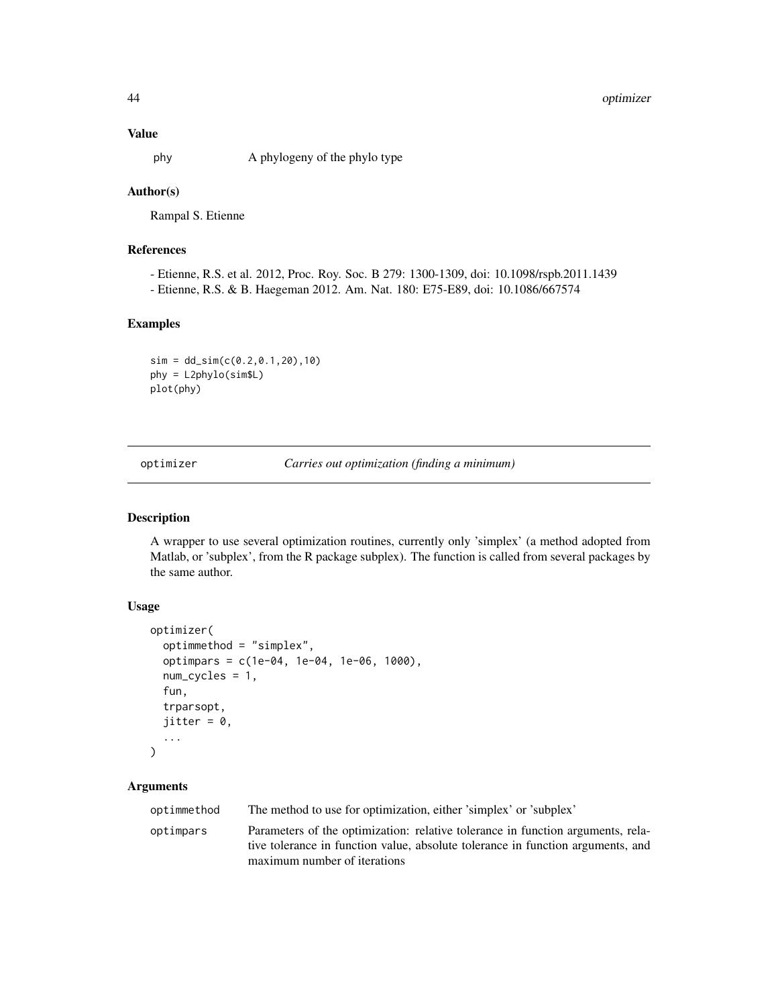#### <span id="page-43-0"></span>Value

phy A phylogeny of the phylo type

#### Author(s)

Rampal S. Etienne

# References

- Etienne, R.S. et al. 2012, Proc. Roy. Soc. B 279: 1300-1309, doi: 10.1098/rspb.2011.1439 - Etienne, R.S. & B. Haegeman 2012. Am. Nat. 180: E75-E89, doi: 10.1086/667574

#### Examples

 $sim = dd_sim(c(0.2, 0.1, 20), 10)$ phy = L2phylo(sim\$L) plot(phy)

optimizer *Carries out optimization (finding a minimum)*

#### Description

A wrapper to use several optimization routines, currently only 'simplex' (a method adopted from Matlab, or 'subplex', from the R package subplex). The function is called from several packages by the same author.

#### Usage

```
optimizer(
  optimmethod = "simplex",
  optimpars = c(1e-04, 1e-04, 1e-06, 1000),
  num_cycles = 1,
  fun,
  trparsopt,
  jitter = 0,
  ...
)
```
#### Arguments

optimmethod The method to use for optimization, either 'simplex' or 'subplex' optimpars Parameters of the optimization: relative tolerance in function arguments, rela-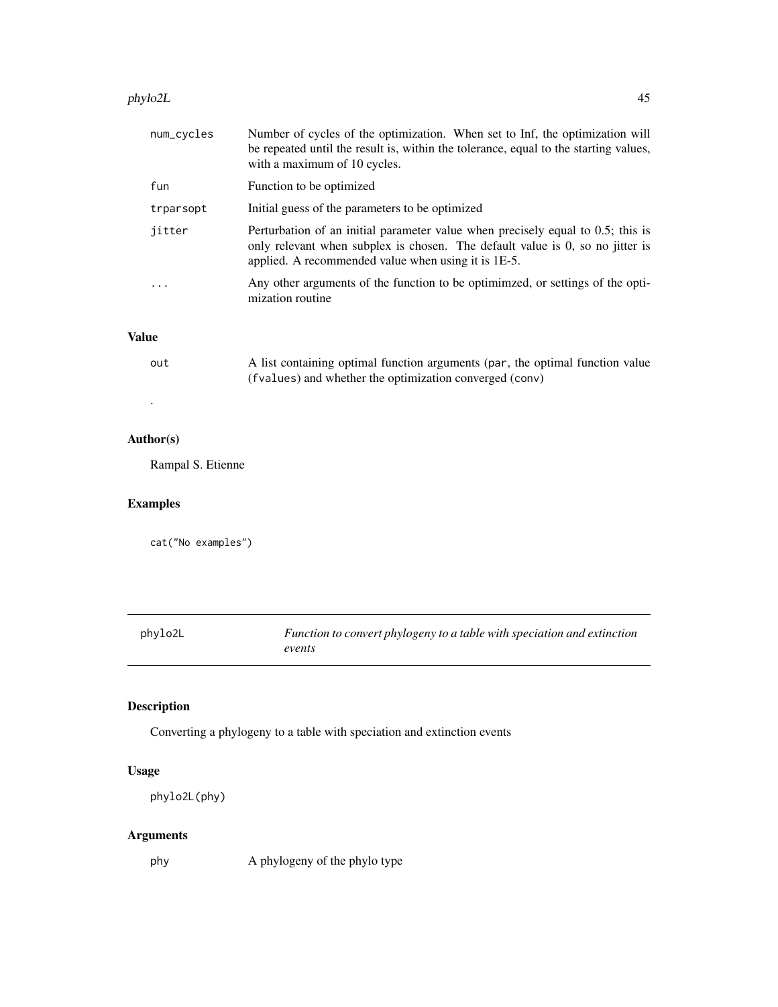#### <span id="page-44-0"></span>phylo2L 45

| num_cycles | Number of cycles of the optimization. When set to Inf, the optimization will<br>be repeated until the result is, within the tolerance, equal to the starting values,<br>with a maximum of 10 cycles.                    |
|------------|-------------------------------------------------------------------------------------------------------------------------------------------------------------------------------------------------------------------------|
| fun        | Function to be optimized                                                                                                                                                                                                |
| trparsopt  | Initial guess of the parameters to be optimized                                                                                                                                                                         |
| jitter     | Perturbation of an initial parameter value when precisely equal to 0.5; this is<br>only relevant when subplex is chosen. The default value is 0, so no jitter is<br>applied. A recommended value when using it is 1E-5. |
| $\cdot$    | Any other arguments of the function to be optimimzed, or settings of the opti-<br>mization routine                                                                                                                      |

# Value

| out | A list containing optimal function arguments (par, the optimal function value |
|-----|-------------------------------------------------------------------------------|
|     | (fvalues) and whether the optimization converged (conv)                       |

#### Author(s)

.

Rampal S. Etienne

# Examples

cat("No examples")

| phylo2L | Function to convert phylogeny to a table with speciation and extinction |
|---------|-------------------------------------------------------------------------|
|         | events                                                                  |

# Description

Converting a phylogeny to a table with speciation and extinction events

# Usage

```
phylo2L(phy)
```
# Arguments

phy A phylogeny of the phylo type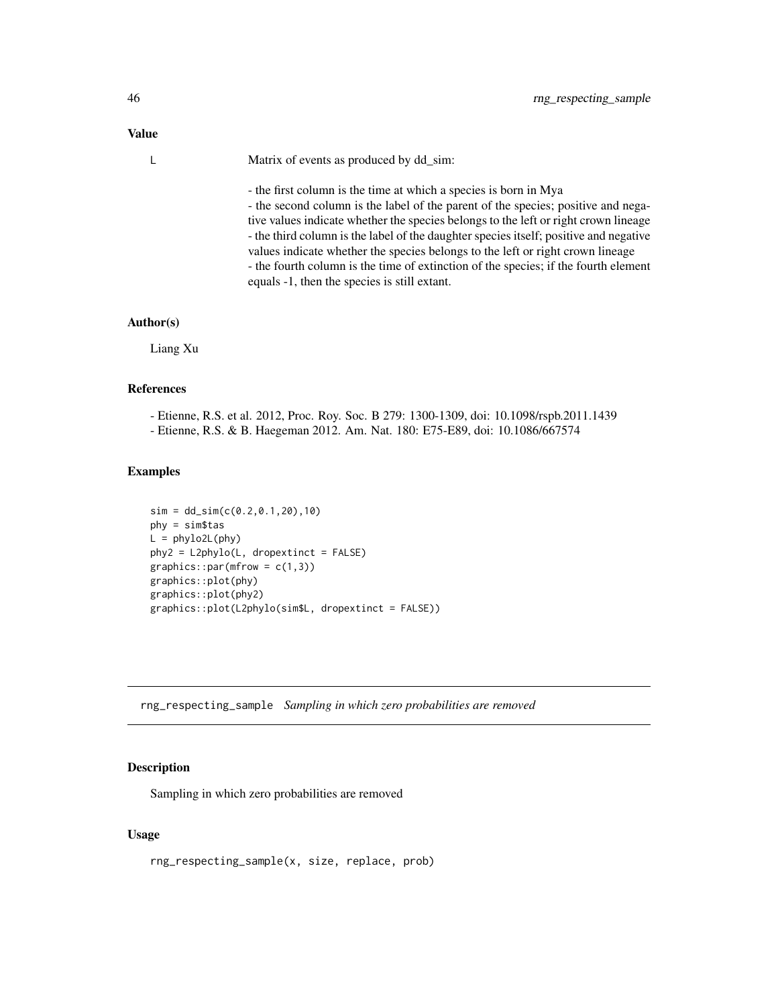#### <span id="page-45-0"></span>Value

| L. | Matrix of events as produced by dd_sim:                                               |
|----|---------------------------------------------------------------------------------------|
|    | - the first column is the time at which a species is born in Mya                      |
|    | - the second column is the label of the parent of the species; positive and nega-     |
|    | tive values indicate whether the species belongs to the left or right crown lineage   |
|    | - the third column is the label of the daughter species itself; positive and negative |
|    | values indicate whether the species belongs to the left or right crown lineage        |

- the fourth column is the time of extinction of the species; if the fourth element equals -1, then the species is still extant.

#### Author(s)

Liang Xu

#### References

- Etienne, R.S. et al. 2012, Proc. Roy. Soc. B 279: 1300-1309, doi: 10.1098/rspb.2011.1439

- Etienne, R.S. & B. Haegeman 2012. Am. Nat. 180: E75-E89, doi: 10.1086/667574

#### Examples

```
sim = dd_sim(c(0.2, 0.1, 20), 10)phy = sim$tas
L = phylo2L(phy)phy2 = L2phylo(L, dropextinct = FALSE)
graphics::par(mfrow = c(1,3))graphics::plot(phy)
graphics::plot(phy2)
graphics::plot(L2phylo(sim$L, dropextinct = FALSE))
```
rng\_respecting\_sample *Sampling in which zero probabilities are removed*

#### Description

Sampling in which zero probabilities are removed

#### Usage

rng\_respecting\_sample(x, size, replace, prob)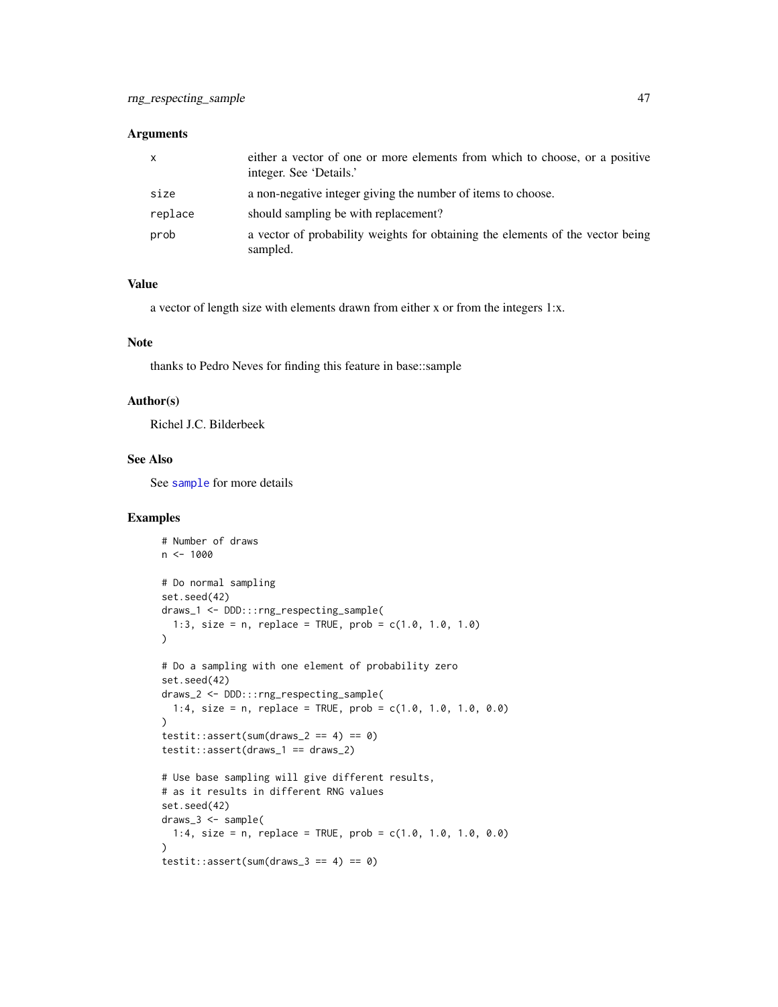#### <span id="page-46-0"></span>Arguments

| X       | either a vector of one or more elements from which to choose, or a positive<br>integer. See 'Details.' |
|---------|--------------------------------------------------------------------------------------------------------|
| size    | a non-negative integer giving the number of items to choose.                                           |
| replace | should sampling be with replacement?                                                                   |
| prob    | a vector of probability weights for obtaining the elements of the vector being<br>sampled.             |

#### Value

a vector of length size with elements drawn from either x or from the integers 1:x.

#### Note

thanks to Pedro Neves for finding this feature in base::sample

#### Author(s)

Richel J.C. Bilderbeek

#### See Also

See [sample](#page-0-0) for more details

#### Examples

```
# Number of draws
n < -1000# Do normal sampling
set.seed(42)
draws_1 <- DDD:::rng_respecting_sample(
 1:3, size = n, replace = TRUE, prob = c(1.0, 1.0, 1.0)
\lambda# Do a sampling with one element of probability zero
set.seed(42)
draws_2 <- DDD:::rng_respecting_sample(
 1:4, size = n, replace = TRUE, prob = c(1.0, 1.0, 1.0, 0.0)
\lambdatestit::assert(sum(draws_2 == 4) == 0)testit::assert(draws_1 == draws_2)
# Use base sampling will give different results,
# as it results in different RNG values
set.seed(42)
draws_3 <- sample(
 1:4, size = n, replace = TRUE, prob = c(1.0, 1.0, 1.0, 0.0)
\lambdatestit::assert(sum(draws_3 == 4) == 0)
```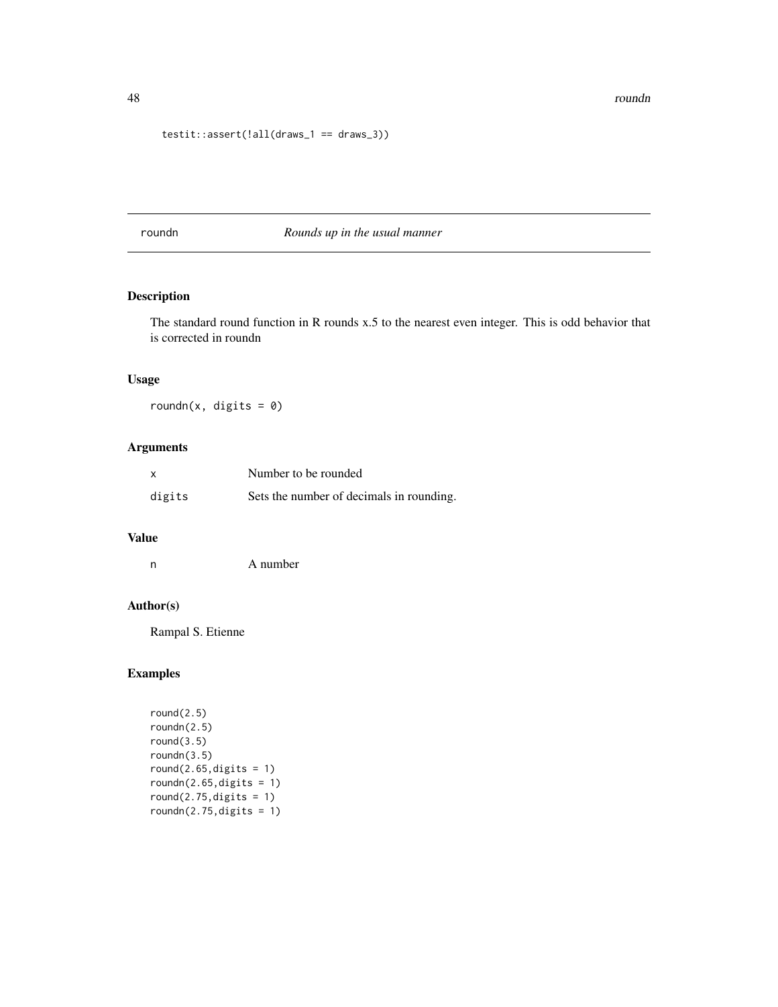```
testit::assert(!all(draws_1 == draws_3))
```
roundn *Rounds up in the usual manner*

#### Description

The standard round function in R rounds x.5 to the nearest even integer. This is odd behavior that is corrected in roundn

#### Usage

roundn(x, digits =  $0$ )

#### Arguments

| $\boldsymbol{\mathsf{x}}$ | Number to be rounded                     |
|---------------------------|------------------------------------------|
| digits                    | Sets the number of decimals in rounding. |

# Value

| n | A number |
|---|----------|
|   |          |

#### Author(s)

Rampal S. Etienne

#### Examples

```
round(2.5)
roundn(2.5)
round(3.5)
roundn(3.5)
round(2.65, digits = 1)roundn(2.65, digits = 1)round(2.75, \text{digits} = 1)roundn(2.75, digits = 1)
```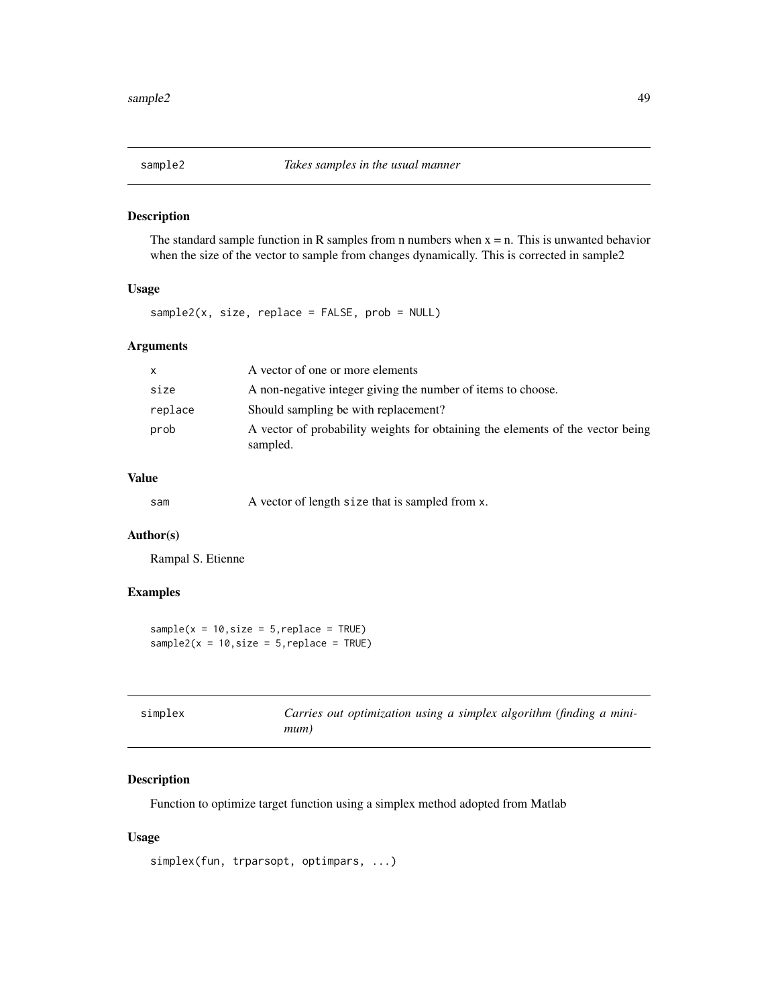<span id="page-48-0"></span>

#### Description

The standard sample function in R samples from n numbers when  $x = n$ . This is unwanted behavior when the size of the vector to sample from changes dynamically. This is corrected in sample2

#### Usage

sample2(x, size, replace = FALSE, prob = NULL)

#### Arguments

| $\mathsf{x}$ | A vector of one or more elements                                                           |
|--------------|--------------------------------------------------------------------------------------------|
| size         | A non-negative integer giving the number of items to choose.                               |
| replace      | Should sampling be with replacement?                                                       |
| prob         | A vector of probability weights for obtaining the elements of the vector being<br>sampled. |

#### Value

| sam | A vector of length size that is sampled from x. |
|-----|-------------------------------------------------|
|-----|-------------------------------------------------|

#### Author(s)

Rampal S. Etienne

#### Examples

```
sample(x = 10, size = 5, replace = TRUE)sample2(x = 10, size = 5, replace = TRUE)
```

| simplex |      | Carries out optimization using a simplex algorithm (finding a mini- |  |  |  |
|---------|------|---------------------------------------------------------------------|--|--|--|
|         | mum) |                                                                     |  |  |  |

# Description

Function to optimize target function using a simplex method adopted from Matlab

#### Usage

```
simplex(fun, trparsopt, optimpars, ...)
```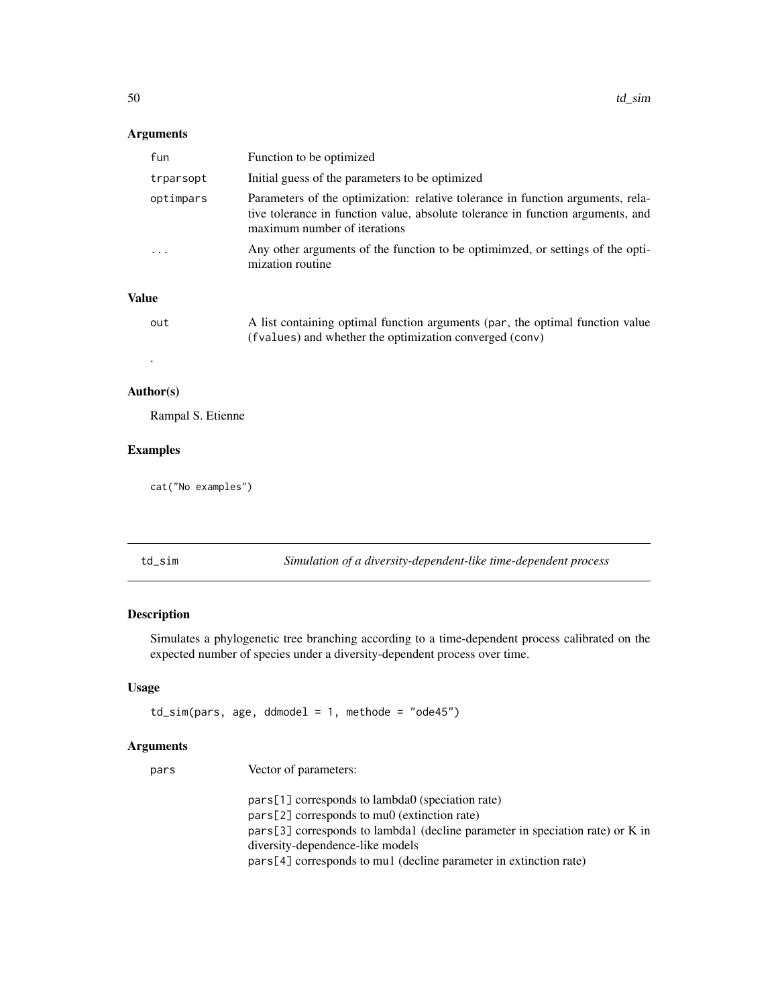#### <span id="page-49-0"></span>Arguments

| fun       | Function to be optimized                                                                                                                                                                           |
|-----------|----------------------------------------------------------------------------------------------------------------------------------------------------------------------------------------------------|
| trparsopt | Initial guess of the parameters to be optimized                                                                                                                                                    |
| optimpars | Parameters of the optimization: relative tolerance in function arguments, rela-<br>tive tolerance in function value, absolute tolerance in function arguments, and<br>maximum number of iterations |
|           | Any other arguments of the function to be optimimzed, or settings of the opti-<br>mization routine                                                                                                 |

#### Value

| out | A list containing optimal function arguments (par, the optimal function value |
|-----|-------------------------------------------------------------------------------|
|     | (fvalues) and whether the optimization converged (conv)                       |
|     |                                                                               |

#### Author(s)

Rampal S. Etienne

#### Examples

cat("No examples")

td\_sim *Simulation of a diversity-dependent-like time-dependent process*

#### Description

Simulates a phylogenetic tree branching according to a time-dependent process calibrated on the expected number of species under a diversity-dependent process over time.

#### Usage

td\_sim(pars, age, ddmodel = 1, methode = "ode45")

#### Arguments

pars Vector of parameters:

pars[1] corresponds to lambda0 (speciation rate) pars[2] corresponds to mu0 (extinction rate) pars[3] corresponds to lambda1 (decline parameter in speciation rate) or K in diversity-dependence-like models pars[4] corresponds to mu1 (decline parameter in extinction rate)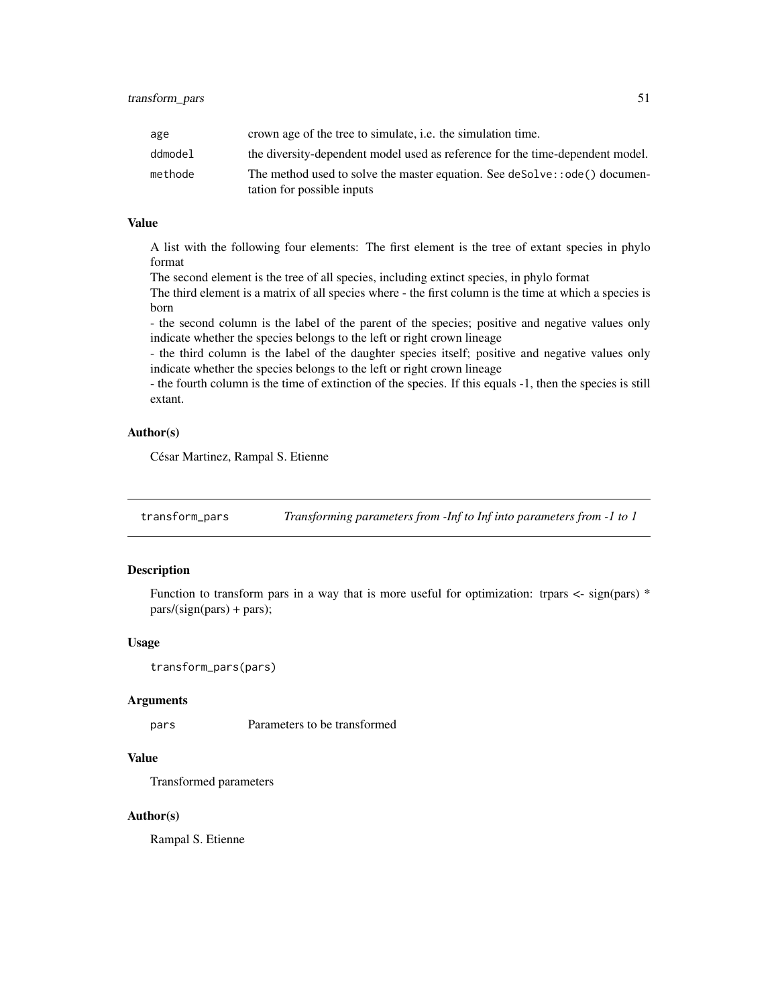<span id="page-50-0"></span>

| age     | crown age of the tree to simulate, <i>i.e.</i> the simulation time.                                     |
|---------|---------------------------------------------------------------------------------------------------------|
| ddmodel | the diversity-dependent model used as reference for the time-dependent model.                           |
| methode | The method used to solve the master equation. See deSolve::ode() documen-<br>tation for possible inputs |

#### Value

A list with the following four elements: The first element is the tree of extant species in phylo format

The second element is the tree of all species, including extinct species, in phylo format

The third element is a matrix of all species where - the first column is the time at which a species is born

- the second column is the label of the parent of the species; positive and negative values only indicate whether the species belongs to the left or right crown lineage

- the third column is the label of the daughter species itself; positive and negative values only indicate whether the species belongs to the left or right crown lineage

- the fourth column is the time of extinction of the species. If this equals -1, then the species is still extant.

#### Author(s)

César Martinez, Rampal S. Etienne

transform\_pars *Transforming parameters from -Inf to Inf into parameters from -1 to 1*

#### Description

Function to transform pars in a way that is more useful for optimization: trpars  $\lt$ - sign(pars)  $*$ pars/(sign(pars) + pars);

#### Usage

```
transform_pars(pars)
```
#### Arguments

pars Parameters to be transformed

#### Value

Transformed parameters

#### Author(s)

Rampal S. Etienne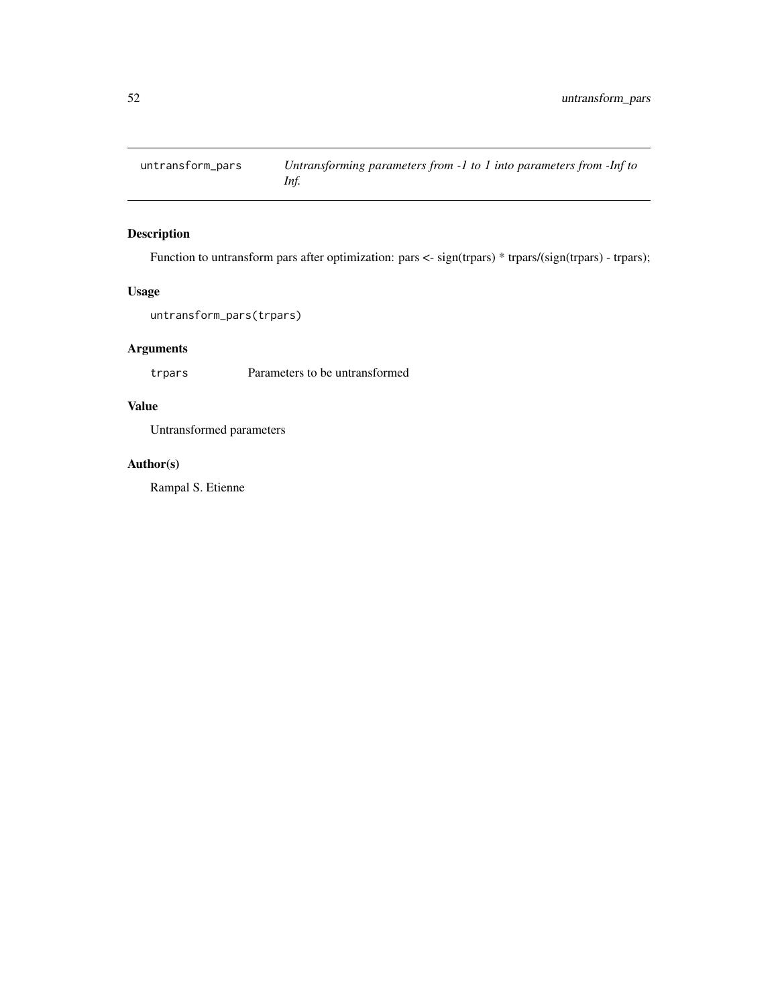<span id="page-51-0"></span>

# Description

Function to untransform pars after optimization: pars <- sign(trpars) \* trpars/(sign(trpars) - trpars);

#### Usage

```
untransform_pars(trpars)
```
#### Arguments

trpars Parameters to be untransformed

# Value

Untransformed parameters

### Author(s)

Rampal S. Etienne